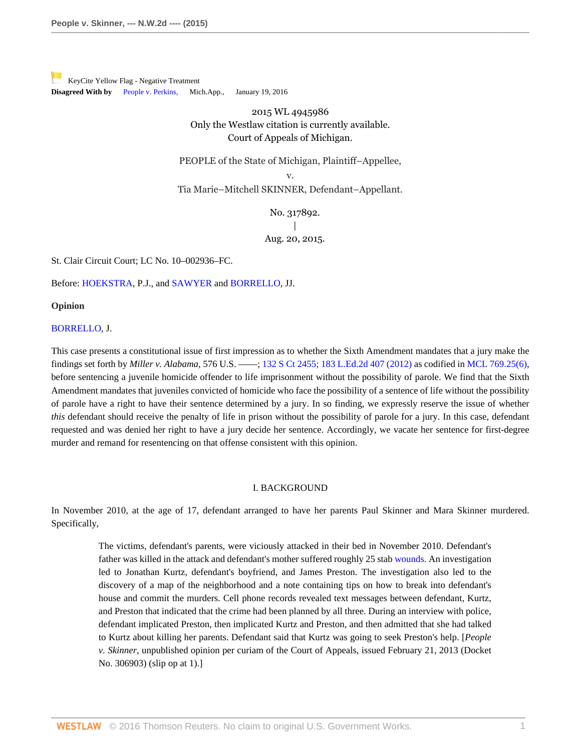[K](https://a.next.westlaw.com/Link/RelatedInformation/Flag?documentGuid=I52c4367847f811e590d4edf60ce7d742&transitionType=Document&originationContext=docHeaderFlag&contextData=(sc.Search))eyCite Yellow Flag - Negative Treatment **Disagreed With by** [People v. Perkins](https://a.next.westlaw.com/Document/I0e673addbf7611e590d4edf60ce7d742/View/FullText.html?navigationPath=RelatedInfo%2Fv4%2Fkeycite%2Fnav%2F%3Fguid%3DI0e673addbf7611e590d4edf60ce7d742%26ss%3D2036920807%26ds%3D2038092122&listSource=RelatedInfo&list=NegativeCitingReferences&rank=0&originationContext=docHeader&transitionType=NegativeTreatment&contextData=%28sc.Search%29), Mich.App., January 19, 2016

> 2015 WL 4945986 Only the Westlaw citation is currently available. Court of Appeals of Michigan.

PEOPLE of the State of Michigan, Plaintiff–Appellee,

v.

Tia Marie–Mitchell SKINNER, Defendant–Appellant.

No. 317892. | Aug. 20, 2015.

St. Clair Circuit Court; LC No. 10–002936–FC.

Before: [HOEKSTRA,](http://www.westlaw.com/Link/Document/FullText?findType=h&pubNum=176284&cite=0180164501&originatingDoc=I52c4367847f811e590d4edf60ce7d742&refType=RQ&originationContext=document&vr=3.0&rs=cblt1.0&transitionType=DocumentItem&contextData=(sc.Search)) P.J., and [SAWYER](http://www.westlaw.com/Link/Document/FullText?findType=h&pubNum=176284&cite=0180104101&originatingDoc=I52c4367847f811e590d4edf60ce7d742&refType=RQ&originationContext=document&vr=3.0&rs=cblt1.0&transitionType=DocumentItem&contextData=(sc.Search)) and [BORRELLO,](http://www.westlaw.com/Link/Document/FullText?findType=h&pubNum=176284&cite=0203407501&originatingDoc=I52c4367847f811e590d4edf60ce7d742&refType=RQ&originationContext=document&vr=3.0&rs=cblt1.0&transitionType=DocumentItem&contextData=(sc.Search)) JJ.

**Opinion**

### [BORRELLO,](http://www.westlaw.com/Link/Document/FullText?findType=h&pubNum=176284&cite=0203407501&originatingDoc=I52c4367847f811e590d4edf60ce7d742&refType=RQ&originationContext=document&vr=3.0&rs=cblt1.0&transitionType=DocumentItem&contextData=(sc.Search)) J.

This case presents a constitutional issue of first impression as to whether the Sixth Amendment mandates that a jury make the findings set forth by *Miller v. Alabama,* 576 U.S. ––––; [132 S Ct 2455; 183 L.Ed.2d 407 \(2012\)](http://www.westlaw.com/Link/Document/FullText?findType=Y&serNum=2027964006&pubNum=0000708&originatingDoc=I52c4367847f811e590d4edf60ce7d742&refType=RP&originationContext=document&vr=3.0&rs=cblt1.0&transitionType=DocumentItem&contextData=(sc.Search)) as codified in [MCL 769.25\(6\),](http://www.westlaw.com/Link/Document/FullText?findType=L&pubNum=1000043&cite=MIST769.25&originatingDoc=I52c4367847f811e590d4edf60ce7d742&refType=LQ&originationContext=document&vr=3.0&rs=cblt1.0&transitionType=DocumentItem&contextData=(sc.Search)) before sentencing a juvenile homicide offender to life imprisonment without the possibility of parole. We find that the Sixth Amendment mandates that juveniles convicted of homicide who face the possibility of a sentence of life without the possibility of parole have a right to have their sentence determined by a jury. In so finding, we expressly reserve the issue of whether *this* defendant should receive the penalty of life in prison without the possibility of parole for a jury. In this case, defendant requested and was denied her right to have a jury decide her sentence. Accordingly, we vacate her sentence for first-degree murder and remand for resentencing on that offense consistent with this opinion.

### I. BACKGROUND

In November 2010, at the age of 17, defendant arranged to have her parents Paul Skinner and Mara Skinner murdered. Specifically,

The victims, defendant's parents, were viciously attacked in their bed in November 2010. Defendant's father was killed in the attack and defendant's mother suffered roughly 25 stab [wounds](http://www.westlaw.com/Link/Document/FullText?entityType=gdrug&entityId=Iff1648e16c7111e18b05fdf15589d8e8&originationContext=document&transitionType=DocumentItem&contextData=(sc.Default)&vr=3.0&rs=cblt1.0). An investigation led to Jonathan Kurtz, defendant's boyfriend, and James Preston. The investigation also led to the discovery of a map of the neighborhood and a note containing tips on how to break into defendant's house and commit the murders. Cell phone records revealed text messages between defendant, Kurtz, and Preston that indicated that the crime had been planned by all three. During an interview with police, defendant implicated Preston, then implicated Kurtz and Preston, and then admitted that she had talked to Kurtz about killing her parents. Defendant said that Kurtz was going to seek Preston's help. [*People v. Skinner,* unpublished opinion per curiam of the Court of Appeals, issued February 21, 2013 (Docket No. 306903) (slip op at 1).]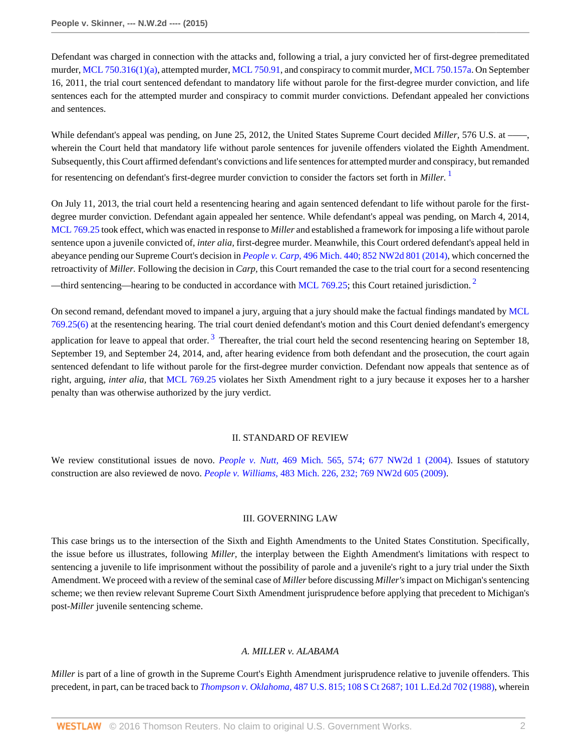Defendant was charged in connection with the attacks and, following a trial, a jury convicted her of first-degree premeditated murder, [MCL 750.316\(1\)\(a\),](http://www.westlaw.com/Link/Document/FullText?findType=L&pubNum=1000043&cite=MIST750.316&originatingDoc=I52c4367847f811e590d4edf60ce7d742&refType=LQ&originationContext=document&vr=3.0&rs=cblt1.0&transitionType=DocumentItem&contextData=(sc.Search)) attempted murder, [MCL 750.91,](http://www.westlaw.com/Link/Document/FullText?findType=L&pubNum=1000043&cite=MIST750.91&originatingDoc=I52c4367847f811e590d4edf60ce7d742&refType=LQ&originationContext=document&vr=3.0&rs=cblt1.0&transitionType=DocumentItem&contextData=(sc.Search)) and conspiracy to commit murder, [MCL 750.157a.](http://www.westlaw.com/Link/Document/FullText?findType=L&pubNum=1000043&cite=MIST750.157A&originatingDoc=I52c4367847f811e590d4edf60ce7d742&refType=LQ&originationContext=document&vr=3.0&rs=cblt1.0&transitionType=DocumentItem&contextData=(sc.Search)) On September 16, 2011, the trial court sentenced defendant to mandatory life without parole for the first-degree murder conviction, and life sentences each for the attempted murder and conspiracy to commit murder convictions. Defendant appealed her convictions and sentences.

While defendant's appeal was pending, on June 25, 2012, the United States Supreme Court decided *Miller*, 576 U.S. at wherein the Court held that mandatory life without parole sentences for juvenile offenders violated the Eighth Amendment. Subsequently, this Court affirmed defendant's convictions and life sentences for attempted murder and conspiracy, but remanded for resentencing on defendant's first-degree murder conviction to consider the factors set forth in *Miller.* [1](#page-21-0)

On July 11, 2013, the trial court held a resentencing hearing and again sentenced defendant to life without parole for the firstdegree murder conviction. Defendant again appealed her sentence. While defendant's appeal was pending, on March 4, 2014, [MCL 769.25](http://www.westlaw.com/Link/Document/FullText?findType=L&pubNum=1000043&cite=MIST769.25&originatingDoc=I52c4367847f811e590d4edf60ce7d742&refType=LQ&originationContext=document&vr=3.0&rs=cblt1.0&transitionType=DocumentItem&contextData=(sc.Search)) took effect, which was enacted in response to *Miller* and established a framework for imposing a life without parole sentence upon a juvenile convicted of, *inter alia,* first-degree murder. Meanwhile, this Court ordered defendant's appeal held in abeyance pending our Supreme Court's decision in *People v. Carp,* [496 Mich. 440; 852 NW2d 801 \(2014\),](http://www.westlaw.com/Link/Document/FullText?findType=Y&serNum=2033796369&pubNum=0000595&originatingDoc=I52c4367847f811e590d4edf60ce7d742&refType=RP&originationContext=document&vr=3.0&rs=cblt1.0&transitionType=DocumentItem&contextData=(sc.Search)) which concerned the retroactivity of *Miller.* Following the decision in *Carp,* this Court remanded the case to the trial court for a second resentencing —third sentencing—hearing to be conducted in accordance with [MCL 769.25](http://www.westlaw.com/Link/Document/FullText?findType=L&pubNum=1000043&cite=MIST769.25&originatingDoc=I52c4367847f811e590d4edf60ce7d742&refType=LQ&originationContext=document&vr=3.0&rs=cblt1.0&transitionType=DocumentItem&contextData=(sc.Search)); this Court retained jurisdiction.<sup>[2](#page-21-1)</sup>

On second remand, defendant moved to impanel a jury, arguing that a jury should make the factual findings mandated by [MCL](http://www.westlaw.com/Link/Document/FullText?findType=L&pubNum=1000043&cite=MIST769.25&originatingDoc=I52c4367847f811e590d4edf60ce7d742&refType=LQ&originationContext=document&vr=3.0&rs=cblt1.0&transitionType=DocumentItem&contextData=(sc.Search)) [769.25\(6\)](http://www.westlaw.com/Link/Document/FullText?findType=L&pubNum=1000043&cite=MIST769.25&originatingDoc=I52c4367847f811e590d4edf60ce7d742&refType=LQ&originationContext=document&vr=3.0&rs=cblt1.0&transitionType=DocumentItem&contextData=(sc.Search)) at the resentencing hearing. The trial court denied defendant's motion and this Court denied defendant's emergency application for leave to appeal that order.<sup>[3](#page-21-2)</sup> Thereafter, the trial court held the second resentencing hearing on September 18, September 19, and September 24, 2014, and, after hearing evidence from both defendant and the prosecution, the court again sentenced defendant to life without parole for the first-degree murder conviction. Defendant now appeals that sentence as of right, arguing, *inter alia,* that [MCL 769.25](http://www.westlaw.com/Link/Document/FullText?findType=L&pubNum=1000043&cite=MIST769.25&originatingDoc=I52c4367847f811e590d4edf60ce7d742&refType=LQ&originationContext=document&vr=3.0&rs=cblt1.0&transitionType=DocumentItem&contextData=(sc.Search)) violates her Sixth Amendment right to a jury because it exposes her to a harsher penalty than was otherwise authorized by the jury verdict.

#### <span id="page-1-2"></span><span id="page-1-1"></span><span id="page-1-0"></span>II. STANDARD OF REVIEW

We review constitutional issues de novo. *People v. Nutt,* [469 Mich. 565, 574; 677 NW2d 1 \(2004\).](http://www.westlaw.com/Link/Document/FullText?findType=Y&serNum=2004290574&pubNum=0000595&originatingDoc=I52c4367847f811e590d4edf60ce7d742&refType=RP&originationContext=document&vr=3.0&rs=cblt1.0&transitionType=DocumentItem&contextData=(sc.Search)) Issues of statutory construction are also reviewed de novo. *People v. Williams,* [483 Mich. 226, 232; 769 NW2d 605 \(2009\)](http://www.westlaw.com/Link/Document/FullText?findType=Y&serNum=2019338467&pubNum=0000595&originatingDoc=I52c4367847f811e590d4edf60ce7d742&refType=RP&originationContext=document&vr=3.0&rs=cblt1.0&transitionType=DocumentItem&contextData=(sc.Search)).

#### III. GOVERNING LAW

This case brings us to the intersection of the Sixth and Eighth Amendments to the United States Constitution. Specifically, the issue before us illustrates, following *Miller,* the interplay between the Eighth Amendment's limitations with respect to sentencing a juvenile to life imprisonment without the possibility of parole and a juvenile's right to a jury trial under the Sixth Amendment. We proceed with a review of the seminal case of *Miller* before discussing *Miller's* impact on Michigan's sentencing scheme; we then review relevant Supreme Court Sixth Amendment jurisprudence before applying that precedent to Michigan's post-*Miller* juvenile sentencing scheme.

### *A. MILLER v. ALABAMA*

*Miller* is part of a line of growth in the Supreme Court's Eighth Amendment jurisprudence relative to juvenile offenders. This precedent, in part, can be traced back to *Thompson v. Oklahoma,* [487 U.S. 815; 108 S Ct 2687; 101 L.Ed.2d 702 \(1988\)](http://www.westlaw.com/Link/Document/FullText?findType=Y&serNum=1988084195&pubNum=0000708&originatingDoc=I52c4367847f811e590d4edf60ce7d742&refType=RP&originationContext=document&vr=3.0&rs=cblt1.0&transitionType=DocumentItem&contextData=(sc.Search)), wherein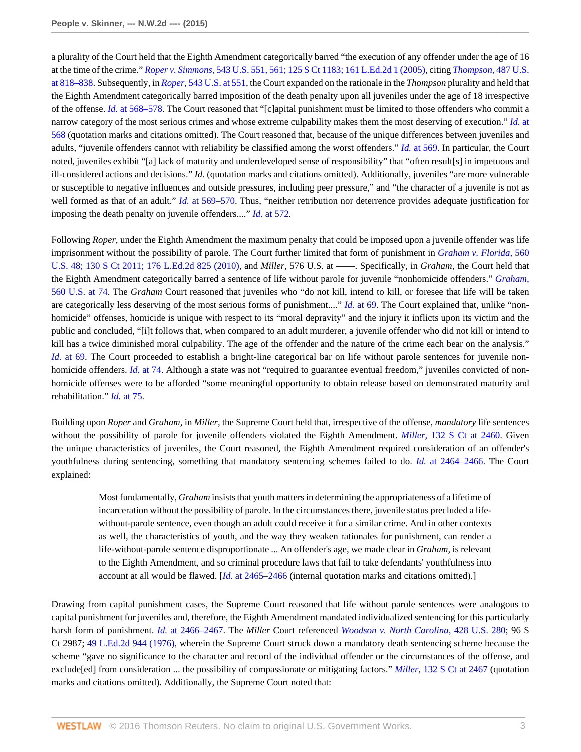a plurality of the Court held that the Eighth Amendment categorically barred "the execution of any offender under the age of 16 at the time of the crime." *Roper v. Simmons,* [543 U.S. 551, 561; 125 S Ct 1183; 161 L.Ed.2d 1 \(2005\)](http://www.westlaw.com/Link/Document/FullText?findType=Y&serNum=2006291922&pubNum=0000708&originatingDoc=I52c4367847f811e590d4edf60ce7d742&refType=RP&originationContext=document&vr=3.0&rs=cblt1.0&transitionType=DocumentItem&contextData=(sc.Search)), citing *[Thompson,](http://www.westlaw.com/Link/Document/FullText?findType=Y&serNum=1988084195&pubNum=0000780&originatingDoc=I52c4367847f811e590d4edf60ce7d742&refType=RP&fi=co_pp_sp_780_818&originationContext=document&vr=3.0&rs=cblt1.0&transitionType=DocumentItem&contextData=(sc.Search)#co_pp_sp_780_818)* 487 U.S. [at 818–838](http://www.westlaw.com/Link/Document/FullText?findType=Y&serNum=1988084195&pubNum=0000780&originatingDoc=I52c4367847f811e590d4edf60ce7d742&refType=RP&fi=co_pp_sp_780_818&originationContext=document&vr=3.0&rs=cblt1.0&transitionType=DocumentItem&contextData=(sc.Search)#co_pp_sp_780_818). Subsequently, in *Roper,* [543 U.S. at 551](http://www.westlaw.com/Link/Document/FullText?findType=Y&serNum=2006291922&pubNum=0000780&originatingDoc=I52c4367847f811e590d4edf60ce7d742&refType=RP&fi=co_pp_sp_780_551&originationContext=document&vr=3.0&rs=cblt1.0&transitionType=DocumentItem&contextData=(sc.Search)#co_pp_sp_780_551), the Court expanded on the rationale in the *Thompson* plurality and held that the Eighth Amendment categorically barred imposition of the death penalty upon all juveniles under the age of 18 irrespective of the offense. *Id.* [at 568–578](http://www.westlaw.com/Link/Document/FullText?findType=Y&serNum=2006291922&pubNum=0000780&originatingDoc=I52c4367847f811e590d4edf60ce7d742&refType=RP&fi=co_pp_sp_780_568&originationContext=document&vr=3.0&rs=cblt1.0&transitionType=DocumentItem&contextData=(sc.Search)#co_pp_sp_780_568). The Court reasoned that "[c]apital punishment must be limited to those offenders who commit a narrow category of the most serious crimes and whose extreme culpability makes them the most deserving of execution." *[Id.](http://www.westlaw.com/Link/Document/FullText?findType=Y&serNum=2006291922&pubNum=0000780&originatingDoc=I52c4367847f811e590d4edf60ce7d742&refType=RP&fi=co_pp_sp_780_568&originationContext=document&vr=3.0&rs=cblt1.0&transitionType=DocumentItem&contextData=(sc.Search)#co_pp_sp_780_568)* at [568](http://www.westlaw.com/Link/Document/FullText?findType=Y&serNum=2006291922&pubNum=0000780&originatingDoc=I52c4367847f811e590d4edf60ce7d742&refType=RP&fi=co_pp_sp_780_568&originationContext=document&vr=3.0&rs=cblt1.0&transitionType=DocumentItem&contextData=(sc.Search)#co_pp_sp_780_568) (quotation marks and citations omitted). The Court reasoned that, because of the unique differences between juveniles and adults, "juvenile offenders cannot with reliability be classified among the worst offenders." *Id.* [at 569.](http://www.westlaw.com/Link/Document/FullText?findType=Y&serNum=2006291922&pubNum=0000780&originatingDoc=I52c4367847f811e590d4edf60ce7d742&refType=RP&fi=co_pp_sp_780_569&originationContext=document&vr=3.0&rs=cblt1.0&transitionType=DocumentItem&contextData=(sc.Search)#co_pp_sp_780_569) In particular, the Court noted, juveniles exhibit "[a] lack of maturity and underdeveloped sense of responsibility" that "often result[s] in impetuous and ill-considered actions and decisions." *Id.* (quotation marks and citations omitted). Additionally, juveniles "are more vulnerable or susceptible to negative influences and outside pressures, including peer pressure," and "the character of a juvenile is not as well formed as that of an adult." *Id.* [at 569–570.](http://www.westlaw.com/Link/Document/FullText?findType=Y&serNum=2006291922&pubNum=0000780&originatingDoc=I52c4367847f811e590d4edf60ce7d742&refType=RP&fi=co_pp_sp_780_569&originationContext=document&vr=3.0&rs=cblt1.0&transitionType=DocumentItem&contextData=(sc.Search)#co_pp_sp_780_569) Thus, "neither retribution nor deterrence provides adequate justification for imposing the death penalty on juvenile offenders...." *Id.* [at 572.](http://www.westlaw.com/Link/Document/FullText?findType=Y&serNum=2006291922&pubNum=0000780&originatingDoc=I52c4367847f811e590d4edf60ce7d742&refType=RP&fi=co_pp_sp_780_572&originationContext=document&vr=3.0&rs=cblt1.0&transitionType=DocumentItem&contextData=(sc.Search)#co_pp_sp_780_572)

Following *Roper,* under the Eighth Amendment the maximum penalty that could be imposed upon a juvenile offender was life imprisonment without the possibility of parole. The Court further limited that form of punishment in *[Graham v. Florida,](http://www.westlaw.com/Link/Document/FullText?findType=Y&serNum=2022052221&pubNum=0000708&originatingDoc=I52c4367847f811e590d4edf60ce7d742&refType=RP&originationContext=document&vr=3.0&rs=cblt1.0&transitionType=DocumentItem&contextData=(sc.Search))* 560 [U.S. 48; 130 S Ct 2011; 176 L.Ed.2d 825 \(2010\)](http://www.westlaw.com/Link/Document/FullText?findType=Y&serNum=2022052221&pubNum=0000708&originatingDoc=I52c4367847f811e590d4edf60ce7d742&refType=RP&originationContext=document&vr=3.0&rs=cblt1.0&transitionType=DocumentItem&contextData=(sc.Search)), and *Miller,* 576 U.S. at ––––. Specifically, in *Graham,* the Court held that the Eighth Amendment categorically barred a sentence of life without parole for juvenile "nonhomicide offenders." *[Graham,](http://www.westlaw.com/Link/Document/FullText?findType=Y&serNum=2022052221&pubNum=0000780&originatingDoc=I52c4367847f811e590d4edf60ce7d742&refType=RP&fi=co_pp_sp_780_74&originationContext=document&vr=3.0&rs=cblt1.0&transitionType=DocumentItem&contextData=(sc.Search)#co_pp_sp_780_74)* [560 U.S. at 74](http://www.westlaw.com/Link/Document/FullText?findType=Y&serNum=2022052221&pubNum=0000780&originatingDoc=I52c4367847f811e590d4edf60ce7d742&refType=RP&fi=co_pp_sp_780_74&originationContext=document&vr=3.0&rs=cblt1.0&transitionType=DocumentItem&contextData=(sc.Search)#co_pp_sp_780_74). The *Graham* Court reasoned that juveniles who "do not kill, intend to kill, or foresee that life will be taken are categorically less deserving of the most serious forms of punishment...." *Id.* [at 69.](http://www.westlaw.com/Link/Document/FullText?findType=Y&serNum=2022052221&pubNum=0000780&originatingDoc=I52c4367847f811e590d4edf60ce7d742&refType=RP&fi=co_pp_sp_780_69&originationContext=document&vr=3.0&rs=cblt1.0&transitionType=DocumentItem&contextData=(sc.Search)#co_pp_sp_780_69) The Court explained that, unlike "nonhomicide" offenses, homicide is unique with respect to its "moral depravity" and the injury it inflicts upon its victim and the public and concluded, "[i]t follows that, when compared to an adult murderer, a juvenile offender who did not kill or intend to kill has a twice diminished moral culpability. The age of the offender and the nature of the crime each bear on the analysis." *Id.* [at 69](http://www.westlaw.com/Link/Document/FullText?findType=Y&serNum=2022052221&pubNum=0000780&originatingDoc=I52c4367847f811e590d4edf60ce7d742&refType=RP&fi=co_pp_sp_780_69&originationContext=document&vr=3.0&rs=cblt1.0&transitionType=DocumentItem&contextData=(sc.Search)#co_pp_sp_780_69). The Court proceeded to establish a bright-line categorical bar on life without parole sentences for juvenile nonhomicide offenders. *Id.* [at 74.](http://www.westlaw.com/Link/Document/FullText?findType=Y&serNum=2022052221&pubNum=0000780&originatingDoc=I52c4367847f811e590d4edf60ce7d742&refType=RP&fi=co_pp_sp_780_74&originationContext=document&vr=3.0&rs=cblt1.0&transitionType=DocumentItem&contextData=(sc.Search)#co_pp_sp_780_74) Although a state was not "required to guarantee eventual freedom," juveniles convicted of nonhomicide offenses were to be afforded "some meaningful opportunity to obtain release based on demonstrated maturity and rehabilitation." *Id.* [at 75.](http://www.westlaw.com/Link/Document/FullText?findType=Y&serNum=2022052221&pubNum=0000780&originatingDoc=I52c4367847f811e590d4edf60ce7d742&refType=RP&fi=co_pp_sp_780_75&originationContext=document&vr=3.0&rs=cblt1.0&transitionType=DocumentItem&contextData=(sc.Search)#co_pp_sp_780_75)

Building upon *Roper* and *Graham,* in *Miller,* the Supreme Court held that, irrespective of the offense, *mandatory* life sentences without the possibility of parole for juvenile offenders violated the Eighth Amendment. *Miller,* [132 S Ct at 2460](http://www.westlaw.com/Link/Document/FullText?findType=Y&serNum=2027964006&pubNum=0000708&originatingDoc=I52c4367847f811e590d4edf60ce7d742&refType=RP&fi=co_pp_sp_708_2460&originationContext=document&vr=3.0&rs=cblt1.0&transitionType=DocumentItem&contextData=(sc.Search)#co_pp_sp_708_2460). Given the unique characteristics of juveniles, the Court reasoned, the Eighth Amendment required consideration of an offender's youthfulness during sentencing, something that mandatory sentencing schemes failed to do. *Id.* [at 2464–2466](http://www.westlaw.com/Link/Document/FullText?findType=Y&serNum=2027964006&pubNum=0000708&originatingDoc=I52c4367847f811e590d4edf60ce7d742&refType=RP&fi=co_pp_sp_708_2464&originationContext=document&vr=3.0&rs=cblt1.0&transitionType=DocumentItem&contextData=(sc.Search)#co_pp_sp_708_2464). The Court explained:

Most fundamentally, *Graham* insists that youth matters in determining the appropriateness of a lifetime of incarceration without the possibility of parole. In the circumstances there, juvenile status precluded a lifewithout-parole sentence, even though an adult could receive it for a similar crime. And in other contexts as well, the characteristics of youth, and the way they weaken rationales for punishment, can render a life-without-parole sentence disproportionate ... An offender's age, we made clear in *Graham,* is relevant to the Eighth Amendment, and so criminal procedure laws that fail to take defendants' youthfulness into account at all would be flawed. [*Id.* [at 2465–2466](http://www.westlaw.com/Link/Document/FullText?findType=Y&serNum=2027964006&pubNum=0000708&originatingDoc=I52c4367847f811e590d4edf60ce7d742&refType=RP&fi=co_pp_sp_708_2465&originationContext=document&vr=3.0&rs=cblt1.0&transitionType=DocumentItem&contextData=(sc.Search)#co_pp_sp_708_2465) (internal quotation marks and citations omitted).]

Drawing from capital punishment cases, the Supreme Court reasoned that life without parole sentences were analogous to capital punishment for juveniles and, therefore, the Eighth Amendment mandated individualized sentencing for this particularly harsh form of punishment. *Id.* [at 2466–2467](http://www.westlaw.com/Link/Document/FullText?findType=Y&serNum=2027964006&pubNum=0000708&originatingDoc=I52c4367847f811e590d4edf60ce7d742&refType=RP&fi=co_pp_sp_708_2466&originationContext=document&vr=3.0&rs=cblt1.0&transitionType=DocumentItem&contextData=(sc.Search)#co_pp_sp_708_2466). The *Miller* Court referenced *[Woodson v. North Carolina,](http://www.westlaw.com/Link/Document/FullText?findType=Y&serNum=1976141320&pubNum=0000780&originatingDoc=I52c4367847f811e590d4edf60ce7d742&refType=RP&originationContext=document&vr=3.0&rs=cblt1.0&transitionType=DocumentItem&contextData=(sc.Search))* 428 U.S. 280; 96 S Ct 2987; [49 L.Ed.2d 944 \(1976\)](http://www.westlaw.com/Link/Document/FullText?findType=Y&serNum=1976141320&pubNum=0000471&originatingDoc=I52c4367847f811e590d4edf60ce7d742&refType=RP&originationContext=document&vr=3.0&rs=cblt1.0&transitionType=DocumentItem&contextData=(sc.Search)), wherein the Supreme Court struck down a mandatory death sentencing scheme because the scheme "gave no significance to the character and record of the individual offender or the circumstances of the offense, and exclude[ed] from consideration ... the possibility of compassionate or mitigating factors." *Miller,* [132 S Ct at 2467](http://www.westlaw.com/Link/Document/FullText?findType=Y&serNum=2027964006&pubNum=0000708&originatingDoc=I52c4367847f811e590d4edf60ce7d742&refType=RP&fi=co_pp_sp_708_2467&originationContext=document&vr=3.0&rs=cblt1.0&transitionType=DocumentItem&contextData=(sc.Search)#co_pp_sp_708_2467) (quotation marks and citations omitted). Additionally, the Supreme Court noted that: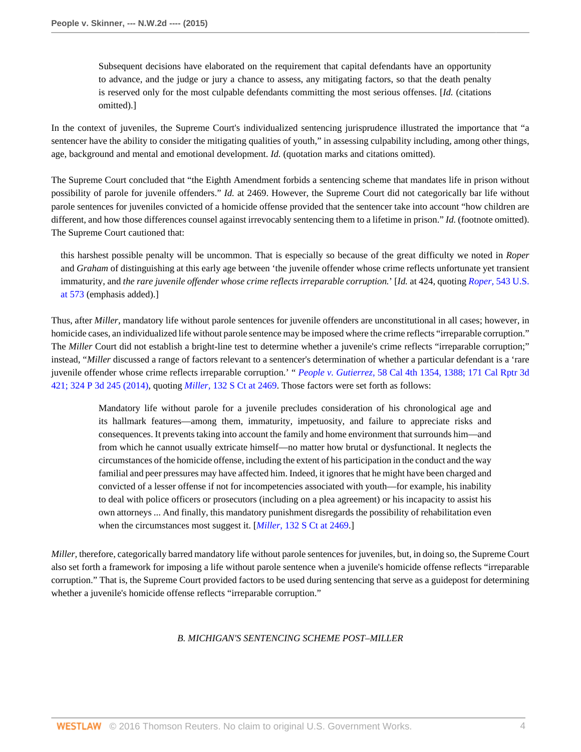Subsequent decisions have elaborated on the requirement that capital defendants have an opportunity to advance, and the judge or jury a chance to assess, any mitigating factors, so that the death penalty is reserved only for the most culpable defendants committing the most serious offenses. [*Id.* (citations omitted).]

In the context of juveniles, the Supreme Court's individualized sentencing jurisprudence illustrated the importance that "a sentencer have the ability to consider the mitigating qualities of youth," in assessing culpability including, among other things, age, background and mental and emotional development. *Id.* (quotation marks and citations omitted).

The Supreme Court concluded that "the Eighth Amendment forbids a sentencing scheme that mandates life in prison without possibility of parole for juvenile offenders." *Id.* at 2469. However, the Supreme Court did not categorically bar life without parole sentences for juveniles convicted of a homicide offense provided that the sentencer take into account "how children are different, and how those differences counsel against irrevocably sentencing them to a lifetime in prison." *Id.* (footnote omitted). The Supreme Court cautioned that:

this harshest possible penalty will be uncommon. That is especially so because of the great difficulty we noted in *Roper* and *Graham* of distinguishing at this early age between 'the juvenile offender whose crime reflects unfortunate yet transient immaturity, and *the rare juvenile offender whose crime reflects irreparable corruption.*' [*Id.* at 424, quoting *Roper,* [543 U.S.](http://www.westlaw.com/Link/Document/FullText?findType=Y&serNum=2006291922&pubNum=0000780&originatingDoc=I52c4367847f811e590d4edf60ce7d742&refType=RP&fi=co_pp_sp_780_573&originationContext=document&vr=3.0&rs=cblt1.0&transitionType=DocumentItem&contextData=(sc.Search)#co_pp_sp_780_573) [at 573](http://www.westlaw.com/Link/Document/FullText?findType=Y&serNum=2006291922&pubNum=0000780&originatingDoc=I52c4367847f811e590d4edf60ce7d742&refType=RP&fi=co_pp_sp_780_573&originationContext=document&vr=3.0&rs=cblt1.0&transitionType=DocumentItem&contextData=(sc.Search)#co_pp_sp_780_573) (emphasis added).]

Thus, after *Miller,* mandatory life without parole sentences for juvenile offenders are unconstitutional in all cases; however, in homicide cases, an individualized life without parole sentence may be imposed where the crime reflects "irreparable corruption." The *Miller* Court did not establish a bright-line test to determine whether a juvenile's crime reflects "irreparable corruption;" instead, "*Miller* discussed a range of factors relevant to a sentencer's determination of whether a particular defendant is a 'rare juvenile offender whose crime reflects irreparable corruption.' " *People v. Gutierrez,* [58 Cal 4th 1354, 1388; 171 Cal Rptr 3d](http://www.westlaw.com/Link/Document/FullText?findType=Y&serNum=2033318593&pubNum=0004645&originatingDoc=I52c4367847f811e590d4edf60ce7d742&refType=RP&originationContext=document&vr=3.0&rs=cblt1.0&transitionType=DocumentItem&contextData=(sc.Search)) [421; 324 P 3d 245 \(2014\)](http://www.westlaw.com/Link/Document/FullText?findType=Y&serNum=2033318593&pubNum=0004645&originatingDoc=I52c4367847f811e590d4edf60ce7d742&refType=RP&originationContext=document&vr=3.0&rs=cblt1.0&transitionType=DocumentItem&contextData=(sc.Search)), quoting *Miller,* [132 S Ct at 2469.](http://www.westlaw.com/Link/Document/FullText?findType=Y&serNum=2027964006&pubNum=0000708&originatingDoc=I52c4367847f811e590d4edf60ce7d742&refType=RP&fi=co_pp_sp_708_2469&originationContext=document&vr=3.0&rs=cblt1.0&transitionType=DocumentItem&contextData=(sc.Search)#co_pp_sp_708_2469) Those factors were set forth as follows:

Mandatory life without parole for a juvenile precludes consideration of his chronological age and its hallmark features—among them, immaturity, impetuosity, and failure to appreciate risks and consequences. It prevents taking into account the family and home environment that surrounds him—and from which he cannot usually extricate himself—no matter how brutal or dysfunctional. It neglects the circumstances of the homicide offense, including the extent of his participation in the conduct and the way familial and peer pressures may have affected him. Indeed, it ignores that he might have been charged and convicted of a lesser offense if not for incompetencies associated with youth—for example, his inability to deal with police officers or prosecutors (including on a plea agreement) or his incapacity to assist his own attorneys ... And finally, this mandatory punishment disregards the possibility of rehabilitation even when the circumstances most suggest it. [*Miller,* [132 S Ct at 2469.](http://www.westlaw.com/Link/Document/FullText?findType=Y&serNum=2027964006&pubNum=0000708&originatingDoc=I52c4367847f811e590d4edf60ce7d742&refType=RP&fi=co_pp_sp_708_2469&originationContext=document&vr=3.0&rs=cblt1.0&transitionType=DocumentItem&contextData=(sc.Search)#co_pp_sp_708_2469)]

*Miller,* therefore, categorically barred mandatory life without parole sentences for juveniles, but, in doing so, the Supreme Court also set forth a framework for imposing a life without parole sentence when a juvenile's homicide offense reflects "irreparable corruption." That is, the Supreme Court provided factors to be used during sentencing that serve as a guidepost for determining whether a juvenile's homicide offense reflects "irreparable corruption."

# *B. MICHIGAN'S SENTENCING SCHEME POST–MILLER*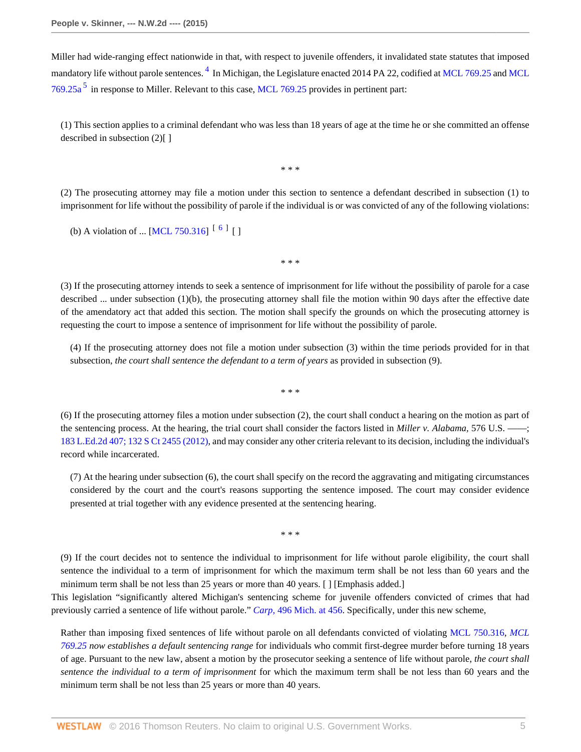<span id="page-4-1"></span>Miller had wide-ranging effect nationwide in that, with respect to juvenile offenders, it invalidated state statutes that imposed mandatory life without parole sentences. <sup>[4](#page-21-3)</sup> In Michigan, the Legislature enacted 2014 PA 22, codified at [MCL 769.25](http://www.westlaw.com/Link/Document/FullText?findType=L&pubNum=1000043&cite=MIST769.25&originatingDoc=I52c4367847f811e590d4edf60ce7d742&refType=LQ&originationContext=document&vr=3.0&rs=cblt1.0&transitionType=DocumentItem&contextData=(sc.Search)) and [MCL](http://www.westlaw.com/Link/Document/FullText?findType=L&pubNum=1000043&cite=MIST769.25A&originatingDoc=I52c4367847f811e590d4edf60ce7d742&refType=LQ&originationContext=document&vr=3.0&rs=cblt1.0&transitionType=DocumentItem&contextData=(sc.Search))  $769.25a<sup>5</sup>$  $769.25a<sup>5</sup>$  $769.25a<sup>5</sup>$  $769.25a<sup>5</sup>$  in response to Miller. Relevant to this case, [MCL 769.25](http://www.westlaw.com/Link/Document/FullText?findType=L&pubNum=1000043&cite=MIST769.25&originatingDoc=I52c4367847f811e590d4edf60ce7d742&refType=LQ&originationContext=document&vr=3.0&rs=cblt1.0&transitionType=DocumentItem&contextData=(sc.Search)) provides in pertinent part:

(1) This section applies to a criminal defendant who was less than 18 years of age at the time he or she committed an offense described in subsection (2)[]

<span id="page-4-0"></span>\* \* \*

(2) The prosecuting attorney may file a motion under this section to sentence a defendant described in subsection (1) to imprisonment for life without the possibility of parole if the individual is or was convicted of any of the following violations:

(b) A violation of ... [\[MCL 750.316\]](http://www.westlaw.com/Link/Document/FullText?findType=L&pubNum=1000043&cite=MIST750.316&originatingDoc=I52c4367847f811e590d4edf60ce7d742&refType=LQ&originationContext=document&vr=3.0&rs=cblt1.0&transitionType=DocumentItem&contextData=(sc.Search))  $\begin{bmatrix} 6 \end{bmatrix}$  $\begin{bmatrix} 6 \end{bmatrix}$  $\begin{bmatrix} 6 \end{bmatrix}$  []

(3) If the prosecuting attorney intends to seek a sentence of imprisonment for life without the possibility of parole for a case described  $\ldots$  under subsection (1)(b), the prosecuting attorney shall file the motion within 90 days after the effective date of the amendatory act that added this section. The motion shall specify the grounds on which the prosecuting attorney is requesting the court to impose a sentence of imprisonment for life without the possibility of parole.

<span id="page-4-2"></span>\* \* \*

(4) If the prosecuting attorney does not file a motion under subsection (3) within the time periods provided for in that subsection, *the court shall sentence the defendant to a term of years* as provided in subsection (9).

\* \* \*

(6) If the prosecuting attorney files a motion under subsection (2), the court shall conduct a hearing on the motion as part of the sentencing process. At the hearing, the trial court shall consider the factors listed in *Miller v. Alabama*, 576 U.S. — [183 L.Ed.2d 407; 132 S Ct 2455 \(2012\)](http://www.westlaw.com/Link/Document/FullText?findType=Y&serNum=2027964006&pubNum=0000708&originatingDoc=I52c4367847f811e590d4edf60ce7d742&refType=RP&originationContext=document&vr=3.0&rs=cblt1.0&transitionType=DocumentItem&contextData=(sc.Search)), and may consider any other criteria relevant to its decision, including the individual's record while incarcerated.

(7) At the hearing under subsection (6), the court shall specify on the record the aggravating and mitigating circumstances considered by the court and the court's reasons supporting the sentence imposed. The court may consider evidence presented at trial together with any evidence presented at the sentencing hearing.

\* \* \*

(9) If the court decides not to sentence the individual to imprisonment for life without parole eligibility, the court shall sentence the individual to a term of imprisonment for which the maximum term shall be not less than 60 years and the minimum term shall be not less than 25 years or more than 40 years. [ ] [Emphasis added.]

This legislation "significantly altered Michigan's sentencing scheme for juvenile offenders convicted of crimes that had previously carried a sentence of life without parole." *Carp,* [496 Mich. at 456.](http://www.westlaw.com/Link/Document/FullText?findType=Y&serNum=2033796369&pubNum=0000542&originatingDoc=I52c4367847f811e590d4edf60ce7d742&refType=RP&fi=co_pp_sp_542_456&originationContext=document&vr=3.0&rs=cblt1.0&transitionType=DocumentItem&contextData=(sc.Search)#co_pp_sp_542_456) Specifically, under this new scheme,

Rather than imposing fixed sentences of life without parole on all defendants convicted of violating [MCL 750.316,](http://www.westlaw.com/Link/Document/FullText?findType=L&pubNum=1000043&cite=MIST750.316&originatingDoc=I52c4367847f811e590d4edf60ce7d742&refType=LQ&originationContext=document&vr=3.0&rs=cblt1.0&transitionType=DocumentItem&contextData=(sc.Search)) *[MCL](http://www.westlaw.com/Link/Document/FullText?findType=L&pubNum=1000043&cite=MIST769.25&originatingDoc=I52c4367847f811e590d4edf60ce7d742&refType=LQ&originationContext=document&vr=3.0&rs=cblt1.0&transitionType=DocumentItem&contextData=(sc.Search)) [769.25](http://www.westlaw.com/Link/Document/FullText?findType=L&pubNum=1000043&cite=MIST769.25&originatingDoc=I52c4367847f811e590d4edf60ce7d742&refType=LQ&originationContext=document&vr=3.0&rs=cblt1.0&transitionType=DocumentItem&contextData=(sc.Search)) now establishes a default sentencing range* for individuals who commit first-degree murder before turning 18 years of age. Pursuant to the new law, absent a motion by the prosecutor seeking a sentence of life without parole, *the court shall sentence the individual to a term of imprisonment* for which the maximum term shall be not less than 60 years and the minimum term shall be not less than 25 years or more than 40 years.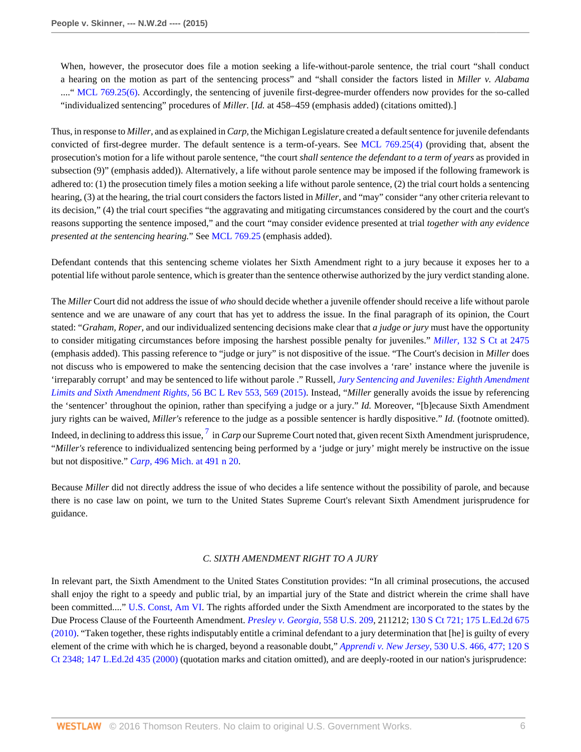When, however, the prosecutor does file a motion seeking a life-without-parole sentence, the trial court "shall conduct a hearing on the motion as part of the sentencing process" and "shall consider the factors listed in *Miller v. Alabama* ...." [MCL 769.25\(6\)](http://www.westlaw.com/Link/Document/FullText?findType=L&pubNum=1000043&cite=MIST769.25&originatingDoc=I52c4367847f811e590d4edf60ce7d742&refType=LQ&originationContext=document&vr=3.0&rs=cblt1.0&transitionType=DocumentItem&contextData=(sc.Search)). Accordingly, the sentencing of juvenile first-degree-murder offenders now provides for the so-called "individualized sentencing" procedures of *Miller.* [*Id.* at 458–459 (emphasis added) (citations omitted).]

Thus, in response to *Miller,* and as explained in *Carp,* the Michigan Legislature created a default sentence for juvenile defendants convicted of first-degree murder. The default sentence is a term-of-years. See [MCL 769.25\(4\)](http://www.westlaw.com/Link/Document/FullText?findType=L&pubNum=1000043&cite=MIST769.25&originatingDoc=I52c4367847f811e590d4edf60ce7d742&refType=LQ&originationContext=document&vr=3.0&rs=cblt1.0&transitionType=DocumentItem&contextData=(sc.Search)) (providing that, absent the prosecution's motion for a life without parole sentence, "the court *shall sentence the defendant to a term of years* as provided in subsection (9)" (emphasis added)). Alternatively, a life without parole sentence may be imposed if the following framework is adhered to: (1) the prosecution timely files a motion seeking a life without parole sentence, (2) the trial court holds a sentencing hearing, (3) at the hearing, the trial court considers the factors listed in *Miller,* and "may" consider "any other criteria relevant to its decision," (4) the trial court specifies "the aggravating and mitigating circumstances considered by the court and the court's reasons supporting the sentence imposed," and the court "may consider evidence presented at trial *together with any evidence presented at the sentencing hearing.*" See [MCL 769.25](http://www.westlaw.com/Link/Document/FullText?findType=L&pubNum=1000043&cite=MIST769.25&originatingDoc=I52c4367847f811e590d4edf60ce7d742&refType=LQ&originationContext=document&vr=3.0&rs=cblt1.0&transitionType=DocumentItem&contextData=(sc.Search)) (emphasis added).

Defendant contends that this sentencing scheme violates her Sixth Amendment right to a jury because it exposes her to a potential life without parole sentence, which is greater than the sentence otherwise authorized by the jury verdict standing alone.

The *Miller* Court did not address the issue of *who* should decide whether a juvenile offender should receive a life without parole sentence and we are unaware of any court that has yet to address the issue. In the final paragraph of its opinion, the Court stated: "*Graham, Roper,* and our individualized sentencing decisions make clear that *a judge or jury* must have the opportunity to consider mitigating circumstances before imposing the harshest possible penalty for juveniles." *Miller,* [132 S Ct at 2475](http://www.westlaw.com/Link/Document/FullText?findType=Y&serNum=2027964006&pubNum=0000708&originatingDoc=I52c4367847f811e590d4edf60ce7d742&refType=RP&fi=co_pp_sp_708_2475&originationContext=document&vr=3.0&rs=cblt1.0&transitionType=DocumentItem&contextData=(sc.Search)#co_pp_sp_708_2475) (emphasis added). This passing reference to "judge or jury" is not dispositive of the issue. "The Court's decision in *Miller* does not discuss who is empowered to make the sentencing decision that the case involves a 'rare' instance where the juvenile is 'irreparably corrupt' and may be sentenced to life without parole ." Russell, *[Jury Sentencing and Juveniles: Eighth Amendment](http://www.westlaw.com/Link/Document/FullText?findType=Y&serNum=0429753604&pubNum=0001101&originatingDoc=I52c4367847f811e590d4edf60ce7d742&refType=LR&fi=co_pp_sp_1101_569&originationContext=document&vr=3.0&rs=cblt1.0&transitionType=DocumentItem&contextData=(sc.Search)#co_pp_sp_1101_569) [Limits and Sixth Amendment Rights,](http://www.westlaw.com/Link/Document/FullText?findType=Y&serNum=0429753604&pubNum=0001101&originatingDoc=I52c4367847f811e590d4edf60ce7d742&refType=LR&fi=co_pp_sp_1101_569&originationContext=document&vr=3.0&rs=cblt1.0&transitionType=DocumentItem&contextData=(sc.Search)#co_pp_sp_1101_569)* 56 BC L Rev 553, 569 (2015). Instead, "*Miller* generally avoids the issue by referencing the 'sentencer' throughout the opinion, rather than specifying a judge or a jury." *Id.* Moreover, "[b]ecause Sixth Amendment jury rights can be waived, *Miller's* reference to the judge as a possible sentencer is hardly dispositive." *Id.* (footnote omitted). Indeed, in declining to address this issue, <sup>[7](#page-21-6)</sup> in *Carp* our Supreme Court noted that, given recent Sixth Amendment jurisprudence, "*Miller's* reference to individualized sentencing being performed by a 'judge or jury' might merely be instructive on the issue but not dispositive." *Carp,* [496 Mich. at 491 n 20](http://www.westlaw.com/Link/Document/FullText?findType=Y&serNum=2033796369&pubNum=0000542&originatingDoc=I52c4367847f811e590d4edf60ce7d742&refType=RP&fi=co_pp_sp_542_491&originationContext=document&vr=3.0&rs=cblt1.0&transitionType=DocumentItem&contextData=(sc.Search)#co_pp_sp_542_491).

Because *Miller* did not directly address the issue of who decides a life sentence without the possibility of parole, and because there is no case law on point, we turn to the United States Supreme Court's relevant Sixth Amendment jurisprudence for guidance.

### <span id="page-5-0"></span>*C. SIXTH AMENDMENT RIGHT TO A JURY*

In relevant part, the Sixth Amendment to the United States Constitution provides: "In all criminal prosecutions, the accused shall enjoy the right to a speedy and public trial, by an impartial jury of the State and district wherein the crime shall have been committed...." [U.S. Const, Am VI.](http://www.westlaw.com/Link/Document/FullText?findType=L&pubNum=1000583&cite=USCOAMENDVI&originatingDoc=I52c4367847f811e590d4edf60ce7d742&refType=LQ&originationContext=document&vr=3.0&rs=cblt1.0&transitionType=DocumentItem&contextData=(sc.Search)) The rights afforded under the Sixth Amendment are incorporated to the states by the Due Process Clause of the Fourteenth Amendment. *[Presley v. Georgia,](http://www.westlaw.com/Link/Document/FullText?findType=Y&serNum=2021151412&pubNum=0000780&originatingDoc=I52c4367847f811e590d4edf60ce7d742&refType=RP&originationContext=document&vr=3.0&rs=cblt1.0&transitionType=DocumentItem&contextData=(sc.Search))* 558 U.S. 209, 211212; [130 S Ct 721; 175 L.Ed.2d 675](http://www.westlaw.com/Link/Document/FullText?findType=Y&serNum=2021151412&pubNum=0000708&originatingDoc=I52c4367847f811e590d4edf60ce7d742&refType=RP&originationContext=document&vr=3.0&rs=cblt1.0&transitionType=DocumentItem&contextData=(sc.Search)) [\(2010\).](http://www.westlaw.com/Link/Document/FullText?findType=Y&serNum=2021151412&pubNum=0000708&originatingDoc=I52c4367847f811e590d4edf60ce7d742&refType=RP&originationContext=document&vr=3.0&rs=cblt1.0&transitionType=DocumentItem&contextData=(sc.Search)) "Taken together, these rights indisputably entitle a criminal defendant to a jury determination that [he] is guilty of every element of the crime with which he is charged, beyond a reasonable doubt," *Apprendi v. New Jersey,* [530 U.S. 466, 477; 120 S](http://www.westlaw.com/Link/Document/FullText?findType=Y&serNum=2000387238&pubNum=0000708&originatingDoc=I52c4367847f811e590d4edf60ce7d742&refType=RP&originationContext=document&vr=3.0&rs=cblt1.0&transitionType=DocumentItem&contextData=(sc.Search)) [Ct 2348; 147 L.Ed.2d 435 \(2000\)](http://www.westlaw.com/Link/Document/FullText?findType=Y&serNum=2000387238&pubNum=0000708&originatingDoc=I52c4367847f811e590d4edf60ce7d742&refType=RP&originationContext=document&vr=3.0&rs=cblt1.0&transitionType=DocumentItem&contextData=(sc.Search)) (quotation marks and citation omitted), and are deeply-rooted in our nation's jurisprudence: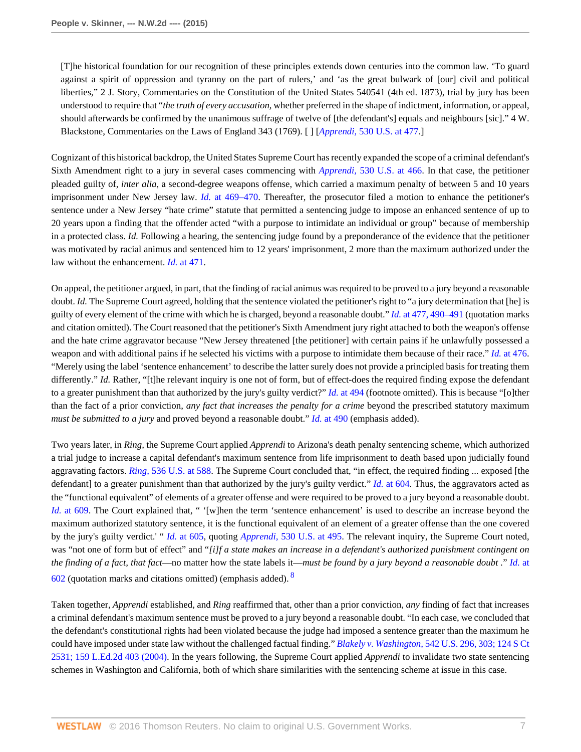[T]he historical foundation for our recognition of these principles extends down centuries into the common law. 'To guard against a spirit of oppression and tyranny on the part of rulers,' and 'as the great bulwark of [our] civil and political liberties," 2 J. Story, Commentaries on the Constitution of the United States 540541 (4th ed. 1873), trial by jury has been understood to require that "*the truth of every accusation,* whether preferred in the shape of indictment, information, or appeal, should afterwards be confirmed by the unanimous suffrage of twelve of [the defendant's] equals and neighbours [sic]." 4 W. Blackstone, Commentaries on the Laws of England 343 (1769). [ ] [*Apprendi,* [530 U.S. at 477](http://www.westlaw.com/Link/Document/FullText?findType=Y&serNum=2000387238&pubNum=0000780&originatingDoc=I52c4367847f811e590d4edf60ce7d742&refType=RP&fi=co_pp_sp_780_477&originationContext=document&vr=3.0&rs=cblt1.0&transitionType=DocumentItem&contextData=(sc.Search)#co_pp_sp_780_477).]

Cognizant of this historical backdrop, the United States Supreme Court has recently expanded the scope of a criminal defendant's Sixth Amendment right to a jury in several cases commencing with *Apprendi,* [530 U.S. at 466.](http://www.westlaw.com/Link/Document/FullText?findType=Y&serNum=2000387238&pubNum=0000780&originatingDoc=I52c4367847f811e590d4edf60ce7d742&refType=RP&fi=co_pp_sp_780_466&originationContext=document&vr=3.0&rs=cblt1.0&transitionType=DocumentItem&contextData=(sc.Search)#co_pp_sp_780_466) In that case, the petitioner pleaded guilty of, *inter alia,* a second-degree weapons offense, which carried a maximum penalty of between 5 and 10 years imprisonment under New Jersey law. *Id.* [at 469–470](http://www.westlaw.com/Link/Document/FullText?findType=Y&serNum=2000387238&pubNum=0000780&originatingDoc=I52c4367847f811e590d4edf60ce7d742&refType=RP&fi=co_pp_sp_780_469&originationContext=document&vr=3.0&rs=cblt1.0&transitionType=DocumentItem&contextData=(sc.Search)#co_pp_sp_780_469). Thereafter, the prosecutor filed a motion to enhance the petitioner's sentence under a New Jersey "hate crime" statute that permitted a sentencing judge to impose an enhanced sentence of up to 20 years upon a finding that the offender acted "with a purpose to intimidate an individual or group" because of membership in a protected class. *Id.* Following a hearing, the sentencing judge found by a preponderance of the evidence that the petitioner was motivated by racial animus and sentenced him to 12 years' imprisonment, 2 more than the maximum authorized under the law without the enhancement. *Id.* [at 471.](http://www.westlaw.com/Link/Document/FullText?findType=Y&serNum=2000387238&pubNum=0000780&originatingDoc=I52c4367847f811e590d4edf60ce7d742&refType=RP&fi=co_pp_sp_780_471&originationContext=document&vr=3.0&rs=cblt1.0&transitionType=DocumentItem&contextData=(sc.Search)#co_pp_sp_780_471)

On appeal, the petitioner argued, in part, that the finding of racial animus was required to be proved to a jury beyond a reasonable doubt. *Id.* The Supreme Court agreed, holding that the sentence violated the petitioner's right to "a jury determination that [he] is guilty of every element of the crime with which he is charged, beyond a reasonable doubt." *Id.* [at 477, 490–491](http://www.westlaw.com/Link/Document/FullText?findType=Y&serNum=2000387238&pubNum=0000780&originatingDoc=I52c4367847f811e590d4edf60ce7d742&refType=RP&fi=co_pp_sp_780_477&originationContext=document&vr=3.0&rs=cblt1.0&transitionType=DocumentItem&contextData=(sc.Search)#co_pp_sp_780_477) (quotation marks and citation omitted). The Court reasoned that the petitioner's Sixth Amendment jury right attached to both the weapon's offense and the hate crime aggravator because "New Jersey threatened [the petitioner] with certain pains if he unlawfully possessed a weapon and with additional pains if he selected his victims with a purpose to intimidate them because of their race." *Id.* [at 476.](http://www.westlaw.com/Link/Document/FullText?findType=Y&serNum=2000387238&pubNum=0000780&originatingDoc=I52c4367847f811e590d4edf60ce7d742&refType=RP&fi=co_pp_sp_780_476&originationContext=document&vr=3.0&rs=cblt1.0&transitionType=DocumentItem&contextData=(sc.Search)#co_pp_sp_780_476) "Merely using the label 'sentence enhancement' to describe the latter surely does not provide a principled basis for treating them differently." *Id.* Rather, "[t]he relevant inquiry is one not of form, but of effect-does the required finding expose the defendant to a greater punishment than that authorized by the jury's guilty verdict?" *Id.* [at 494](http://www.westlaw.com/Link/Document/FullText?findType=Y&serNum=2000387238&pubNum=0000780&originatingDoc=I52c4367847f811e590d4edf60ce7d742&refType=RP&fi=co_pp_sp_780_494&originationContext=document&vr=3.0&rs=cblt1.0&transitionType=DocumentItem&contextData=(sc.Search)#co_pp_sp_780_494) (footnote omitted). This is because "[o]ther than the fact of a prior conviction, *any fact that increases the penalty for a crime* beyond the prescribed statutory maximum *must be submitted to a jury* and proved beyond a reasonable doubt." *Id.* [at 490](http://www.westlaw.com/Link/Document/FullText?findType=Y&serNum=2000387238&pubNum=0000780&originatingDoc=I52c4367847f811e590d4edf60ce7d742&refType=RP&fi=co_pp_sp_780_490&originationContext=document&vr=3.0&rs=cblt1.0&transitionType=DocumentItem&contextData=(sc.Search)#co_pp_sp_780_490) (emphasis added).

Two years later, in *Ring,* the Supreme Court applied *Apprendi* to Arizona's death penalty sentencing scheme, which authorized a trial judge to increase a capital defendant's maximum sentence from life imprisonment to death based upon judicially found aggravating factors. *Ring,* [536 U.S. at 588](http://www.westlaw.com/Link/Document/FullText?findType=Y&serNum=2002390142&pubNum=0000780&originatingDoc=I52c4367847f811e590d4edf60ce7d742&refType=RP&fi=co_pp_sp_780_588&originationContext=document&vr=3.0&rs=cblt1.0&transitionType=DocumentItem&contextData=(sc.Search)#co_pp_sp_780_588). The Supreme Court concluded that, "in effect, the required finding ... exposed [the defendant] to a greater punishment than that authorized by the jury's guilty verdict." *Id.* [at 604.](http://www.westlaw.com/Link/Document/FullText?findType=Y&serNum=2002390142&pubNum=0000780&originatingDoc=I52c4367847f811e590d4edf60ce7d742&refType=RP&fi=co_pp_sp_780_604&originationContext=document&vr=3.0&rs=cblt1.0&transitionType=DocumentItem&contextData=(sc.Search)#co_pp_sp_780_604) Thus, the aggravators acted as the "functional equivalent" of elements of a greater offense and were required to be proved to a jury beyond a reasonable doubt. *Id.* [at 609](http://www.westlaw.com/Link/Document/FullText?findType=Y&serNum=2002390142&pubNum=0000780&originatingDoc=I52c4367847f811e590d4edf60ce7d742&refType=RP&fi=co_pp_sp_780_609&originationContext=document&vr=3.0&rs=cblt1.0&transitionType=DocumentItem&contextData=(sc.Search)#co_pp_sp_780_609). The Court explained that, " '[w]hen the term 'sentence enhancement' is used to describe an increase beyond the maximum authorized statutory sentence, it is the functional equivalent of an element of a greater offense than the one covered by the jury's guilty verdict.' " *Id.* [at 605,](http://www.westlaw.com/Link/Document/FullText?findType=Y&serNum=2002390142&pubNum=0000780&originatingDoc=I52c4367847f811e590d4edf60ce7d742&refType=RP&fi=co_pp_sp_780_605&originationContext=document&vr=3.0&rs=cblt1.0&transitionType=DocumentItem&contextData=(sc.Search)#co_pp_sp_780_605) quoting *Apprendi,* [530 U.S. at 495](http://www.westlaw.com/Link/Document/FullText?findType=Y&serNum=2000387238&pubNum=0000780&originatingDoc=I52c4367847f811e590d4edf60ce7d742&refType=RP&fi=co_pp_sp_780_495&originationContext=document&vr=3.0&rs=cblt1.0&transitionType=DocumentItem&contextData=(sc.Search)#co_pp_sp_780_495). The relevant inquiry, the Supreme Court noted, was "not one of form but of effect" and "*[i]f a state makes an increase in a defendant's authorized punishment contingent on the finding of a fact, that fact*—no matter how the state labels it—*must be found by a jury beyond a reasonable doubt .*" *[Id.](http://www.westlaw.com/Link/Document/FullText?findType=Y&serNum=2002390142&pubNum=0000780&originatingDoc=I52c4367847f811e590d4edf60ce7d742&refType=RP&fi=co_pp_sp_780_602&originationContext=document&vr=3.0&rs=cblt1.0&transitionType=DocumentItem&contextData=(sc.Search)#co_pp_sp_780_602)* at  $602$  (quotation marks and citations omitted) (emphasis added).  $8$ 

<span id="page-6-0"></span>Taken together, *Apprendi* established, and *Ring* reaffirmed that, other than a prior conviction, *any* finding of fact that increases a criminal defendant's maximum sentence must be proved to a jury beyond a reasonable doubt. "In each case, we concluded that the defendant's constitutional rights had been violated because the judge had imposed a sentence greater than the maximum he could have imposed under state law without the challenged factual finding." *Blakely v. Washington,* [542 U.S. 296, 303; 124 S Ct](http://www.westlaw.com/Link/Document/FullText?findType=Y&serNum=2004622625&pubNum=0000708&originatingDoc=I52c4367847f811e590d4edf60ce7d742&refType=RP&originationContext=document&vr=3.0&rs=cblt1.0&transitionType=DocumentItem&contextData=(sc.Search)) [2531; 159 L.Ed.2d 403 \(2004\).](http://www.westlaw.com/Link/Document/FullText?findType=Y&serNum=2004622625&pubNum=0000708&originatingDoc=I52c4367847f811e590d4edf60ce7d742&refType=RP&originationContext=document&vr=3.0&rs=cblt1.0&transitionType=DocumentItem&contextData=(sc.Search)) In the years following, the Supreme Court applied *Apprendi* to invalidate two state sentencing schemes in Washington and California, both of which share similarities with the sentencing scheme at issue in this case.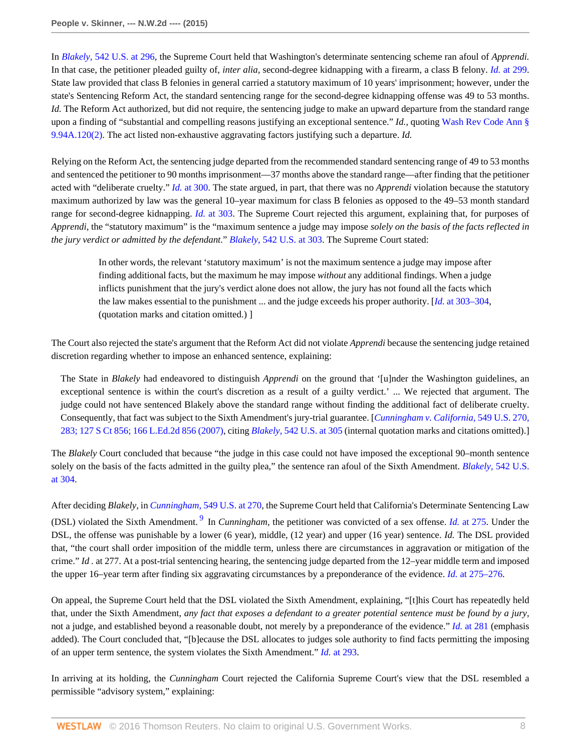In *Blakely,* [542 U.S. at 296](http://www.westlaw.com/Link/Document/FullText?findType=Y&serNum=2004622625&pubNum=0000780&originatingDoc=I52c4367847f811e590d4edf60ce7d742&refType=RP&fi=co_pp_sp_780_296&originationContext=document&vr=3.0&rs=cblt1.0&transitionType=DocumentItem&contextData=(sc.Search)#co_pp_sp_780_296), the Supreme Court held that Washington's determinate sentencing scheme ran afoul of *Apprendi.* In that case, the petitioner pleaded guilty of, *inter alia,* second-degree kidnapping with a firearm, a class B felony. *Id.* [at 299](http://www.westlaw.com/Link/Document/FullText?findType=Y&serNum=2004622625&pubNum=0000780&originatingDoc=I52c4367847f811e590d4edf60ce7d742&refType=RP&fi=co_pp_sp_780_299&originationContext=document&vr=3.0&rs=cblt1.0&transitionType=DocumentItem&contextData=(sc.Search)#co_pp_sp_780_299). State law provided that class B felonies in general carried a statutory maximum of 10 years' imprisonment; however, under the state's Sentencing Reform Act, the standard sentencing range for the second-degree kidnapping offense was 49 to 53 months. *Id.* The Reform Act authorized, but did not require, the sentencing judge to make an upward departure from the standard range upon a finding of "substantial and compelling reasons justifying an exceptional sentence." *Id.,* quoting [Wash Rev Code Ann §](http://www.westlaw.com/Link/Document/FullText?findType=L&pubNum=1000259&cite=WAST9.94A.120&originatingDoc=I52c4367847f811e590d4edf60ce7d742&refType=LQ&originationContext=document&vr=3.0&rs=cblt1.0&transitionType=DocumentItem&contextData=(sc.Search)) [9.94A.120\(2\).](http://www.westlaw.com/Link/Document/FullText?findType=L&pubNum=1000259&cite=WAST9.94A.120&originatingDoc=I52c4367847f811e590d4edf60ce7d742&refType=LQ&originationContext=document&vr=3.0&rs=cblt1.0&transitionType=DocumentItem&contextData=(sc.Search)) The act listed non-exhaustive aggravating factors justifying such a departure. *Id.*

Relying on the Reform Act, the sentencing judge departed from the recommended standard sentencing range of 49 to 53 months and sentenced the petitioner to 90 months imprisonment—37 months above the standard range—after finding that the petitioner acted with "deliberate cruelty." *Id.* [at 300](http://www.westlaw.com/Link/Document/FullText?findType=Y&serNum=2004622625&pubNum=0000780&originatingDoc=I52c4367847f811e590d4edf60ce7d742&refType=RP&fi=co_pp_sp_780_300&originationContext=document&vr=3.0&rs=cblt1.0&transitionType=DocumentItem&contextData=(sc.Search)#co_pp_sp_780_300). The state argued, in part, that there was no *Apprendi* violation because the statutory maximum authorized by law was the general 10–year maximum for class B felonies as opposed to the 49–53 month standard range for second-degree kidnapping. *Id.* [at 303](http://www.westlaw.com/Link/Document/FullText?findType=Y&serNum=2004622625&pubNum=0000780&originatingDoc=I52c4367847f811e590d4edf60ce7d742&refType=RP&fi=co_pp_sp_780_303&originationContext=document&vr=3.0&rs=cblt1.0&transitionType=DocumentItem&contextData=(sc.Search)#co_pp_sp_780_303). The Supreme Court rejected this argument, explaining that, for purposes of *Apprendi,* the "statutory maximum" is the "maximum sentence a judge may impose *solely on the basis of the facts reflected in the jury verdict or admitted by the defendant.*" *Blakely,* [542 U.S. at 303.](http://www.westlaw.com/Link/Document/FullText?findType=Y&serNum=2004622625&pubNum=0000780&originatingDoc=I52c4367847f811e590d4edf60ce7d742&refType=RP&fi=co_pp_sp_780_303&originationContext=document&vr=3.0&rs=cblt1.0&transitionType=DocumentItem&contextData=(sc.Search)#co_pp_sp_780_303) The Supreme Court stated:

In other words, the relevant 'statutory maximum' is not the maximum sentence a judge may impose after finding additional facts, but the maximum he may impose *without* any additional findings. When a judge inflicts punishment that the jury's verdict alone does not allow, the jury has not found all the facts which the law makes essential to the punishment ... and the judge exceeds his proper authority. [*Id.* [at 303–304,](http://www.westlaw.com/Link/Document/FullText?findType=Y&serNum=2004622625&pubNum=0000780&originatingDoc=I52c4367847f811e590d4edf60ce7d742&refType=RP&fi=co_pp_sp_780_303&originationContext=document&vr=3.0&rs=cblt1.0&transitionType=DocumentItem&contextData=(sc.Search)#co_pp_sp_780_303) (quotation marks and citation omitted.) ]

The Court also rejected the state's argument that the Reform Act did not violate *Apprendi* because the sentencing judge retained discretion regarding whether to impose an enhanced sentence, explaining:

The State in *Blakely* had endeavored to distinguish *Apprendi* on the ground that '[u]nder the Washington guidelines, an exceptional sentence is within the court's discretion as a result of a guilty verdict.' ... We rejected that argument. The judge could not have sentenced Blakely above the standard range without finding the additional fact of deliberate cruelty. Consequently, that fact was subject to the Sixth Amendment's jury-trial guarantee. [*[Cunningham v. California,](http://www.westlaw.com/Link/Document/FullText?findType=Y&serNum=2011243890&pubNum=0000708&originatingDoc=I52c4367847f811e590d4edf60ce7d742&refType=RP&originationContext=document&vr=3.0&rs=cblt1.0&transitionType=DocumentItem&contextData=(sc.Search))* 549 U.S. 270, [283; 127 S Ct 856; 166 L.Ed.2d 856 \(2007\),](http://www.westlaw.com/Link/Document/FullText?findType=Y&serNum=2011243890&pubNum=0000708&originatingDoc=I52c4367847f811e590d4edf60ce7d742&refType=RP&originationContext=document&vr=3.0&rs=cblt1.0&transitionType=DocumentItem&contextData=(sc.Search)) citing *Blakely,* [542 U.S. at 305](http://www.westlaw.com/Link/Document/FullText?findType=Y&serNum=2004622625&pubNum=0000780&originatingDoc=I52c4367847f811e590d4edf60ce7d742&refType=RP&fi=co_pp_sp_780_305&originationContext=document&vr=3.0&rs=cblt1.0&transitionType=DocumentItem&contextData=(sc.Search)#co_pp_sp_780_305) (internal quotation marks and citations omitted).]

The *Blakely* Court concluded that because "the judge in this case could not have imposed the exceptional 90–month sentence solely on the basis of the facts admitted in the guilty plea," the sentence ran afoul of the Sixth Amendment. *Blakely,* [542 U.S.](http://www.westlaw.com/Link/Document/FullText?findType=Y&serNum=2004622625&pubNum=0000780&originatingDoc=I52c4367847f811e590d4edf60ce7d742&refType=RP&fi=co_pp_sp_780_304&originationContext=document&vr=3.0&rs=cblt1.0&transitionType=DocumentItem&contextData=(sc.Search)#co_pp_sp_780_304) [at 304.](http://www.westlaw.com/Link/Document/FullText?findType=Y&serNum=2004622625&pubNum=0000780&originatingDoc=I52c4367847f811e590d4edf60ce7d742&refType=RP&fi=co_pp_sp_780_304&originationContext=document&vr=3.0&rs=cblt1.0&transitionType=DocumentItem&contextData=(sc.Search)#co_pp_sp_780_304)

<span id="page-7-0"></span>After deciding *Blakely,* in *Cunningham,* [549 U.S. at 270,](http://www.westlaw.com/Link/Document/FullText?findType=Y&serNum=2011243890&pubNum=0000780&originatingDoc=I52c4367847f811e590d4edf60ce7d742&refType=RP&fi=co_pp_sp_780_270&originationContext=document&vr=3.0&rs=cblt1.0&transitionType=DocumentItem&contextData=(sc.Search)#co_pp_sp_780_270) the Supreme Court held that California's Determinate Sentencing Law (DSL) violated the Sixth Amendment.<sup>[9](#page-21-8)</sup> In *Cunningham*, the petitioner was convicted of a sex offense. *Id.* [at 275](http://www.westlaw.com/Link/Document/FullText?findType=Y&serNum=2011243890&pubNum=0000780&originatingDoc=I52c4367847f811e590d4edf60ce7d742&refType=RP&fi=co_pp_sp_780_275&originationContext=document&vr=3.0&rs=cblt1.0&transitionType=DocumentItem&contextData=(sc.Search)#co_pp_sp_780_275). Under the DSL, the offense was punishable by a lower (6 year), middle, (12 year) and upper (16 year) sentence. *Id.* The DSL provided that, "the court shall order imposition of the middle term, unless there are circumstances in aggravation or mitigation of the crime." *Id .* at 277. At a post-trial sentencing hearing, the sentencing judge departed from the 12–year middle term and imposed the upper 16–year term after finding six aggravating circumstances by a preponderance of the evidence. *Id.* [at 275–276.](http://www.westlaw.com/Link/Document/FullText?findType=Y&serNum=2011243890&pubNum=0000780&originatingDoc=I52c4367847f811e590d4edf60ce7d742&refType=RP&fi=co_pp_sp_780_275&originationContext=document&vr=3.0&rs=cblt1.0&transitionType=DocumentItem&contextData=(sc.Search)#co_pp_sp_780_275)

On appeal, the Supreme Court held that the DSL violated the Sixth Amendment, explaining, "[t]his Court has repeatedly held that, under the Sixth Amendment, *any fact that exposes a defendant to a greater potential sentence must be found by a jury,* not a judge, and established beyond a reasonable doubt, not merely by a preponderance of the evidence." *Id.* [at 281](http://www.westlaw.com/Link/Document/FullText?findType=Y&serNum=2005966569&pubNum=0000780&originatingDoc=I52c4367847f811e590d4edf60ce7d742&refType=RP&fi=co_pp_sp_780_281&originationContext=document&vr=3.0&rs=cblt1.0&transitionType=DocumentItem&contextData=(sc.Search)#co_pp_sp_780_281) (emphasis added). The Court concluded that, "[b]ecause the DSL allocates to judges sole authority to find facts permitting the imposing of an upper term sentence, the system violates the Sixth Amendment." *Id.* [at 293](http://www.westlaw.com/Link/Document/FullText?findType=Y&serNum=2005966569&pubNum=0000780&originatingDoc=I52c4367847f811e590d4edf60ce7d742&refType=RP&fi=co_pp_sp_780_293&originationContext=document&vr=3.0&rs=cblt1.0&transitionType=DocumentItem&contextData=(sc.Search)#co_pp_sp_780_293).

In arriving at its holding, the *Cunningham* Court rejected the California Supreme Court's view that the DSL resembled a permissible "advisory system," explaining: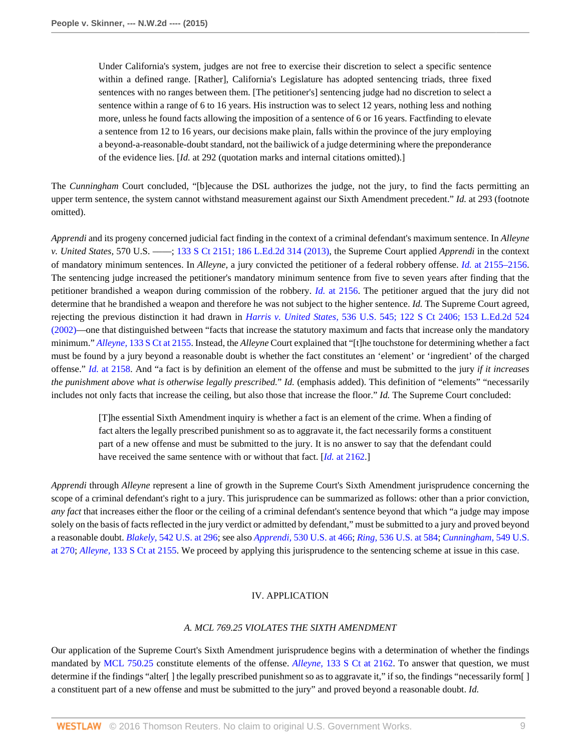Under California's system, judges are not free to exercise their discretion to select a specific sentence within a defined range. [Rather], California's Legislature has adopted sentencing triads, three fixed sentences with no ranges between them. [The petitioner's] sentencing judge had no discretion to select a sentence within a range of 6 to 16 years. His instruction was to select 12 years, nothing less and nothing more, unless he found facts allowing the imposition of a sentence of 6 or 16 years. Factfinding to elevate a sentence from 12 to 16 years, our decisions make plain, falls within the province of the jury employing a beyond-a-reasonable-doubt standard, not the bailiwick of a judge determining where the preponderance of the evidence lies. [*Id.* at 292 (quotation marks and internal citations omitted).]

The *Cunningham* Court concluded, "[b]ecause the DSL authorizes the judge, not the jury, to find the facts permitting an upper term sentence, the system cannot withstand measurement against our Sixth Amendment precedent." *Id.* at 293 (footnote omitted).

*Apprendi* and its progeny concerned judicial fact finding in the context of a criminal defendant's maximum sentence. In *Alleyne v. United States,* 570 U.S. ––––; [133 S Ct 2151; 186 L.Ed.2d 314 \(2013\)](http://www.westlaw.com/Link/Document/FullText?findType=Y&serNum=2030794220&pubNum=0000708&originatingDoc=I52c4367847f811e590d4edf60ce7d742&refType=RP&originationContext=document&vr=3.0&rs=cblt1.0&transitionType=DocumentItem&contextData=(sc.Search)), the Supreme Court applied *Apprendi* in the context of mandatory minimum sentences. In *Alleyne,* a jury convicted the petitioner of a federal robbery offense. *Id.* [at 2155–2156](http://www.westlaw.com/Link/Document/FullText?findType=Y&serNum=2030794220&pubNum=0000708&originatingDoc=I52c4367847f811e590d4edf60ce7d742&refType=RP&fi=co_pp_sp_708_2155&originationContext=document&vr=3.0&rs=cblt1.0&transitionType=DocumentItem&contextData=(sc.Search)#co_pp_sp_708_2155). The sentencing judge increased the petitioner's mandatory minimum sentence from five to seven years after finding that the petitioner brandished a weapon during commission of the robbery. *Id.* [at 2156](http://www.westlaw.com/Link/Document/FullText?findType=Y&serNum=2030794220&pubNum=0000708&originatingDoc=I52c4367847f811e590d4edf60ce7d742&refType=RP&fi=co_pp_sp_708_2156&originationContext=document&vr=3.0&rs=cblt1.0&transitionType=DocumentItem&contextData=(sc.Search)#co_pp_sp_708_2156). The petitioner argued that the jury did not determine that he brandished a weapon and therefore he was not subject to the higher sentence. *Id.* The Supreme Court agreed, rejecting the previous distinction it had drawn in *Harris v. United States,* [536 U.S. 545; 122 S Ct 2406; 153 L.Ed.2d 524](http://www.westlaw.com/Link/Document/FullText?findType=Y&serNum=2002390152&pubNum=0000708&originatingDoc=I52c4367847f811e590d4edf60ce7d742&refType=RP&originationContext=document&vr=3.0&rs=cblt1.0&transitionType=DocumentItem&contextData=(sc.Search)) [\(2002\)—](http://www.westlaw.com/Link/Document/FullText?findType=Y&serNum=2002390152&pubNum=0000708&originatingDoc=I52c4367847f811e590d4edf60ce7d742&refType=RP&originationContext=document&vr=3.0&rs=cblt1.0&transitionType=DocumentItem&contextData=(sc.Search))one that distinguished between "facts that increase the statutory maximum and facts that increase only the mandatory minimum." *Alleyne,* [133 S Ct at 2155](http://www.westlaw.com/Link/Document/FullText?findType=Y&serNum=2030794220&pubNum=0000708&originatingDoc=I52c4367847f811e590d4edf60ce7d742&refType=RP&fi=co_pp_sp_708_2155&originationContext=document&vr=3.0&rs=cblt1.0&transitionType=DocumentItem&contextData=(sc.Search)#co_pp_sp_708_2155). Instead, the *Alleyne* Court explained that "[t]he touchstone for determining whether a fact must be found by a jury beyond a reasonable doubt is whether the fact constitutes an 'element' or 'ingredient' of the charged offense." *Id.* [at 2158](http://www.westlaw.com/Link/Document/FullText?findType=Y&serNum=2030794220&pubNum=0000708&originatingDoc=I52c4367847f811e590d4edf60ce7d742&refType=RP&fi=co_pp_sp_708_2158&originationContext=document&vr=3.0&rs=cblt1.0&transitionType=DocumentItem&contextData=(sc.Search)#co_pp_sp_708_2158). And "a fact is by definition an element of the offense and must be submitted to the jury *if it increases the punishment above what is otherwise legally prescribed.*" *Id.* (emphasis added). This definition of "elements" "necessarily includes not only facts that increase the ceiling, but also those that increase the floor." *Id.* The Supreme Court concluded:

[T]he essential Sixth Amendment inquiry is whether a fact is an element of the crime. When a finding of fact alters the legally prescribed punishment so as to aggravate it, the fact necessarily forms a constituent part of a new offense and must be submitted to the jury. It is no answer to say that the defendant could have received the same sentence with or without that fact. [*Id.* [at 2162](http://www.westlaw.com/Link/Document/FullText?findType=Y&serNum=2030794220&pubNum=0000708&originatingDoc=I52c4367847f811e590d4edf60ce7d742&refType=RP&fi=co_pp_sp_708_2162&originationContext=document&vr=3.0&rs=cblt1.0&transitionType=DocumentItem&contextData=(sc.Search)#co_pp_sp_708_2162).]

*Apprendi* through *Alleyne* represent a line of growth in the Supreme Court's Sixth Amendment jurisprudence concerning the scope of a criminal defendant's right to a jury. This jurisprudence can be summarized as follows: other than a prior conviction, *any fact* that increases either the floor or the ceiling of a criminal defendant's sentence beyond that which "a judge may impose solely on the basis of facts reflected in the jury verdict or admitted by defendant," must be submitted to a jury and proved beyond a reasonable doubt. *Blakely,* [542 U.S. at 296](http://www.westlaw.com/Link/Document/FullText?findType=Y&serNum=2004622625&pubNum=0000780&originatingDoc=I52c4367847f811e590d4edf60ce7d742&refType=RP&fi=co_pp_sp_780_296&originationContext=document&vr=3.0&rs=cblt1.0&transitionType=DocumentItem&contextData=(sc.Search)#co_pp_sp_780_296); see also *Apprendi,* [530 U.S. at 466](http://www.westlaw.com/Link/Document/FullText?findType=Y&serNum=2000387238&pubNum=0000780&originatingDoc=I52c4367847f811e590d4edf60ce7d742&refType=RP&fi=co_pp_sp_780_466&originationContext=document&vr=3.0&rs=cblt1.0&transitionType=DocumentItem&contextData=(sc.Search)#co_pp_sp_780_466); *Ring,* [536 U.S. at 584;](http://www.westlaw.com/Link/Document/FullText?findType=Y&serNum=2002390142&pubNum=0000780&originatingDoc=I52c4367847f811e590d4edf60ce7d742&refType=RP&fi=co_pp_sp_780_584&originationContext=document&vr=3.0&rs=cblt1.0&transitionType=DocumentItem&contextData=(sc.Search)#co_pp_sp_780_584) *[Cunningham,](http://www.westlaw.com/Link/Document/FullText?findType=Y&serNum=2011243890&pubNum=0000780&originatingDoc=I52c4367847f811e590d4edf60ce7d742&refType=RP&fi=co_pp_sp_780_270&originationContext=document&vr=3.0&rs=cblt1.0&transitionType=DocumentItem&contextData=(sc.Search)#co_pp_sp_780_270)* 549 U.S. [at 270;](http://www.westlaw.com/Link/Document/FullText?findType=Y&serNum=2011243890&pubNum=0000780&originatingDoc=I52c4367847f811e590d4edf60ce7d742&refType=RP&fi=co_pp_sp_780_270&originationContext=document&vr=3.0&rs=cblt1.0&transitionType=DocumentItem&contextData=(sc.Search)#co_pp_sp_780_270) *Alleyne,* [133 S Ct at 2155](http://www.westlaw.com/Link/Document/FullText?findType=Y&serNum=2030794220&pubNum=0000708&originatingDoc=I52c4367847f811e590d4edf60ce7d742&refType=RP&fi=co_pp_sp_708_2155&originationContext=document&vr=3.0&rs=cblt1.0&transitionType=DocumentItem&contextData=(sc.Search)#co_pp_sp_708_2155). We proceed by applying this jurisprudence to the sentencing scheme at issue in this case.

# IV. APPLICATION

# *A. MCL 769.25 VIOLATES THE SIXTH AMENDMENT*

Our application of the Supreme Court's Sixth Amendment jurisprudence begins with a determination of whether the findings mandated by [MCL 750.25](http://www.westlaw.com/Link/Document/FullText?findType=L&pubNum=1000043&cite=MIST750.25&originatingDoc=I52c4367847f811e590d4edf60ce7d742&refType=LQ&originationContext=document&vr=3.0&rs=cblt1.0&transitionType=DocumentItem&contextData=(sc.Search)) constitute elements of the offense. *Alleyne,* [133 S Ct at 2162](http://www.westlaw.com/Link/Document/FullText?findType=Y&serNum=2030794220&pubNum=0000708&originatingDoc=I52c4367847f811e590d4edf60ce7d742&refType=RP&fi=co_pp_sp_708_2162&originationContext=document&vr=3.0&rs=cblt1.0&transitionType=DocumentItem&contextData=(sc.Search)#co_pp_sp_708_2162). To answer that question, we must determine if the findings "alter[ ] the legally prescribed punishment so as to aggravate it," if so, the findings "necessarily form[ ] a constituent part of a new offense and must be submitted to the jury" and proved beyond a reasonable doubt. *Id.*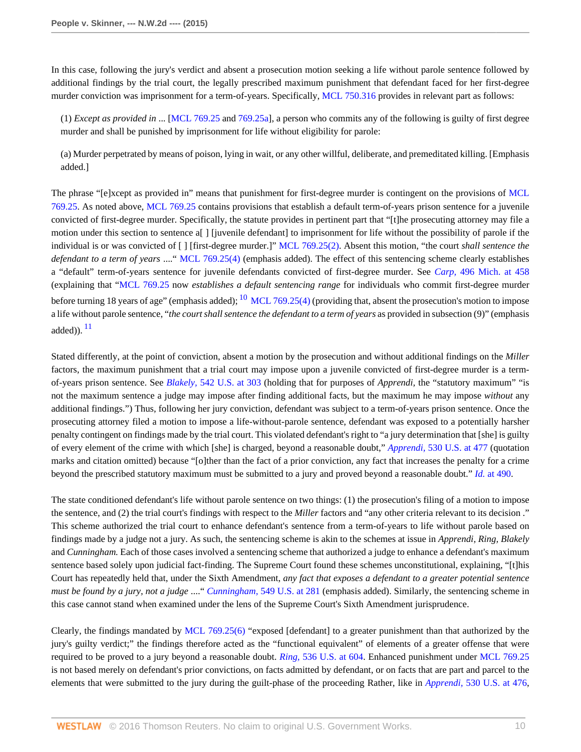In this case, following the jury's verdict and absent a prosecution motion seeking a life without parole sentence followed by additional findings by the trial court, the legally prescribed maximum punishment that defendant faced for her first-degree murder conviction was imprisonment for a term-of-years. Specifically, [MCL 750.316](http://www.westlaw.com/Link/Document/FullText?findType=L&pubNum=1000043&cite=MIST750.316&originatingDoc=I52c4367847f811e590d4edf60ce7d742&refType=LQ&originationContext=document&vr=3.0&rs=cblt1.0&transitionType=DocumentItem&contextData=(sc.Search)) provides in relevant part as follows:

(1) *Except as provided in* ... [\[MCL 769.25](http://www.westlaw.com/Link/Document/FullText?findType=L&pubNum=1000043&cite=MIST769.25&originatingDoc=I52c4367847f811e590d4edf60ce7d742&refType=LQ&originationContext=document&vr=3.0&rs=cblt1.0&transitionType=DocumentItem&contextData=(sc.Search)) and [769.25a](http://www.westlaw.com/Link/Document/FullText?findType=L&pubNum=1000043&cite=MIST769.25A&originatingDoc=I52c4367847f811e590d4edf60ce7d742&refType=LQ&originationContext=document&vr=3.0&rs=cblt1.0&transitionType=DocumentItem&contextData=(sc.Search))], a person who commits any of the following is guilty of first degree murder and shall be punished by imprisonment for life without eligibility for parole:

(a) Murder perpetrated by means of poison, lying in wait, or any other willful, deliberate, and premeditated killing. [Emphasis added.]

The phrase "[e]xcept as provided in" means that punishment for first-degree murder is contingent on the provisions of [MCL](http://www.westlaw.com/Link/Document/FullText?findType=L&pubNum=1000043&cite=MIST769.25&originatingDoc=I52c4367847f811e590d4edf60ce7d742&refType=LQ&originationContext=document&vr=3.0&rs=cblt1.0&transitionType=DocumentItem&contextData=(sc.Search)) [769.25.](http://www.westlaw.com/Link/Document/FullText?findType=L&pubNum=1000043&cite=MIST769.25&originatingDoc=I52c4367847f811e590d4edf60ce7d742&refType=LQ&originationContext=document&vr=3.0&rs=cblt1.0&transitionType=DocumentItem&contextData=(sc.Search)) As noted above, [MCL 769.25](http://www.westlaw.com/Link/Document/FullText?findType=L&pubNum=1000043&cite=MIST769.25&originatingDoc=I52c4367847f811e590d4edf60ce7d742&refType=LQ&originationContext=document&vr=3.0&rs=cblt1.0&transitionType=DocumentItem&contextData=(sc.Search)) contains provisions that establish a default term-of-years prison sentence for a juvenile convicted of first-degree murder. Specifically, the statute provides in pertinent part that "[t]he prosecuting attorney may file a motion under this section to sentence a[ ] [juvenile defendant] to imprisonment for life without the possibility of parole if the individual is or was convicted of [ ] [first-degree murder.]" [MCL 769.25\(2\)](http://www.westlaw.com/Link/Document/FullText?findType=L&pubNum=1000043&cite=MIST769.25&originatingDoc=I52c4367847f811e590d4edf60ce7d742&refType=LQ&originationContext=document&vr=3.0&rs=cblt1.0&transitionType=DocumentItem&contextData=(sc.Search)). Absent this motion, "the court *shall sentence the defendant to a term of years* ...." [MCL 769.25\(4\)](http://www.westlaw.com/Link/Document/FullText?findType=L&pubNum=1000043&cite=MIST769.25&originatingDoc=I52c4367847f811e590d4edf60ce7d742&refType=LQ&originationContext=document&vr=3.0&rs=cblt1.0&transitionType=DocumentItem&contextData=(sc.Search)) (emphasis added). The effect of this sentencing scheme clearly establishes a "default" term-of-years sentence for juvenile defendants convicted of first-degree murder. See *Carp,* [496 Mich. at 458](http://www.westlaw.com/Link/Document/FullText?findType=Y&serNum=2033796369&pubNum=0000542&originatingDoc=I52c4367847f811e590d4edf60ce7d742&refType=RP&fi=co_pp_sp_542_458&originationContext=document&vr=3.0&rs=cblt1.0&transitionType=DocumentItem&contextData=(sc.Search)#co_pp_sp_542_458) (explaining that "[MCL 769.25](http://www.westlaw.com/Link/Document/FullText?findType=L&pubNum=1000043&cite=MIST769.25&originatingDoc=I52c4367847f811e590d4edf60ce7d742&refType=LQ&originationContext=document&vr=3.0&rs=cblt1.0&transitionType=DocumentItem&contextData=(sc.Search)) now *establishes a default sentencing range* for individuals who commit first-degree murder before turning 18 years of age" (emphasis added);  $^{10}$  $^{10}$  $^{10}$  [MCL 769.25\(4\)](http://www.westlaw.com/Link/Document/FullText?findType=L&pubNum=1000043&cite=MIST769.25&originatingDoc=I52c4367847f811e590d4edf60ce7d742&refType=LQ&originationContext=document&vr=3.0&rs=cblt1.0&transitionType=DocumentItem&contextData=(sc.Search)) (providing that, absent the prosecution's motion to impose a life without parole sentence, "*the court shall sentence the defendant to a term of years* as provided in subsection (9)" (emphasis added)).  $^{11}$  $^{11}$  $^{11}$ 

<span id="page-9-1"></span><span id="page-9-0"></span>Stated differently, at the point of conviction, absent a motion by the prosecution and without additional findings on the *Miller* factors, the maximum punishment that a trial court may impose upon a juvenile convicted of first-degree murder is a termof-years prison sentence. See *Blakely,* [542 U.S. at 303](http://www.westlaw.com/Link/Document/FullText?findType=Y&serNum=2004622625&pubNum=0000780&originatingDoc=I52c4367847f811e590d4edf60ce7d742&refType=RP&fi=co_pp_sp_780_303&originationContext=document&vr=3.0&rs=cblt1.0&transitionType=DocumentItem&contextData=(sc.Search)#co_pp_sp_780_303) (holding that for purposes of *Apprendi,* the "statutory maximum" "is not the maximum sentence a judge may impose after finding additional facts, but the maximum he may impose *without* any additional findings.") Thus, following her jury conviction, defendant was subject to a term-of-years prison sentence. Once the prosecuting attorney filed a motion to impose a life-without-parole sentence, defendant was exposed to a potentially harsher penalty contingent on findings made by the trial court. This violated defendant's right to "a jury determination that [she] is guilty of every element of the crime with which [she] is charged, beyond a reasonable doubt," *Apprendi,* [530 U.S. at 477](http://www.westlaw.com/Link/Document/FullText?findType=Y&serNum=2000387238&pubNum=0000780&originatingDoc=I52c4367847f811e590d4edf60ce7d742&refType=RP&fi=co_pp_sp_780_477&originationContext=document&vr=3.0&rs=cblt1.0&transitionType=DocumentItem&contextData=(sc.Search)#co_pp_sp_780_477) (quotation marks and citation omitted) because "[o]ther than the fact of a prior conviction, any fact that increases the penalty for a crime beyond the prescribed statutory maximum must be submitted to a jury and proved beyond a reasonable doubt." *Id.* [at 490.](http://www.westlaw.com/Link/Document/FullText?findType=Y&serNum=2000387238&pubNum=0000780&originatingDoc=I52c4367847f811e590d4edf60ce7d742&refType=RP&fi=co_pp_sp_780_490&originationContext=document&vr=3.0&rs=cblt1.0&transitionType=DocumentItem&contextData=(sc.Search)#co_pp_sp_780_490)

The state conditioned defendant's life without parole sentence on two things: (1) the prosecution's filing of a motion to impose the sentence, and (2) the trial court's findings with respect to the *Miller* factors and "any other criteria relevant to its decision ." This scheme authorized the trial court to enhance defendant's sentence from a term-of-years to life without parole based on findings made by a judge not a jury. As such, the sentencing scheme is akin to the schemes at issue in *Apprendi, Ring, Blakely* and *Cunningham.* Each of those cases involved a sentencing scheme that authorized a judge to enhance a defendant's maximum sentence based solely upon judicial fact-finding. The Supreme Court found these schemes unconstitutional, explaining, "[t]his Court has repeatedly held that, under the Sixth Amendment, *any fact that exposes a defendant to a greater potential sentence must be found by a jury, not a judge* ...." *Cunningham,* [549 U.S. at 281](http://www.westlaw.com/Link/Document/FullText?findType=Y&serNum=2011243890&pubNum=0000780&originatingDoc=I52c4367847f811e590d4edf60ce7d742&refType=RP&fi=co_pp_sp_780_281&originationContext=document&vr=3.0&rs=cblt1.0&transitionType=DocumentItem&contextData=(sc.Search)#co_pp_sp_780_281) (emphasis added). Similarly, the sentencing scheme in this case cannot stand when examined under the lens of the Supreme Court's Sixth Amendment jurisprudence.

Clearly, the findings mandated by [MCL 769.25\(6\)](http://www.westlaw.com/Link/Document/FullText?findType=L&pubNum=1000043&cite=MIST769.25&originatingDoc=I52c4367847f811e590d4edf60ce7d742&refType=LQ&originationContext=document&vr=3.0&rs=cblt1.0&transitionType=DocumentItem&contextData=(sc.Search)) "exposed [defendant] to a greater punishment than that authorized by the jury's guilty verdict;" the findings therefore acted as the "functional equivalent" of elements of a greater offense that were required to be proved to a jury beyond a reasonable doubt. *Ring,* [536 U.S. at 604.](http://www.westlaw.com/Link/Document/FullText?findType=Y&serNum=2002390142&pubNum=0000780&originatingDoc=I52c4367847f811e590d4edf60ce7d742&refType=RP&fi=co_pp_sp_780_604&originationContext=document&vr=3.0&rs=cblt1.0&transitionType=DocumentItem&contextData=(sc.Search)#co_pp_sp_780_604) Enhanced punishment under [MCL 769.25](http://www.westlaw.com/Link/Document/FullText?findType=L&pubNum=1000043&cite=MIST769.25&originatingDoc=I52c4367847f811e590d4edf60ce7d742&refType=LQ&originationContext=document&vr=3.0&rs=cblt1.0&transitionType=DocumentItem&contextData=(sc.Search)) is not based merely on defendant's prior convictions, on facts admitted by defendant, or on facts that are part and parcel to the elements that were submitted to the jury during the guilt-phase of the proceeding Rather, like in *Apprendi,* [530 U.S. at 476,](http://www.westlaw.com/Link/Document/FullText?findType=Y&serNum=2000387238&pubNum=0000780&originatingDoc=I52c4367847f811e590d4edf60ce7d742&refType=RP&fi=co_pp_sp_780_476&originationContext=document&vr=3.0&rs=cblt1.0&transitionType=DocumentItem&contextData=(sc.Search)#co_pp_sp_780_476)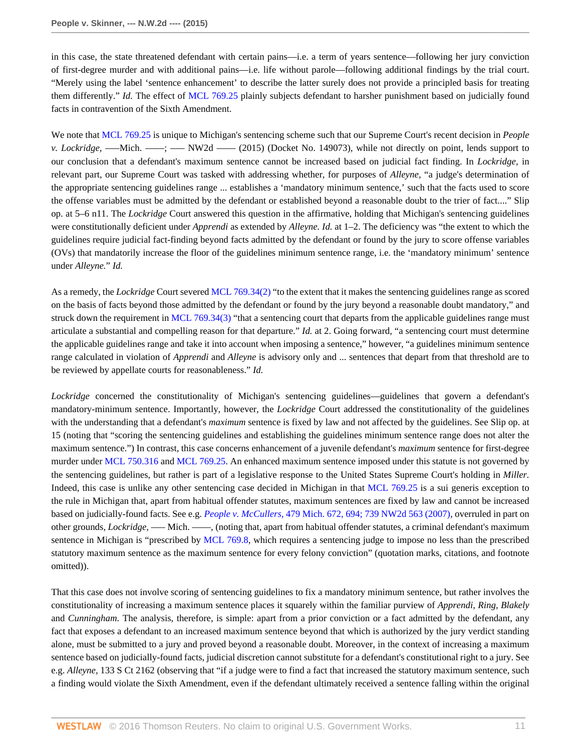in this case, the state threatened defendant with certain pains—i.e. a term of years sentence—following her jury conviction of first-degree murder and with additional pains—i.e. life without parole—following additional findings by the trial court. "Merely using the label 'sentence enhancement' to describe the latter surely does not provide a principled basis for treating them differently." *Id.* The effect of [MCL 769.25](http://www.westlaw.com/Link/Document/FullText?findType=L&pubNum=1000043&cite=MIST769.25&originatingDoc=I52c4367847f811e590d4edf60ce7d742&refType=LQ&originationContext=document&vr=3.0&rs=cblt1.0&transitionType=DocumentItem&contextData=(sc.Search)) plainly subjects defendant to harsher punishment based on judicially found facts in contravention of the Sixth Amendment.

We note that [MCL 769.25](http://www.westlaw.com/Link/Document/FullText?findType=L&pubNum=1000043&cite=MIST769.25&originatingDoc=I52c4367847f811e590d4edf60ce7d742&refType=LQ&originationContext=document&vr=3.0&rs=cblt1.0&transitionType=DocumentItem&contextData=(sc.Search)) is unique to Michigan's sentencing scheme such that our Supreme Court's recent decision in *People v. Lockridge,* —–Mich. ——; —– NW2d —— (2015) (Docket No. 149073), while not directly on point, lends support to our conclusion that a defendant's maximum sentence cannot be increased based on judicial fact finding. In *Lockridge,* in relevant part, our Supreme Court was tasked with addressing whether, for purposes of *Alleyne,* "a judge's determination of the appropriate sentencing guidelines range ... establishes a 'mandatory minimum sentence,' such that the facts used to score the offense variables must be admitted by the defendant or established beyond a reasonable doubt to the trier of fact...." Slip op. at 5–6 n11. The *Lockridge* Court answered this question in the affirmative, holding that Michigan's sentencing guidelines were constitutionally deficient under *Apprendi* as extended by *Alleyne. Id.* at 1–2. The deficiency was "the extent to which the guidelines require judicial fact-finding beyond facts admitted by the defendant or found by the jury to score offense variables (OVs) that mandatorily increase the floor of the guidelines minimum sentence range, i.e. the 'mandatory minimum' sentence under *Alleyne.*" *Id.*

As a remedy, the *Lockridge* Court severed [MCL 769.34\(2\)](http://www.westlaw.com/Link/Document/FullText?findType=L&pubNum=1000043&cite=MIST769.34&originatingDoc=I52c4367847f811e590d4edf60ce7d742&refType=LQ&originationContext=document&vr=3.0&rs=cblt1.0&transitionType=DocumentItem&contextData=(sc.Search)) "to the extent that it makes the sentencing guidelines range as scored on the basis of facts beyond those admitted by the defendant or found by the jury beyond a reasonable doubt mandatory," and struck down the requirement in [MCL 769.34\(3\)](http://www.westlaw.com/Link/Document/FullText?findType=L&pubNum=1000043&cite=MIST769.34&originatingDoc=I52c4367847f811e590d4edf60ce7d742&refType=LQ&originationContext=document&vr=3.0&rs=cblt1.0&transitionType=DocumentItem&contextData=(sc.Search)) "that a sentencing court that departs from the applicable guidelines range must articulate a substantial and compelling reason for that departure." *Id.* at 2. Going forward, "a sentencing court must determine the applicable guidelines range and take it into account when imposing a sentence," however, "a guidelines minimum sentence range calculated in violation of *Apprendi* and *Alleyne* is advisory only and ... sentences that depart from that threshold are to be reviewed by appellate courts for reasonableness." *Id.*

*Lockridge* concerned the constitutionality of Michigan's sentencing guidelines—guidelines that govern a defendant's mandatory-minimum sentence. Importantly, however, the *Lockridge* Court addressed the constitutionality of the guidelines with the understanding that a defendant's *maximum* sentence is fixed by law and not affected by the guidelines. See Slip op. at 15 (noting that "scoring the sentencing guidelines and establishing the guidelines minimum sentence range does not alter the maximum sentence.") In contrast, this case concerns enhancement of a juvenile defendant's *maximum* sentence for first-degree murder under [MCL 750.316](http://www.westlaw.com/Link/Document/FullText?findType=L&pubNum=1000043&cite=MIST750.316&originatingDoc=I52c4367847f811e590d4edf60ce7d742&refType=LQ&originationContext=document&vr=3.0&rs=cblt1.0&transitionType=DocumentItem&contextData=(sc.Search)) and [MCL 769.25.](http://www.westlaw.com/Link/Document/FullText?findType=L&pubNum=1000043&cite=MIST769.25&originatingDoc=I52c4367847f811e590d4edf60ce7d742&refType=LQ&originationContext=document&vr=3.0&rs=cblt1.0&transitionType=DocumentItem&contextData=(sc.Search)) An enhanced maximum sentence imposed under this statute is not governed by the sentencing guidelines, but rather is part of a legislative response to the United States Supreme Court's holding in *Miller.* Indeed, this case is unlike any other sentencing case decided in Michigan in that [MCL 769.25](http://www.westlaw.com/Link/Document/FullText?findType=L&pubNum=1000043&cite=MIST769.25&originatingDoc=I52c4367847f811e590d4edf60ce7d742&refType=LQ&originationContext=document&vr=3.0&rs=cblt1.0&transitionType=DocumentItem&contextData=(sc.Search)) is a sui generis exception to the rule in Michigan that, apart from habitual offender statutes, maximum sentences are fixed by law and cannot be increased based on judicially-found facts. See e.g. *People v. McCullers,* [479 Mich. 672, 694; 739 NW2d 563 \(2007\),](http://www.westlaw.com/Link/Document/FullText?findType=Y&serNum=2012793243&pubNum=0000595&originatingDoc=I52c4367847f811e590d4edf60ce7d742&refType=RP&originationContext=document&vr=3.0&rs=cblt1.0&transitionType=DocumentItem&contextData=(sc.Search)) overruled in part on other grounds, *Lockridge,* ––– Mich. ––––, (noting that, apart from habitual offender statutes, a criminal defendant's maximum sentence in Michigan is "prescribed by [MCL 769.8,](http://www.westlaw.com/Link/Document/FullText?findType=L&pubNum=1000043&cite=MIST769.8&originatingDoc=I52c4367847f811e590d4edf60ce7d742&refType=LQ&originationContext=document&vr=3.0&rs=cblt1.0&transitionType=DocumentItem&contextData=(sc.Search)) which requires a sentencing judge to impose no less than the prescribed statutory maximum sentence as the maximum sentence for every felony conviction" (quotation marks, citations, and footnote omitted)).

That this case does not involve scoring of sentencing guidelines to fix a mandatory minimum sentence, but rather involves the constitutionality of increasing a maximum sentence places it squarely within the familiar purview of *Apprendi, Ring, Blakely* and *Cunningham*. The analysis, therefore, is simple: apart from a prior conviction or a fact admitted by the defendant, any fact that exposes a defendant to an increased maximum sentence beyond that which is authorized by the jury verdict standing alone, must be submitted to a jury and proved beyond a reasonable doubt. Moreover, in the context of increasing a maximum sentence based on judicially-found facts, judicial discretion cannot substitute for a defendant's constitutional right to a jury. See e.g. *Alleyne,* 133 S Ct 2162 (observing that "if a judge were to find a fact that increased the statutory maximum sentence, such a finding would violate the Sixth Amendment, even if the defendant ultimately received a sentence falling within the original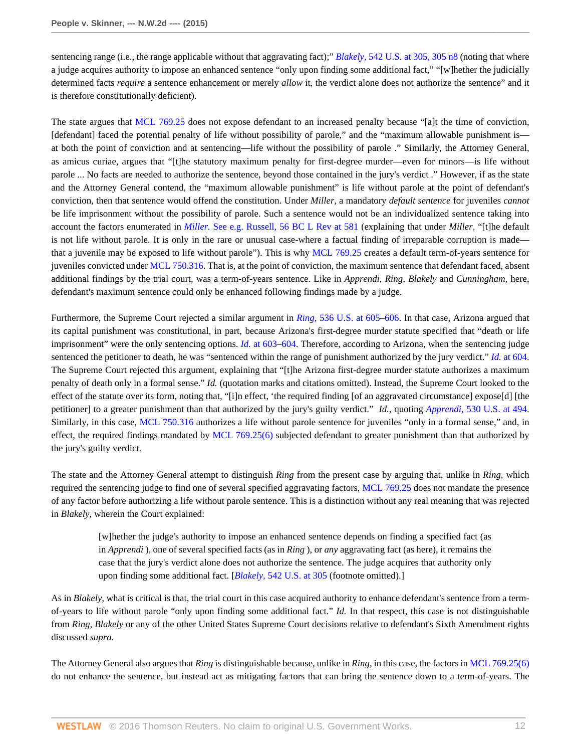sentencing range (i.e., the range applicable without that aggravating fact);" *Blakely,* [542 U.S. at 305, 305 n8](http://www.westlaw.com/Link/Document/FullText?findType=Y&serNum=2004622625&pubNum=0000780&originatingDoc=I52c4367847f811e590d4edf60ce7d742&refType=RP&fi=co_pp_sp_780_305&originationContext=document&vr=3.0&rs=cblt1.0&transitionType=DocumentItem&contextData=(sc.Search)#co_pp_sp_780_305) (noting that where a judge acquires authority to impose an enhanced sentence "only upon finding some additional fact," "[w]hether the judicially determined facts *require* a sentence enhancement or merely *allow* it, the verdict alone does not authorize the sentence" and it is therefore constitutionally deficient).

The state argues that [MCL 769.25](http://www.westlaw.com/Link/Document/FullText?findType=L&pubNum=1000043&cite=MIST769.25&originatingDoc=I52c4367847f811e590d4edf60ce7d742&refType=LQ&originationContext=document&vr=3.0&rs=cblt1.0&transitionType=DocumentItem&contextData=(sc.Search)) does not expose defendant to an increased penalty because "[a]t the time of conviction, [defendant] faced the potential penalty of life without possibility of parole," and the "maximum allowable punishment is at both the point of conviction and at sentencing—life without the possibility of parole ." Similarly, the Attorney General, as amicus curiae, argues that "[t]he statutory maximum penalty for first-degree murder—even for minors—is life without parole ... No facts are needed to authorize the sentence, beyond those contained in the jury's verdict ." However, if as the state and the Attorney General contend, the "maximum allowable punishment" is life without parole at the point of defendant's conviction, then that sentence would offend the constitution. Under *Miller,* a mandatory *default sentence* for juveniles *cannot* be life imprisonment without the possibility of parole. Such a sentence would not be an individualized sentence taking into account the factors enumerated in *Miller.* [See e.g. Russell, 56 BC L Rev at 581](http://www.westlaw.com/Link/Document/FullText?findType=Y&serNum=0429753604&pubNum=0001101&originatingDoc=I52c4367847f811e590d4edf60ce7d742&refType=LR&fi=co_pp_sp_1101_581&originationContext=document&vr=3.0&rs=cblt1.0&transitionType=DocumentItem&contextData=(sc.Search)#co_pp_sp_1101_581) (explaining that under *Miller,* "[t]he default is not life without parole. It is only in the rare or unusual case-where a factual finding of irreparable corruption is made that a juvenile may be exposed to life without parole"). This is why [MCL 769.25](http://www.westlaw.com/Link/Document/FullText?findType=L&pubNum=1000043&cite=MIST769.25&originatingDoc=I52c4367847f811e590d4edf60ce7d742&refType=LQ&originationContext=document&vr=3.0&rs=cblt1.0&transitionType=DocumentItem&contextData=(sc.Search)) creates a default term-of-years sentence for juveniles convicted under [MCL 750.316](http://www.westlaw.com/Link/Document/FullText?findType=L&pubNum=1000043&cite=MIST750.316&originatingDoc=I52c4367847f811e590d4edf60ce7d742&refType=LQ&originationContext=document&vr=3.0&rs=cblt1.0&transitionType=DocumentItem&contextData=(sc.Search)). That is, at the point of conviction, the maximum sentence that defendant faced, absent additional findings by the trial court, was a term-of-years sentence. Like in *Apprendi, Ring, Blakely* and *Cunningham,* here, defendant's maximum sentence could only be enhanced following findings made by a judge.

Furthermore, the Supreme Court rejected a similar argument in *Ring,* [536 U.S. at 605–606.](http://www.westlaw.com/Link/Document/FullText?findType=Y&serNum=2002390142&pubNum=0000780&originatingDoc=I52c4367847f811e590d4edf60ce7d742&refType=RP&fi=co_pp_sp_780_605&originationContext=document&vr=3.0&rs=cblt1.0&transitionType=DocumentItem&contextData=(sc.Search)#co_pp_sp_780_605) In that case, Arizona argued that its capital punishment was constitutional, in part, because Arizona's first-degree murder statute specified that "death or life imprisonment" were the only sentencing options. *Id.* [at 603–604.](http://www.westlaw.com/Link/Document/FullText?findType=Y&serNum=2002390142&pubNum=0000780&originatingDoc=I52c4367847f811e590d4edf60ce7d742&refType=RP&fi=co_pp_sp_780_603&originationContext=document&vr=3.0&rs=cblt1.0&transitionType=DocumentItem&contextData=(sc.Search)#co_pp_sp_780_603) Therefore, according to Arizona, when the sentencing judge sentenced the petitioner to death, he was "sentenced within the range of punishment authorized by the jury verdict." *Id.* [at 604.](http://www.westlaw.com/Link/Document/FullText?findType=Y&serNum=2002390142&pubNum=0000780&originatingDoc=I52c4367847f811e590d4edf60ce7d742&refType=RP&fi=co_pp_sp_780_604&originationContext=document&vr=3.0&rs=cblt1.0&transitionType=DocumentItem&contextData=(sc.Search)#co_pp_sp_780_604) The Supreme Court rejected this argument, explaining that "[t]he Arizona first-degree murder statute authorizes a maximum penalty of death only in a formal sense." *Id.* (quotation marks and citations omitted). Instead, the Supreme Court looked to the effect of the statute over its form, noting that, "[i]n effect, 'the required finding [of an aggravated circumstance] expose[d] [the petitioner] to a greater punishment than that authorized by the jury's guilty verdict." *Id.,* quoting *Apprendi,* [530 U.S. at 494.](http://www.westlaw.com/Link/Document/FullText?findType=Y&serNum=2000387238&pubNum=0000780&originatingDoc=I52c4367847f811e590d4edf60ce7d742&refType=RP&fi=co_pp_sp_780_494&originationContext=document&vr=3.0&rs=cblt1.0&transitionType=DocumentItem&contextData=(sc.Search)#co_pp_sp_780_494) Similarly, in this case, [MCL 750.316](http://www.westlaw.com/Link/Document/FullText?findType=L&pubNum=1000043&cite=MIST750.316&originatingDoc=I52c4367847f811e590d4edf60ce7d742&refType=LQ&originationContext=document&vr=3.0&rs=cblt1.0&transitionType=DocumentItem&contextData=(sc.Search)) authorizes a life without parole sentence for juveniles "only in a formal sense," and, in effect, the required findings mandated by [MCL 769.25\(6\)](http://www.westlaw.com/Link/Document/FullText?findType=L&pubNum=1000043&cite=MIST769.25&originatingDoc=I52c4367847f811e590d4edf60ce7d742&refType=LQ&originationContext=document&vr=3.0&rs=cblt1.0&transitionType=DocumentItem&contextData=(sc.Search)) subjected defendant to greater punishment than that authorized by the jury's guilty verdict.

The state and the Attorney General attempt to distinguish *Ring* from the present case by arguing that, unlike in *Ring,* which required the sentencing judge to find one of several specified aggravating factors, [MCL 769.25](http://www.westlaw.com/Link/Document/FullText?findType=L&pubNum=1000043&cite=MIST769.25&originatingDoc=I52c4367847f811e590d4edf60ce7d742&refType=LQ&originationContext=document&vr=3.0&rs=cblt1.0&transitionType=DocumentItem&contextData=(sc.Search)) does not mandate the presence of any factor before authorizing a life without parole sentence. This is a distinction without any real meaning that was rejected in *Blakely,* wherein the Court explained:

[w]hether the judge's authority to impose an enhanced sentence depends on finding a specified fact (as in *Apprendi* ), one of several specified facts (as in *Ring* ), or *any* aggravating fact (as here), it remains the case that the jury's verdict alone does not authorize the sentence. The judge acquires that authority only upon finding some additional fact. [*Blakely,* [542 U.S. at 305](http://www.westlaw.com/Link/Document/FullText?findType=Y&serNum=2004622625&pubNum=0000780&originatingDoc=I52c4367847f811e590d4edf60ce7d742&refType=RP&fi=co_pp_sp_780_305&originationContext=document&vr=3.0&rs=cblt1.0&transitionType=DocumentItem&contextData=(sc.Search)#co_pp_sp_780_305) (footnote omitted).]

As in *Blakely,* what is critical is that, the trial court in this case acquired authority to enhance defendant's sentence from a termof-years to life without parole "only upon finding some additional fact." *Id.* In that respect, this case is not distinguishable from *Ring, Blakely* or any of the other United States Supreme Court decisions relative to defendant's Sixth Amendment rights discussed *supra.*

The Attorney General also argues that *Ring* is distinguishable because, unlike in *Ring,* in this case, the factors in [MCL 769.25\(6\)](http://www.westlaw.com/Link/Document/FullText?findType=L&pubNum=1000043&cite=MIST769.25&originatingDoc=I52c4367847f811e590d4edf60ce7d742&refType=LQ&originationContext=document&vr=3.0&rs=cblt1.0&transitionType=DocumentItem&contextData=(sc.Search)) do not enhance the sentence, but instead act as mitigating factors that can bring the sentence down to a term-of-years. The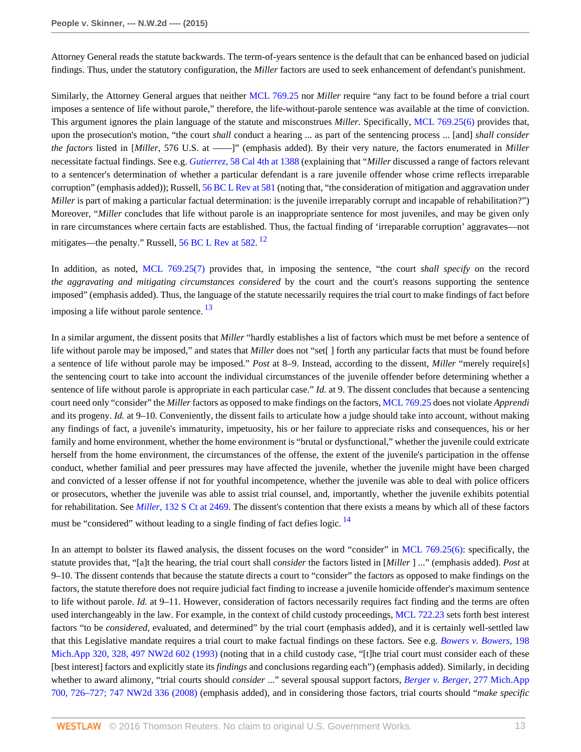Attorney General reads the statute backwards. The term-of-years sentence is the default that can be enhanced based on judicial findings. Thus, under the statutory configuration, the *Miller* factors are used to seek enhancement of defendant's punishment.

Similarly, the Attorney General argues that neither [MCL 769.25](http://www.westlaw.com/Link/Document/FullText?findType=L&pubNum=1000043&cite=MIST769.25&originatingDoc=I52c4367847f811e590d4edf60ce7d742&refType=LQ&originationContext=document&vr=3.0&rs=cblt1.0&transitionType=DocumentItem&contextData=(sc.Search)) nor *Miller* require "any fact to be found before a trial court imposes a sentence of life without parole," therefore, the life-without-parole sentence was available at the time of conviction. This argument ignores the plain language of the statute and misconstrues *Miller.* Specifically, [MCL 769.25\(6\)](http://www.westlaw.com/Link/Document/FullText?findType=L&pubNum=1000043&cite=MIST769.25&originatingDoc=I52c4367847f811e590d4edf60ce7d742&refType=LQ&originationContext=document&vr=3.0&rs=cblt1.0&transitionType=DocumentItem&contextData=(sc.Search)) provides that, upon the prosecution's motion, "the court *shall* conduct a hearing ... as part of the sentencing process ... [and] *shall consider the factors* listed in [*Miller,* 576 U.S. at ––––]" (emphasis added). By their very nature, the factors enumerated in *Miller* necessitate factual findings. See e.g. *Gutierrez,* [58 Cal 4th at 1388](http://www.westlaw.com/Link/Document/FullText?findType=Y&serNum=2033318593&pubNum=0004040&originatingDoc=I52c4367847f811e590d4edf60ce7d742&refType=RP&fi=co_pp_sp_4040_1388&originationContext=document&vr=3.0&rs=cblt1.0&transitionType=DocumentItem&contextData=(sc.Search)#co_pp_sp_4040_1388) (explaining that "*Miller* discussed a range of factors relevant to a sentencer's determination of whether a particular defendant is a rare juvenile offender whose crime reflects irreparable corruption" (emphasis added)); Russell, [56 BC L Rev at 581](http://www.westlaw.com/Link/Document/FullText?findType=Y&serNum=0429753604&pubNum=0001101&originatingDoc=I52c4367847f811e590d4edf60ce7d742&refType=LR&fi=co_pp_sp_1101_581&originationContext=document&vr=3.0&rs=cblt1.0&transitionType=DocumentItem&contextData=(sc.Search)#co_pp_sp_1101_581) (noting that, "the consideration of mitigation and aggravation under *Miller* is part of making a particular factual determination: is the juvenile irreparably corrupt and incapable of rehabilitation?") Moreover, "*Miller* concludes that life without parole is an inappropriate sentence for most juveniles, and may be given only in rare circumstances where certain facts are established. Thus, the factual finding of 'irreparable corruption' aggravates—not mitigates—the penalty." Russell, [56 BC L Rev at 582](http://www.westlaw.com/Link/Document/FullText?findType=Y&serNum=0429753604&pubNum=0001101&originatingDoc=I52c4367847f811e590d4edf60ce7d742&refType=LR&fi=co_pp_sp_1101_582&originationContext=document&vr=3.0&rs=cblt1.0&transitionType=DocumentItem&contextData=(sc.Search)#co_pp_sp_1101_582).<sup>[12](#page-21-11)</sup>

<span id="page-12-0"></span>In addition, as noted, [MCL 769.25\(7\)](http://www.westlaw.com/Link/Document/FullText?findType=L&pubNum=1000043&cite=MIST769.25&originatingDoc=I52c4367847f811e590d4edf60ce7d742&refType=LQ&originationContext=document&vr=3.0&rs=cblt1.0&transitionType=DocumentItem&contextData=(sc.Search)) provides that, in imposing the sentence, "the court *shall specify* on the record *the aggravating and mitigating circumstances considered* by the court and the court's reasons supporting the sentence imposed" (emphasis added). Thus, the language of the statute necessarily requires the trial court to make findings of fact before imposing a life without parole sentence.  $\frac{13}{2}$  $\frac{13}{2}$  $\frac{13}{2}$ 

<span id="page-12-1"></span>In a similar argument, the dissent posits that *Miller* "hardly establishes a list of factors which must be met before a sentence of life without parole may be imposed," and states that *Miller* does not "set[ ] forth any particular facts that must be found before a sentence of life without parole may be imposed." *Post* at 8–9. Instead, according to the dissent, *Miller* "merely require[s] the sentencing court to take into account the individual circumstances of the juvenile offender before determining whether a sentence of life without parole is appropriate in each particular case." *Id.* at 9. The dissent concludes that because a sentencing court need only "consider" the *Miller* factors as opposed to make findings on the factors, [MCL 769.25](http://www.westlaw.com/Link/Document/FullText?findType=L&pubNum=1000043&cite=MIST769.25&originatingDoc=I52c4367847f811e590d4edf60ce7d742&refType=LQ&originationContext=document&vr=3.0&rs=cblt1.0&transitionType=DocumentItem&contextData=(sc.Search)) does not violate *Apprendi* and its progeny. *Id.* at 9–10. Conveniently, the dissent fails to articulate how a judge should take into account, without making any findings of fact, a juvenile's immaturity, impetuosity, his or her failure to appreciate risks and consequences, his or her family and home environment, whether the home environment is "brutal or dysfunctional," whether the juvenile could extricate herself from the home environment, the circumstances of the offense, the extent of the juvenile's participation in the offense conduct, whether familial and peer pressures may have affected the juvenile, whether the juvenile might have been charged and convicted of a lesser offense if not for youthful incompetence, whether the juvenile was able to deal with police officers or prosecutors, whether the juvenile was able to assist trial counsel, and, importantly, whether the juvenile exhibits potential for rehabilitation. See *Miller,* [132 S Ct at 2469.](http://www.westlaw.com/Link/Document/FullText?findType=Y&serNum=2027964006&pubNum=0000708&originatingDoc=I52c4367847f811e590d4edf60ce7d742&refType=RP&fi=co_pp_sp_708_2469&originationContext=document&vr=3.0&rs=cblt1.0&transitionType=DocumentItem&contextData=(sc.Search)#co_pp_sp_708_2469) The dissent's contention that there exists a means by which all of these factors must be "considered" without leading to a single finding of fact defies logic. <sup>[14](#page-22-1)</sup>

<span id="page-12-2"></span>In an attempt to bolster its flawed analysis, the dissent focuses on the word "consider" in [MCL 769.25\(6\):](http://www.westlaw.com/Link/Document/FullText?findType=L&pubNum=1000043&cite=MIST769.25&originatingDoc=I52c4367847f811e590d4edf60ce7d742&refType=LQ&originationContext=document&vr=3.0&rs=cblt1.0&transitionType=DocumentItem&contextData=(sc.Search)) specifically, the statute provides that, "[a]t the hearing, the trial court shall *consider* the factors listed in [*Miller* ] ..." (emphasis added). *Post* at 9–10. The dissent contends that because the statute directs a court to "consider" the factors as opposed to make findings on the factors, the statute therefore does not require judicial fact finding to increase a juvenile homicide offender's maximum sentence to life without parole. *Id.* at 9–11. However, consideration of factors necessarily requires fact finding and the terms are often used interchangeably in the law. For example, in the context of child custody proceedings, [MCL 722.23](http://www.westlaw.com/Link/Document/FullText?findType=L&pubNum=1000043&cite=MIST722.23&originatingDoc=I52c4367847f811e590d4edf60ce7d742&refType=LQ&originationContext=document&vr=3.0&rs=cblt1.0&transitionType=DocumentItem&contextData=(sc.Search)) sets forth best interest factors "to be *considered*, evaluated, and determined" by the trial court (emphasis added), and it is certainly well-settled law that this Legislative mandate requires a trial court to make factual findings on these factors. See e.g. *[Bowers v. Bowers,](http://www.westlaw.com/Link/Document/FullText?findType=Y&serNum=1993061933&pubNum=0000595&originatingDoc=I52c4367847f811e590d4edf60ce7d742&refType=RP&originationContext=document&vr=3.0&rs=cblt1.0&transitionType=DocumentItem&contextData=(sc.Search))* 198 [Mich.App 320, 328, 497 NW2d 602 \(1993\)](http://www.westlaw.com/Link/Document/FullText?findType=Y&serNum=1993061933&pubNum=0000595&originatingDoc=I52c4367847f811e590d4edf60ce7d742&refType=RP&originationContext=document&vr=3.0&rs=cblt1.0&transitionType=DocumentItem&contextData=(sc.Search)) (noting that in a child custody case, "[t]he trial court must consider each of these [best interest] factors and explicitly state its *findings* and conclusions regarding each") (emphasis added). Similarly, in deciding whether to award alimony, "trial courts should *consider* ..." several spousal support factors, *[Berger v. Berger,](http://www.westlaw.com/Link/Document/FullText?findType=Y&serNum=2014998873&pubNum=0000595&originatingDoc=I52c4367847f811e590d4edf60ce7d742&refType=RP&originationContext=document&vr=3.0&rs=cblt1.0&transitionType=DocumentItem&contextData=(sc.Search))* 277 Mich.App [700, 726–727; 747 NW2d 336 \(2008\)](http://www.westlaw.com/Link/Document/FullText?findType=Y&serNum=2014998873&pubNum=0000595&originatingDoc=I52c4367847f811e590d4edf60ce7d742&refType=RP&originationContext=document&vr=3.0&rs=cblt1.0&transitionType=DocumentItem&contextData=(sc.Search)) (emphasis added), and in considering those factors, trial courts should "*make specific*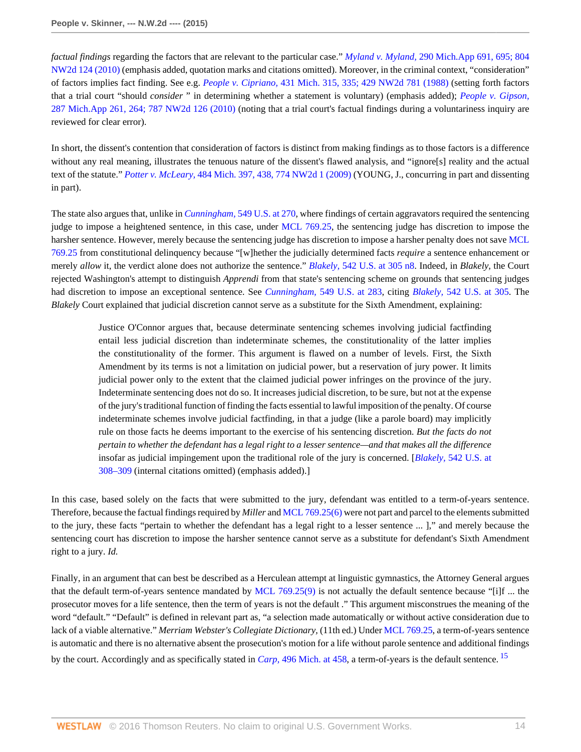*factual findings* regarding the factors that are relevant to the particular case." *Myland v. Myland,* [290 Mich.App 691, 695; 804](http://www.westlaw.com/Link/Document/FullText?findType=Y&serNum=2023849613&pubNum=0000595&originatingDoc=I52c4367847f811e590d4edf60ce7d742&refType=RP&originationContext=document&vr=3.0&rs=cblt1.0&transitionType=DocumentItem&contextData=(sc.Search)) [NW2d 124 \(2010\)](http://www.westlaw.com/Link/Document/FullText?findType=Y&serNum=2023849613&pubNum=0000595&originatingDoc=I52c4367847f811e590d4edf60ce7d742&refType=RP&originationContext=document&vr=3.0&rs=cblt1.0&transitionType=DocumentItem&contextData=(sc.Search)) (emphasis added, quotation marks and citations omitted). Moreover, in the criminal context, "consideration" of factors implies fact finding. See e.g. *People v. Cipriano,* [431 Mich. 315, 335; 429 NW2d 781 \(1988\)](http://www.westlaw.com/Link/Document/FullText?findType=Y&serNum=1988125506&pubNum=0000595&originatingDoc=I52c4367847f811e590d4edf60ce7d742&refType=RP&originationContext=document&vr=3.0&rs=cblt1.0&transitionType=DocumentItem&contextData=(sc.Search)) (setting forth factors that a trial court "should *consider* " in determining whether a statement is voluntary) (emphasis added); *[People v. Gipson,](http://www.westlaw.com/Link/Document/FullText?findType=Y&serNum=2021239541&pubNum=0000595&originatingDoc=I52c4367847f811e590d4edf60ce7d742&refType=RP&originationContext=document&vr=3.0&rs=cblt1.0&transitionType=DocumentItem&contextData=(sc.Search))* [287 Mich.App 261, 264; 787 NW2d 126 \(2010\)](http://www.westlaw.com/Link/Document/FullText?findType=Y&serNum=2021239541&pubNum=0000595&originatingDoc=I52c4367847f811e590d4edf60ce7d742&refType=RP&originationContext=document&vr=3.0&rs=cblt1.0&transitionType=DocumentItem&contextData=(sc.Search)) (noting that a trial court's factual findings during a voluntariness inquiry are reviewed for clear error).

In short, the dissent's contention that consideration of factors is distinct from making findings as to those factors is a difference without any real meaning, illustrates the tenuous nature of the dissent's flawed analysis, and "ignore[s] reality and the actual text of the statute." *Potter v. McLeary,* [484 Mich. 397, 438, 774 NW2d 1 \(2009\)](http://www.westlaw.com/Link/Document/FullText?findType=Y&serNum=2019520172&pubNum=0000595&originatingDoc=I52c4367847f811e590d4edf60ce7d742&refType=RP&originationContext=document&vr=3.0&rs=cblt1.0&transitionType=DocumentItem&contextData=(sc.Search)) (YOUNG, J., concurring in part and dissenting in part).

The state also argues that, unlike in *Cunningham,* [549 U.S. at 270,](http://www.westlaw.com/Link/Document/FullText?findType=Y&serNum=2011243890&pubNum=0000780&originatingDoc=I52c4367847f811e590d4edf60ce7d742&refType=RP&fi=co_pp_sp_780_270&originationContext=document&vr=3.0&rs=cblt1.0&transitionType=DocumentItem&contextData=(sc.Search)#co_pp_sp_780_270) where findings of certain aggravators required the sentencing judge to impose a heightened sentence, in this case, under [MCL 769.25](http://www.westlaw.com/Link/Document/FullText?findType=L&pubNum=1000043&cite=MIST769.25&originatingDoc=I52c4367847f811e590d4edf60ce7d742&refType=LQ&originationContext=document&vr=3.0&rs=cblt1.0&transitionType=DocumentItem&contextData=(sc.Search)), the sentencing judge has discretion to impose the harsher sentence. However, merely because the sentencing judge has discretion to impose a harsher penalty does not save [MCL](http://www.westlaw.com/Link/Document/FullText?findType=L&pubNum=1000043&cite=MIST769.25&originatingDoc=I52c4367847f811e590d4edf60ce7d742&refType=LQ&originationContext=document&vr=3.0&rs=cblt1.0&transitionType=DocumentItem&contextData=(sc.Search)) [769.25](http://www.westlaw.com/Link/Document/FullText?findType=L&pubNum=1000043&cite=MIST769.25&originatingDoc=I52c4367847f811e590d4edf60ce7d742&refType=LQ&originationContext=document&vr=3.0&rs=cblt1.0&transitionType=DocumentItem&contextData=(sc.Search)) from constitutional delinquency because "[w]hether the judicially determined facts *require* a sentence enhancement or merely *allow* it, the verdict alone does not authorize the sentence." *Blakely,* [542 U.S. at 305 n8.](http://www.westlaw.com/Link/Document/FullText?findType=Y&serNum=2004622625&pubNum=0000780&originatingDoc=I52c4367847f811e590d4edf60ce7d742&refType=RP&fi=co_pp_sp_780_305&originationContext=document&vr=3.0&rs=cblt1.0&transitionType=DocumentItem&contextData=(sc.Search)#co_pp_sp_780_305) Indeed, in *Blakely,* the Court rejected Washington's attempt to distinguish *Apprendi* from that state's sentencing scheme on grounds that sentencing judges had discretion to impose an exceptional sentence. See *Cunningham,* [549 U.S. at 283,](http://www.westlaw.com/Link/Document/FullText?findType=Y&serNum=2011243890&pubNum=0000780&originatingDoc=I52c4367847f811e590d4edf60ce7d742&refType=RP&fi=co_pp_sp_780_283&originationContext=document&vr=3.0&rs=cblt1.0&transitionType=DocumentItem&contextData=(sc.Search)#co_pp_sp_780_283) citing *Blakely,* [542 U.S. at 305](http://www.westlaw.com/Link/Document/FullText?findType=Y&serNum=2004622625&pubNum=0000780&originatingDoc=I52c4367847f811e590d4edf60ce7d742&refType=RP&fi=co_pp_sp_780_305&originationContext=document&vr=3.0&rs=cblt1.0&transitionType=DocumentItem&contextData=(sc.Search)#co_pp_sp_780_305). The *Blakely* Court explained that judicial discretion cannot serve as a substitute for the Sixth Amendment, explaining:

Justice O'Connor argues that, because determinate sentencing schemes involving judicial factfinding entail less judicial discretion than indeterminate schemes, the constitutionality of the latter implies the constitutionality of the former. This argument is flawed on a number of levels. First, the Sixth Amendment by its terms is not a limitation on judicial power, but a reservation of jury power. It limits judicial power only to the extent that the claimed judicial power infringes on the province of the jury. Indeterminate sentencing does not do so. It increases judicial discretion, to be sure, but not at the expense of the jury's traditional function of finding the facts essential to lawful imposition of the penalty. Of course indeterminate schemes involve judicial factfinding, in that a judge (like a parole board) may implicitly rule on those facts he deems important to the exercise of his sentencing discretion. *But the facts do not pertain to whether the defendant has a legal right to a lesser sentence—and that makes all the difference* insofar as judicial impingement upon the traditional role of the jury is concerned. [*Blakely,* [542 U.S. at](http://www.westlaw.com/Link/Document/FullText?findType=Y&serNum=2004622625&pubNum=0000780&originatingDoc=I52c4367847f811e590d4edf60ce7d742&refType=RP&fi=co_pp_sp_780_308&originationContext=document&vr=3.0&rs=cblt1.0&transitionType=DocumentItem&contextData=(sc.Search)#co_pp_sp_780_308) [308–309](http://www.westlaw.com/Link/Document/FullText?findType=Y&serNum=2004622625&pubNum=0000780&originatingDoc=I52c4367847f811e590d4edf60ce7d742&refType=RP&fi=co_pp_sp_780_308&originationContext=document&vr=3.0&rs=cblt1.0&transitionType=DocumentItem&contextData=(sc.Search)#co_pp_sp_780_308) (internal citations omitted) (emphasis added).]

In this case, based solely on the facts that were submitted to the jury, defendant was entitled to a term-of-years sentence. Therefore, because the factual findings required by *Miller* and [MCL 769.25\(6\)](http://www.westlaw.com/Link/Document/FullText?findType=L&pubNum=1000043&cite=MIST769.25&originatingDoc=I52c4367847f811e590d4edf60ce7d742&refType=LQ&originationContext=document&vr=3.0&rs=cblt1.0&transitionType=DocumentItem&contextData=(sc.Search)) were not part and parcel to the elements submitted to the jury, these facts "pertain to whether the defendant has a legal right to a lesser sentence ... ]," and merely because the sentencing court has discretion to impose the harsher sentence cannot serve as a substitute for defendant's Sixth Amendment right to a jury. *Id.*

<span id="page-13-0"></span>Finally, in an argument that can best be described as a Herculean attempt at linguistic gymnastics, the Attorney General argues that the default term-of-years sentence mandated by [MCL 769.25\(9\)](http://www.westlaw.com/Link/Document/FullText?findType=L&pubNum=1000043&cite=MIST769.25&originatingDoc=I52c4367847f811e590d4edf60ce7d742&refType=LQ&originationContext=document&vr=3.0&rs=cblt1.0&transitionType=DocumentItem&contextData=(sc.Search)) is not actually the default sentence because "[i]f ... the prosecutor moves for a life sentence, then the term of years is not the default ." This argument misconstrues the meaning of the word "default." "Default" is defined in relevant part as, "a selection made automatically or without active consideration due to lack of a viable alternative." *Merriam Webster's Collegiate Dictionary,* (11th ed.) Under [MCL 769.25](http://www.westlaw.com/Link/Document/FullText?findType=L&pubNum=1000043&cite=MIST769.25&originatingDoc=I52c4367847f811e590d4edf60ce7d742&refType=LQ&originationContext=document&vr=3.0&rs=cblt1.0&transitionType=DocumentItem&contextData=(sc.Search)), a term-of-years sentence is automatic and there is no alternative absent the prosecution's motion for a life without parole sentence and additional findings by the court. Accordingly and as specifically stated in *Carp,* [496 Mich. at 458,](http://www.westlaw.com/Link/Document/FullText?findType=Y&serNum=2033796369&pubNum=0000542&originatingDoc=I52c4367847f811e590d4edf60ce7d742&refType=RP&fi=co_pp_sp_542_458&originationContext=document&vr=3.0&rs=cblt1.0&transitionType=DocumentItem&contextData=(sc.Search)#co_pp_sp_542_458) a term-of-years is the default sentence. [15](#page-22-2)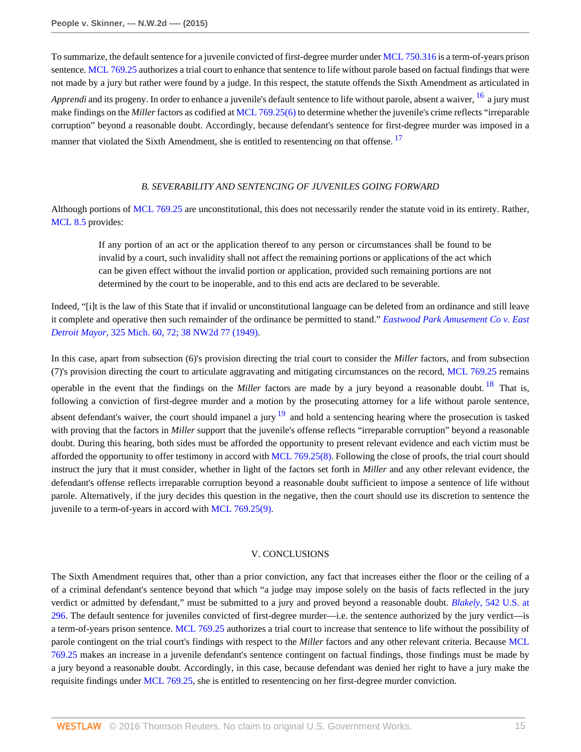To summarize, the default sentence for a juvenile convicted of first-degree murder under [MCL 750.316](http://www.westlaw.com/Link/Document/FullText?findType=L&pubNum=1000043&cite=MIST750.316&originatingDoc=I52c4367847f811e590d4edf60ce7d742&refType=LQ&originationContext=document&vr=3.0&rs=cblt1.0&transitionType=DocumentItem&contextData=(sc.Search)) is a term-of-years prison sentence. [MCL 769.25](http://www.westlaw.com/Link/Document/FullText?findType=L&pubNum=1000043&cite=MIST769.25&originatingDoc=I52c4367847f811e590d4edf60ce7d742&refType=LQ&originationContext=document&vr=3.0&rs=cblt1.0&transitionType=DocumentItem&contextData=(sc.Search)) authorizes a trial court to enhance that sentence to life without parole based on factual findings that were not made by a jury but rather were found by a judge. In this respect, the statute offends the Sixth Amendment as articulated in *Apprendi* and its progeny. In order to enhance a juvenile's default sentence to life without parole, absent a waiver, <sup>[16](#page-22-3)</sup> a jury must make findings on the *Miller* factors as codified at [MCL 769.25\(6\)](http://www.westlaw.com/Link/Document/FullText?findType=L&pubNum=1000043&cite=MIST769.25&originatingDoc=I52c4367847f811e590d4edf60ce7d742&refType=LQ&originationContext=document&vr=3.0&rs=cblt1.0&transitionType=DocumentItem&contextData=(sc.Search)) to determine whether the juvenile's crime reflects "irreparable corruption" beyond a reasonable doubt. Accordingly, because defendant's sentence for first-degree murder was imposed in a manner that violated the Sixth Amendment, she is entitled to resentencing on that offense.<sup>[17](#page-22-4)</sup>

### <span id="page-14-1"></span><span id="page-14-0"></span>*B. SEVERABILITY AND SENTENCING OF JUVENILES GOING FORWARD*

Although portions of [MCL 769.25](http://www.westlaw.com/Link/Document/FullText?findType=L&pubNum=1000043&cite=MIST769.25&originatingDoc=I52c4367847f811e590d4edf60ce7d742&refType=LQ&originationContext=document&vr=3.0&rs=cblt1.0&transitionType=DocumentItem&contextData=(sc.Search)) are unconstitutional, this does not necessarily render the statute void in its entirety. Rather, [MCL 8.5](http://www.westlaw.com/Link/Document/FullText?findType=L&pubNum=1000043&cite=MIST8.5&originatingDoc=I52c4367847f811e590d4edf60ce7d742&refType=LQ&originationContext=document&vr=3.0&rs=cblt1.0&transitionType=DocumentItem&contextData=(sc.Search)) provides:

If any portion of an act or the application thereof to any person or circumstances shall be found to be invalid by a court, such invalidity shall not affect the remaining portions or applications of the act which can be given effect without the invalid portion or application, provided such remaining portions are not determined by the court to be inoperable, and to this end acts are declared to be severable.

Indeed, "[i]t is the law of this State that if invalid or unconstitutional language can be deleted from an ordinance and still leave it complete and operative then such remainder of the ordinance be permitted to stand." *[Eastwood Park Amusement Co v. East](http://www.westlaw.com/Link/Document/FullText?findType=Y&serNum=1949105529&pubNum=0000595&originatingDoc=I52c4367847f811e590d4edf60ce7d742&refType=RP&originationContext=document&vr=3.0&rs=cblt1.0&transitionType=DocumentItem&contextData=(sc.Search)) Detroit Mayor,* [325 Mich. 60, 72; 38 NW2d 77 \(1949\).](http://www.westlaw.com/Link/Document/FullText?findType=Y&serNum=1949105529&pubNum=0000595&originatingDoc=I52c4367847f811e590d4edf60ce7d742&refType=RP&originationContext=document&vr=3.0&rs=cblt1.0&transitionType=DocumentItem&contextData=(sc.Search))

In this case, apart from subsection (6)'s provision directing the trial court to consider the *Miller* factors, and from subsection (7)'s provision directing the court to articulate aggravating and mitigating circumstances on the record, [MCL 769.25](http://www.westlaw.com/Link/Document/FullText?findType=L&pubNum=1000043&cite=MIST769.25&originatingDoc=I52c4367847f811e590d4edf60ce7d742&refType=LQ&originationContext=document&vr=3.0&rs=cblt1.0&transitionType=DocumentItem&contextData=(sc.Search)) remains operable in the event that the findings on the *Miller* factors are made by a jury beyond a reasonable doubt. <sup>[18](#page-22-5)</sup> That is, following a conviction of first-degree murder and a motion by the prosecuting attorney for a life without parole sentence, absent defendant's waiver, the court should impanel a jury  $19$  and hold a sentencing hearing where the prosecution is tasked with proving that the factors in *Miller* support that the juvenile's offense reflects "irreparable corruption" beyond a reasonable doubt. During this hearing, both sides must be afforded the opportunity to present relevant evidence and each victim must be afforded the opportunity to offer testimony in accord with [MCL 769.25\(8\)](http://www.westlaw.com/Link/Document/FullText?findType=L&pubNum=1000043&cite=MIST769.25&originatingDoc=I52c4367847f811e590d4edf60ce7d742&refType=LQ&originationContext=document&vr=3.0&rs=cblt1.0&transitionType=DocumentItem&contextData=(sc.Search)). Following the close of proofs, the trial court should instruct the jury that it must consider, whether in light of the factors set forth in *Miller* and any other relevant evidence, the defendant's offense reflects irreparable corruption beyond a reasonable doubt sufficient to impose a sentence of life without parole. Alternatively, if the jury decides this question in the negative, then the court should use its discretion to sentence the juvenile to a term-of-years in accord with [MCL 769.25\(9\).](http://www.westlaw.com/Link/Document/FullText?findType=L&pubNum=1000043&cite=MIST769.25&originatingDoc=I52c4367847f811e590d4edf60ce7d742&refType=LQ&originationContext=document&vr=3.0&rs=cblt1.0&transitionType=DocumentItem&contextData=(sc.Search))

### <span id="page-14-3"></span><span id="page-14-2"></span>V. CONCLUSIONS

The Sixth Amendment requires that, other than a prior conviction, any fact that increases either the floor or the ceiling of a of a criminal defendant's sentence beyond that which "a judge may impose solely on the basis of facts reflected in the jury verdict or admitted by defendant," must be submitted to a jury and proved beyond a reasonable doubt. *Blakely,* [542 U.S. at](http://www.westlaw.com/Link/Document/FullText?findType=Y&serNum=2004622625&pubNum=0000780&originatingDoc=I52c4367847f811e590d4edf60ce7d742&refType=RP&fi=co_pp_sp_780_296&originationContext=document&vr=3.0&rs=cblt1.0&transitionType=DocumentItem&contextData=(sc.Search)#co_pp_sp_780_296) [296](http://www.westlaw.com/Link/Document/FullText?findType=Y&serNum=2004622625&pubNum=0000780&originatingDoc=I52c4367847f811e590d4edf60ce7d742&refType=RP&fi=co_pp_sp_780_296&originationContext=document&vr=3.0&rs=cblt1.0&transitionType=DocumentItem&contextData=(sc.Search)#co_pp_sp_780_296). The default sentence for juveniles convicted of first-degree murder—i.e. the sentence authorized by the jury verdict—is a term-of-years prison sentence. [MCL 769.25](http://www.westlaw.com/Link/Document/FullText?findType=L&pubNum=1000043&cite=MIST769.25&originatingDoc=I52c4367847f811e590d4edf60ce7d742&refType=LQ&originationContext=document&vr=3.0&rs=cblt1.0&transitionType=DocumentItem&contextData=(sc.Search)) authorizes a trial court to increase that sentence to life without the possibility of parole contingent on the trial court's findings with respect to the *Miller* factors and any other relevant criteria. Because [MCL](http://www.westlaw.com/Link/Document/FullText?findType=L&pubNum=1000043&cite=MIST769.25&originatingDoc=I52c4367847f811e590d4edf60ce7d742&refType=LQ&originationContext=document&vr=3.0&rs=cblt1.0&transitionType=DocumentItem&contextData=(sc.Search)) [769.25](http://www.westlaw.com/Link/Document/FullText?findType=L&pubNum=1000043&cite=MIST769.25&originatingDoc=I52c4367847f811e590d4edf60ce7d742&refType=LQ&originationContext=document&vr=3.0&rs=cblt1.0&transitionType=DocumentItem&contextData=(sc.Search)) makes an increase in a juvenile defendant's sentence contingent on factual findings, those findings must be made by a jury beyond a reasonable doubt. Accordingly, in this case, because defendant was denied her right to have a jury make the requisite findings under [MCL 769.25](http://www.westlaw.com/Link/Document/FullText?findType=L&pubNum=1000043&cite=MIST769.25&originatingDoc=I52c4367847f811e590d4edf60ce7d742&refType=LQ&originationContext=document&vr=3.0&rs=cblt1.0&transitionType=DocumentItem&contextData=(sc.Search)), she is entitled to resentencing on her first-degree murder conviction.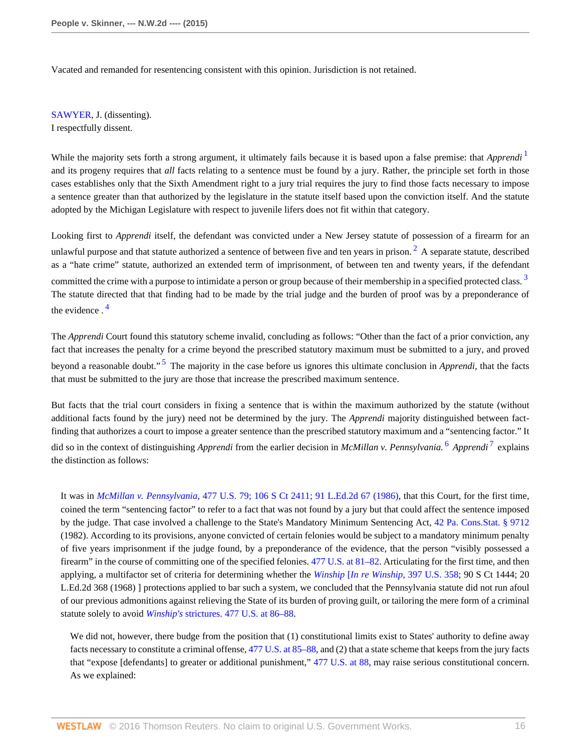Vacated and remanded for resentencing consistent with this opinion. Jurisdiction is not retained.

[SAWYER](http://www.westlaw.com/Link/Document/FullText?findType=h&pubNum=176284&cite=0180104101&originatingDoc=I52c4367847f811e590d4edf60ce7d742&refType=RQ&originationContext=document&vr=3.0&rs=cblt1.0&transitionType=DocumentItem&contextData=(sc.Search)), J. (dissenting). I respectfully dissent.

<span id="page-15-0"></span>While the majority sets forth a strong argument, it ultimately fails because it is based upon a false premise: that *Apprendi* <sup>[1](#page-22-7)</sup> and its progeny requires that *all* facts relating to a sentence must be found by a jury. Rather, the principle set forth in those cases establishes only that the Sixth Amendment right to a jury trial requires the jury to find those facts necessary to impose a sentence greater than that authorized by the legislature in the statute itself based upon the conviction itself. And the statute adopted by the Michigan Legislature with respect to juvenile lifers does not fit within that category.

<span id="page-15-2"></span><span id="page-15-1"></span>Looking first to *Apprendi* itself, the defendant was convicted under a New Jersey statute of possession of a firearm for an unlawful purpose and that statute authorized a sentence of between five and ten years in prison.  $^2$  $^2$  A separate statute, described as a "hate crime" statute, authorized an extended term of imprisonment, of between ten and twenty years, if the defendant committed the crime with a purpose to intimidate a person or group because of their membership in a specified protected class.<sup>[3](#page-22-9)</sup> The statute directed that that finding had to be made by the trial judge and the burden of proof was by a preponderance of the evidence . [4](#page-22-10)

<span id="page-15-4"></span><span id="page-15-3"></span>The *Apprendi* Court found this statutory scheme invalid, concluding as follows: "Other than the fact of a prior conviction, any fact that increases the penalty for a crime beyond the prescribed statutory maximum must be submitted to a jury, and proved beyond a reasonable doubt."<sup>[5](#page-22-11)</sup> The majority in the case before us ignores this ultimate conclusion in *Apprendi*, that the facts that must be submitted to the jury are those that increase the prescribed maximum sentence.

But facts that the trial court considers in fixing a sentence that is within the maximum authorized by the statute (without additional facts found by the jury) need not be determined by the jury. The *Apprendi* majority distinguished between factfinding that authorizes a court to impose a greater sentence than the prescribed statutory maximum and a "sentencing factor." It did so in the context of distinguishing *Apprendi* from the earlier decision in *McMillan v. Pennsylvania*. <sup>[6](#page-22-12)</sup> *Apprendi*<sup>[7](#page-22-13)</sup> explains the distinction as follows:

<span id="page-15-6"></span><span id="page-15-5"></span>It was in *McMillan v. Pennsylvania,* [477 U.S. 79; 106 S Ct 2411; 91 L.Ed.2d 67 \(1986\)](http://www.westlaw.com/Link/Document/FullText?findType=Y&serNum=1986131476&pubNum=0000708&originatingDoc=I52c4367847f811e590d4edf60ce7d742&refType=RP&originationContext=document&vr=3.0&rs=cblt1.0&transitionType=DocumentItem&contextData=(sc.Search)), that this Court, for the first time, coined the term "sentencing factor" to refer to a fact that was not found by a jury but that could affect the sentence imposed by the judge. That case involved a challenge to the State's Mandatory Minimum Sentencing Act, [42 Pa. Cons.Stat. § 9712](http://www.westlaw.com/Link/Document/FullText?findType=L&pubNum=1000262&cite=PA42S9712&originatingDoc=I52c4367847f811e590d4edf60ce7d742&refType=LQ&originationContext=document&vr=3.0&rs=cblt1.0&transitionType=DocumentItem&contextData=(sc.Search)) (1982). According to its provisions, anyone convicted of certain felonies would be subject to a mandatory minimum penalty of five years imprisonment if the judge found, by a preponderance of the evidence, that the person "visibly possessed a firearm" in the course of committing one of the specified felonies. [477 U.S. at 81–82.](http://www.westlaw.com/Link/Document/FullText?findType=Y&serNum=1986131476&pubNum=0000780&originatingDoc=I52c4367847f811e590d4edf60ce7d742&refType=RP&fi=co_pp_sp_780_81&originationContext=document&vr=3.0&rs=cblt1.0&transitionType=DocumentItem&contextData=(sc.Search)#co_pp_sp_780_81) Articulating for the first time, and then applying, a multifactor set of criteria for determining whether the *Winship* [*[In re Winship,](http://www.westlaw.com/Link/Document/FullText?findType=Y&serNum=1970134205&pubNum=0000780&originatingDoc=I52c4367847f811e590d4edf60ce7d742&refType=RP&originationContext=document&vr=3.0&rs=cblt1.0&transitionType=DocumentItem&contextData=(sc.Search))* 397 U.S. 358; 90 S Ct 1444; 20 L.Ed.2d 368 (1968) ] protections applied to bar such a system, we concluded that the Pennsylvania statute did not run afoul of our previous admonitions against relieving the State of its burden of proving guilt, or tailoring the mere form of a criminal statute solely to avoid *Winship's* [strictures. 477 U.S. at 86–88](http://www.westlaw.com/Link/Document/FullText?findType=Y&serNum=1986131476&pubNum=0000780&originatingDoc=I52c4367847f811e590d4edf60ce7d742&refType=RP&fi=co_pp_sp_780_86&originationContext=document&vr=3.0&rs=cblt1.0&transitionType=DocumentItem&contextData=(sc.Search)#co_pp_sp_780_86).

We did not, however, there budge from the position that (1) constitutional limits exist to States' authority to define away facts necessary to constitute a criminal offense, [477 U.S. at 85–88](http://www.westlaw.com/Link/Document/FullText?findType=Y&serNum=1986131476&pubNum=0000780&originatingDoc=I52c4367847f811e590d4edf60ce7d742&refType=RP&fi=co_pp_sp_780_85&originationContext=document&vr=3.0&rs=cblt1.0&transitionType=DocumentItem&contextData=(sc.Search)#co_pp_sp_780_85), and (2) that a state scheme that keeps from the jury facts that "expose [defendants] to greater or additional punishment," [477 U.S. at 88,](http://www.westlaw.com/Link/Document/FullText?findType=Y&serNum=1986131476&pubNum=0000780&originatingDoc=I52c4367847f811e590d4edf60ce7d742&refType=RP&fi=co_pp_sp_780_88&originationContext=document&vr=3.0&rs=cblt1.0&transitionType=DocumentItem&contextData=(sc.Search)#co_pp_sp_780_88) may raise serious constitutional concern. As we explained: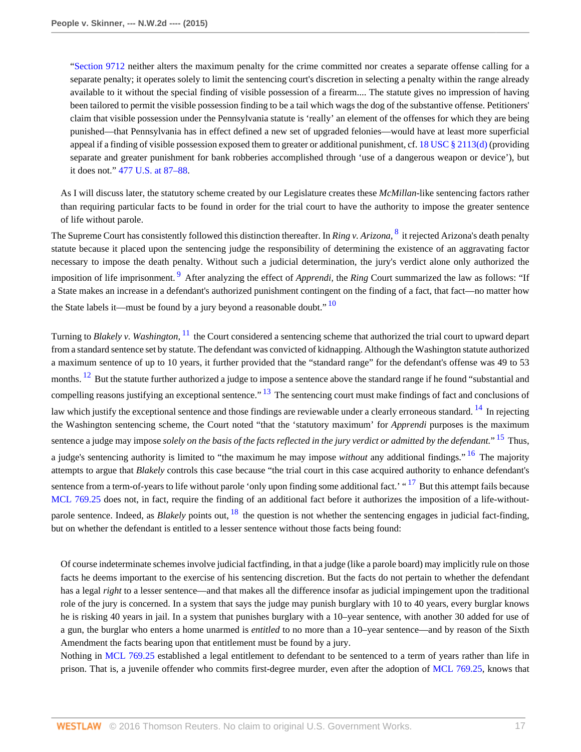["Section 9712](http://www.westlaw.com/Link/Document/FullText?findType=L&pubNum=1000262&cite=PA42S9712&originatingDoc=I52c4367847f811e590d4edf60ce7d742&refType=LQ&originationContext=document&vr=3.0&rs=cblt1.0&transitionType=DocumentItem&contextData=(sc.Search)) neither alters the maximum penalty for the crime committed nor creates a separate offense calling for a separate penalty; it operates solely to limit the sentencing court's discretion in selecting a penalty within the range already available to it without the special finding of visible possession of a firearm.... The statute gives no impression of having been tailored to permit the visible possession finding to be a tail which wags the dog of the substantive offense. Petitioners' claim that visible possession under the Pennsylvania statute is 'really' an element of the offenses for which they are being punished—that Pennsylvania has in effect defined a new set of upgraded felonies—would have at least more superficial appeal if a finding of visible possession exposed them to greater or additional punishment, cf. 18 USC  $\S$  2113(d) (providing separate and greater punishment for bank robberies accomplished through 'use of a dangerous weapon or device'), but it does not." [477 U.S. at 87–88.](http://www.westlaw.com/Link/Document/FullText?findType=Y&serNum=1986131476&pubNum=0000780&originatingDoc=I52c4367847f811e590d4edf60ce7d742&refType=RP&fi=co_pp_sp_780_87&originationContext=document&vr=3.0&rs=cblt1.0&transitionType=DocumentItem&contextData=(sc.Search)#co_pp_sp_780_87)

<span id="page-16-0"></span>As I will discuss later, the statutory scheme created by our Legislature creates these *McMillan*-like sentencing factors rather than requiring particular facts to be found in order for the trial court to have the authority to impose the greater sentence of life without parole.

<span id="page-16-1"></span>The Supreme Court has consistently followed this distinction thereafter. In *Ring v. Arizona*, <sup>[8](#page-22-14)</sup> it rejected Arizona's death penalty statute because it placed upon the sentencing judge the responsibility of determining the existence of an aggravating factor necessary to impose the death penalty. Without such a judicial determination, the jury's verdict alone only authorized the imposition of life imprisonment.<sup>[9](#page-22-15)</sup> After analyzing the effect of *Apprendi*, the *Ring* Court summarized the law as follows: "If a State makes an increase in a defendant's authorized punishment contingent on the finding of a fact, that fact—no matter how the State labels it—must be found by a jury beyond a reasonable doubt."  $\frac{10}{10}$  $\frac{10}{10}$  $\frac{10}{10}$ 

<span id="page-16-6"></span><span id="page-16-5"></span><span id="page-16-4"></span><span id="page-16-3"></span><span id="page-16-2"></span>Turning to *Blakely v. Washington*, <sup>[11](#page-22-17)</sup> the Court considered a sentencing scheme that authorized the trial court to upward depart from a standard sentence set by statute. The defendant was convicted of kidnapping. Although the Washington statute authorized a maximum sentence of up to 10 years, it further provided that the "standard range" for the defendant's offense was 49 to 53 months. <sup>[12](#page-22-18)</sup> But the statute further authorized a judge to impose a sentence above the standard range if he found "substantial and compelling reasons justifying an exceptional sentence."  $^{13}$  $^{13}$  $^{13}$  The sentencing court must make findings of fact and conclusions of law which justify the exceptional sentence and those findings are reviewable under a clearly erroneous standard. <sup>[14](#page-22-20)</sup> In rejecting the Washington sentencing scheme, the Court noted "that the 'statutory maximum' for *Apprendi* purposes is the maximum sentence a judge may impose *solely on the basis of the facts reflected in the jury verdict or admitted by the defendant.*" [15](#page-23-0) Thus, a judge's sentencing authority is limited to "the maximum he may impose *without* any additional findings." [16](#page-23-1) The majority attempts to argue that *Blakely* controls this case because "the trial court in this case acquired authority to enhance defendant's sentence from a term-of-years to life without parole 'only upon finding some additional fact.' "<sup>[17](#page-23-2)</sup> But this attempt fails because [MCL 769.25](http://www.westlaw.com/Link/Document/FullText?findType=L&pubNum=1000043&cite=MIST769.25&originatingDoc=I52c4367847f811e590d4edf60ce7d742&refType=LQ&originationContext=document&vr=3.0&rs=cblt1.0&transitionType=DocumentItem&contextData=(sc.Search)) does not, in fact, require the finding of an additional fact before it authorizes the imposition of a life-withoutparole sentence. Indeed, as *Blakely* points out, <sup>[18](#page-23-3)</sup> the question is not whether the sentencing engages in judicial fact-finding, but on whether the defendant is entitled to a lesser sentence without those facts being found:

<span id="page-16-10"></span><span id="page-16-9"></span><span id="page-16-8"></span><span id="page-16-7"></span>Of course indeterminate schemes involve judicial factfinding, in that a judge (like a parole board) may implicitly rule on those facts he deems important to the exercise of his sentencing discretion. But the facts do not pertain to whether the defendant has a legal *right* to a lesser sentence—and that makes all the difference insofar as judicial impingement upon the traditional role of the jury is concerned. In a system that says the judge may punish burglary with 10 to 40 years, every burglar knows he is risking 40 years in jail. In a system that punishes burglary with a 10–year sentence, with another 30 added for use of a gun, the burglar who enters a home unarmed is *entitled* to no more than a 10–year sentence—and by reason of the Sixth Amendment the facts bearing upon that entitlement must be found by a jury.

Nothing in [MCL 769.25](http://www.westlaw.com/Link/Document/FullText?findType=L&pubNum=1000043&cite=MIST769.25&originatingDoc=I52c4367847f811e590d4edf60ce7d742&refType=LQ&originationContext=document&vr=3.0&rs=cblt1.0&transitionType=DocumentItem&contextData=(sc.Search)) established a legal entitlement to defendant to be sentenced to a term of years rather than life in prison. That is, a juvenile offender who commits first-degree murder, even after the adoption of [MCL 769.25](http://www.westlaw.com/Link/Document/FullText?findType=L&pubNum=1000043&cite=MIST769.25&originatingDoc=I52c4367847f811e590d4edf60ce7d742&refType=LQ&originationContext=document&vr=3.0&rs=cblt1.0&transitionType=DocumentItem&contextData=(sc.Search)), knows that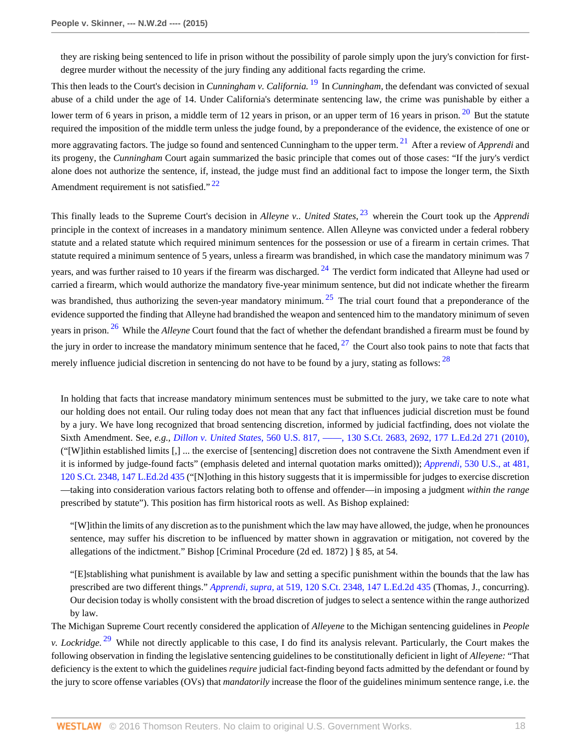<span id="page-17-2"></span><span id="page-17-1"></span><span id="page-17-0"></span>they are risking being sentenced to life in prison without the possibility of parole simply upon the jury's conviction for firstdegree murder without the necessity of the jury finding any additional facts regarding the crime.

This then leads to the Court's decision in *Cunningham v. California.* [19](#page-23-4) In *Cunningham,* the defendant was convicted of sexual abuse of a child under the age of 14. Under California's determinate sentencing law, the crime was punishable by either a lower term of 6 years in prison, a middle term of 12 years in prison, or an upper term of 16 years in prison.  $20$  But the statute required the imposition of the middle term unless the judge found, by a preponderance of the evidence, the existence of one or more aggravating factors. The judge so found and sentenced Cunningham to the upper term. [21](#page-23-6) After a review of *Apprendi* and its progeny, the *Cunningham* Court again summarized the basic principle that comes out of those cases: "If the jury's verdict alone does not authorize the sentence, if, instead, the judge must find an additional fact to impose the longer term, the Sixth Amendment requirement is not satisfied."<sup>[22](#page-23-7)</sup>

<span id="page-17-5"></span><span id="page-17-4"></span><span id="page-17-3"></span>This finally leads to the Supreme Court's decision in *Alleyne v.. United States,* [23](#page-23-8) wherein the Court took up the *Apprendi* principle in the context of increases in a mandatory minimum sentence. Allen Alleyne was convicted under a federal robbery statute and a related statute which required minimum sentences for the possession or use of a firearm in certain crimes. That statute required a minimum sentence of 5 years, unless a firearm was brandished, in which case the mandatory minimum was 7 years, and was further raised to 10 years if the firearm was discharged.  $^{24}$  $^{24}$  $^{24}$  The verdict form indicated that Alleyne had used or carried a firearm, which would authorize the mandatory five-year minimum sentence, but did not indicate whether the firearm was brandished, thus authorizing the seven-year mandatory minimum.  $25$  The trial court found that a preponderance of the evidence supported the finding that Alleyne had brandished the weapon and sentenced him to the mandatory minimum of seven years in prison. [26](#page-23-11) While the *Alleyne* Court found that the fact of whether the defendant brandished a firearm must be found by the jury in order to increase the mandatory minimum sentence that he faced,  $27$  the Court also took pains to note that facts that merely influence judicial discretion in sentencing do not have to be found by a jury, stating as follows: <sup>[28](#page-23-13)</sup>

<span id="page-17-9"></span><span id="page-17-8"></span><span id="page-17-7"></span><span id="page-17-6"></span>In holding that facts that increase mandatory minimum sentences must be submitted to the jury, we take care to note what our holding does not entail. Our ruling today does not mean that any fact that influences judicial discretion must be found by a jury. We have long recognized that broad sentencing discretion, informed by judicial factfinding, does not violate the Sixth Amendment. See, *e.g., Dillon v. United States,* [560 U.S. 817, ––––, 130 S.Ct. 2683, 2692, 177 L.Ed.2d 271 \(2010\)](http://www.westlaw.com/Link/Document/FullText?findType=Y&serNum=2022318818&pubNum=0000708&originatingDoc=I52c4367847f811e590d4edf60ce7d742&refType=RP&fi=co_pp_sp_708_2692&originationContext=document&vr=3.0&rs=cblt1.0&transitionType=DocumentItem&contextData=(sc.Search)#co_pp_sp_708_2692), ("[W]ithin established limits [,] ... the exercise of [sentencing] discretion does not contravene the Sixth Amendment even if it is informed by judge-found facts" (emphasis deleted and internal quotation marks omitted)); *Apprendi,* [530 U.S., at 481,](http://www.westlaw.com/Link/Document/FullText?findType=Y&serNum=2000387238&pubNum=0000708&originatingDoc=I52c4367847f811e590d4edf60ce7d742&refType=RP&originationContext=document&vr=3.0&rs=cblt1.0&transitionType=DocumentItem&contextData=(sc.Search)) [120 S.Ct. 2348, 147 L.Ed.2d 435](http://www.westlaw.com/Link/Document/FullText?findType=Y&serNum=2000387238&pubNum=0000708&originatingDoc=I52c4367847f811e590d4edf60ce7d742&refType=RP&originationContext=document&vr=3.0&rs=cblt1.0&transitionType=DocumentItem&contextData=(sc.Search)) ("[N]othing in this history suggests that it is impermissible for judges to exercise discretion —taking into consideration various factors relating both to offense and offender—in imposing a judgment *within the range* prescribed by statute"). This position has firm historical roots as well. As Bishop explained:

"[W]ithin the limits of any discretion as to the punishment which the law may have allowed, the judge, when he pronounces sentence, may suffer his discretion to be influenced by matter shown in aggravation or mitigation, not covered by the allegations of the indictment." Bishop [Criminal Procedure (2d ed. 1872) ] § 85, at 54.

"[E]stablishing what punishment is available by law and setting a specific punishment within the bounds that the law has prescribed are two different things." *Apprendi, supra,* [at 519, 120 S.Ct. 2348, 147 L.Ed.2d 435](http://www.westlaw.com/Link/Document/FullText?findType=Y&serNum=2000387238&pubNum=0000708&originatingDoc=I52c4367847f811e590d4edf60ce7d742&refType=RP&originationContext=document&vr=3.0&rs=cblt1.0&transitionType=DocumentItem&contextData=(sc.Search)) (Thomas, J., concurring). Our decision today is wholly consistent with the broad discretion of judges to select a sentence within the range authorized by law.

The Michigan Supreme Court recently considered the application of *Alleyene* to the Michigan sentencing guidelines in *People*

<span id="page-17-10"></span>*v. Lockridge.* [29](#page-23-14) While not directly applicable to this case, I do find its analysis relevant. Particularly, the Court makes the following observation in finding the legislative sentencing guidelines to be constitutionally deficient in light of *Alleyene:* "That deficiency is the extent to which the guidelines *require* judicial fact-finding beyond facts admitted by the defendant or found by the jury to score offense variables (OVs) that *mandatorily* increase the floor of the guidelines minimum sentence range, i.e. the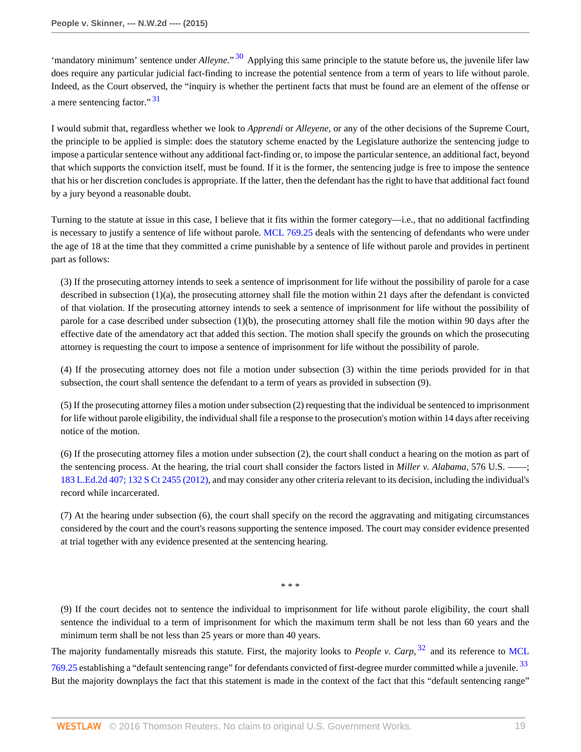<span id="page-18-0"></span>'mandatory minimum' sentence under *Alleyne*."<sup>[30](#page-23-15)</sup> Applying this same principle to the statute before us, the juvenile lifer law does require any particular judicial fact-finding to increase the potential sentence from a term of years to life without parole. Indeed, as the Court observed, the "inquiry is whether the pertinent facts that must be found are an element of the offense or a mere sentencing factor."<sup>[31](#page-23-16)</sup>

<span id="page-18-1"></span>I would submit that, regardless whether we look to *Apprendi* or *Alleyene,* or any of the other decisions of the Supreme Court, the principle to be applied is simple: does the statutory scheme enacted by the Legislature authorize the sentencing judge to impose a particular sentence without any additional fact-finding or, to impose the particular sentence, an additional fact, beyond that which supports the conviction itself, must be found. If it is the former, the sentencing judge is free to impose the sentence that his or her discretion concludes is appropriate. If the latter, then the defendant has the right to have that additional fact found by a jury beyond a reasonable doubt.

Turning to the statute at issue in this case, I believe that it fits within the former category—i.e., that no additional factfinding is necessary to justify a sentence of life without parole. [MCL 769.25](http://www.westlaw.com/Link/Document/FullText?findType=L&pubNum=1000043&cite=MIST769.25&originatingDoc=I52c4367847f811e590d4edf60ce7d742&refType=LQ&originationContext=document&vr=3.0&rs=cblt1.0&transitionType=DocumentItem&contextData=(sc.Search)) deals with the sentencing of defendants who were under the age of 18 at the time that they committed a crime punishable by a sentence of life without parole and provides in pertinent part as follows:

(3) If the prosecuting attorney intends to seek a sentence of imprisonment for life without the possibility of parole for a case described in subsection (1)(a), the prosecuting attorney shall file the motion within 21 days after the defendant is convicted of that violation. If the prosecuting attorney intends to seek a sentence of imprisonment for life without the possibility of parole for a case described under subsection (1)(b), the prosecuting attorney shall file the motion within 90 days after the effective date of the amendatory act that added this section. The motion shall specify the grounds on which the prosecuting attorney is requesting the court to impose a sentence of imprisonment for life without the possibility of parole.

(4) If the prosecuting attorney does not file a motion under subsection (3) within the time periods provided for in that subsection, the court shall sentence the defendant to a term of years as provided in subsection (9).

(5) If the prosecuting attorney files a motion under subsection (2) requesting that the individual be sentenced to imprisonment for life without parole eligibility, the individual shall file a response to the prosecution's motion within 14 days after receiving notice of the motion.

(6) If the prosecuting attorney files a motion under subsection (2), the court shall conduct a hearing on the motion as part of the sentencing process. At the hearing, the trial court shall consider the factors listed in *Miller v. Alabama,* 576 U.S. ––––; [183 L.Ed.2d 407; 132 S Ct 2455 \(2012\)](http://www.westlaw.com/Link/Document/FullText?findType=Y&serNum=2027964006&pubNum=0000708&originatingDoc=I52c4367847f811e590d4edf60ce7d742&refType=RP&originationContext=document&vr=3.0&rs=cblt1.0&transitionType=DocumentItem&contextData=(sc.Search)), and may consider any other criteria relevant to its decision, including the individual's record while incarcerated.

(7) At the hearing under subsection (6), the court shall specify on the record the aggravating and mitigating circumstances considered by the court and the court's reasons supporting the sentence imposed. The court may consider evidence presented at trial together with any evidence presented at the sentencing hearing.

<span id="page-18-3"></span><span id="page-18-2"></span>\* \* \*

(9) If the court decides not to sentence the individual to imprisonment for life without parole eligibility, the court shall sentence the individual to a term of imprisonment for which the maximum term shall be not less than 60 years and the minimum term shall be not less than 25 years or more than 40 years.

The majority fundamentally misreads this statute. First, the majority looks to *People v. Carp,* [32](#page-23-17) and its reference to [MCL](http://www.westlaw.com/Link/Document/FullText?findType=L&pubNum=1000043&cite=MIST769.25&originatingDoc=I52c4367847f811e590d4edf60ce7d742&refType=LQ&originationContext=document&vr=3.0&rs=cblt1.0&transitionType=DocumentItem&contextData=(sc.Search)) [769.25](http://www.westlaw.com/Link/Document/FullText?findType=L&pubNum=1000043&cite=MIST769.25&originatingDoc=I52c4367847f811e590d4edf60ce7d742&refType=LQ&originationContext=document&vr=3.0&rs=cblt1.0&transitionType=DocumentItem&contextData=(sc.Search)) establishing a "default sentencing range" for defendants convicted of first-degree murder committed while a juvenile.<sup>[33](#page-23-18)</sup> But the majority downplays the fact that this statement is made in the context of the fact that this "default sentencing range"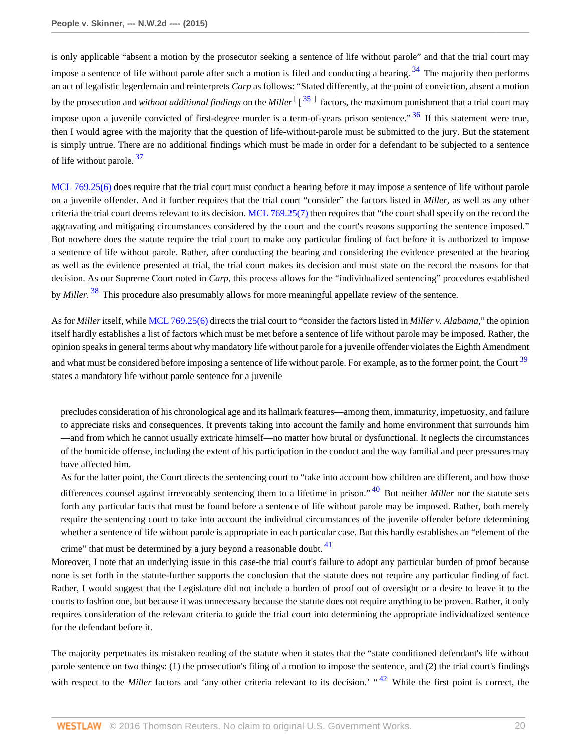<span id="page-19-2"></span><span id="page-19-1"></span><span id="page-19-0"></span>is only applicable "absent a motion by the prosecutor seeking a sentence of life without parole" and that the trial court may impose a sentence of life without parole after such a motion is filed and conducting a hearing.  $34$  The majority then performs an act of legalistic legerdemain and reinterprets *Carp* as follows: "Stated differently, at the point of conviction, absent a motion by the prosecution and *without additional findings* on the *Miller* <sup>[[[35](#page-23-20)]</sup> factors, the maximum punishment that a trial court may impose upon a juvenile convicted of first-degree murder is a term-of-years prison sentence.<sup>"[36](#page-23-21)</sup> If this statement were true, then I would agree with the majority that the question of life-without-parole must be submitted to the jury. But the statement is simply untrue. There are no additional findings which must be made in order for a defendant to be subjected to a sentence of life without parole.  $37$ 

<span id="page-19-3"></span>[MCL 769.25\(6\)](http://www.westlaw.com/Link/Document/FullText?findType=L&pubNum=1000043&cite=MIST769.25&originatingDoc=I52c4367847f811e590d4edf60ce7d742&refType=LQ&originationContext=document&vr=3.0&rs=cblt1.0&transitionType=DocumentItem&contextData=(sc.Search)) does require that the trial court must conduct a hearing before it may impose a sentence of life without parole on a juvenile offender. And it further requires that the trial court "consider" the factors listed in *Miller,* as well as any other criteria the trial court deems relevant to its decision. [MCL 769.25\(7\)](http://www.westlaw.com/Link/Document/FullText?findType=L&pubNum=1000043&cite=MIST769.25&originatingDoc=I52c4367847f811e590d4edf60ce7d742&refType=LQ&originationContext=document&vr=3.0&rs=cblt1.0&transitionType=DocumentItem&contextData=(sc.Search)) then requires that "the court shall specify on the record the aggravating and mitigating circumstances considered by the court and the court's reasons supporting the sentence imposed." But nowhere does the statute require the trial court to make any particular finding of fact before it is authorized to impose a sentence of life without parole. Rather, after conducting the hearing and considering the evidence presented at the hearing as well as the evidence presented at trial, the trial court makes its decision and must state on the record the reasons for that decision. As our Supreme Court noted in *Carp,* this process allows for the "individualized sentencing" procedures established by *Miller.* [38](#page-23-23) This procedure also presumably allows for more meaningful appellate review of the sentence.

<span id="page-19-4"></span>As for *Miller* itself, while [MCL 769.25\(6\)](http://www.westlaw.com/Link/Document/FullText?findType=L&pubNum=1000043&cite=MIST769.25&originatingDoc=I52c4367847f811e590d4edf60ce7d742&refType=LQ&originationContext=document&vr=3.0&rs=cblt1.0&transitionType=DocumentItem&contextData=(sc.Search)) directs the trial court to "consider the factors listed in *Miller v. Alabama,*" the opinion itself hardly establishes a list of factors which must be met before a sentence of life without parole may be imposed. Rather, the opinion speaks in general terms about why mandatory life without parole for a juvenile offender violates the Eighth Amendment and what must be considered before imposing a sentence of life without parole. For example, as to the former point, the Court<sup>[39](#page-23-24)</sup> states a mandatory life without parole sentence for a juvenile

<span id="page-19-5"></span>precludes consideration of his chronological age and its hallmark features—among them, immaturity, impetuosity, and failure to appreciate risks and consequences. It prevents taking into account the family and home environment that surrounds him —and from which he cannot usually extricate himself—no matter how brutal or dysfunctional. It neglects the circumstances of the homicide offense, including the extent of his participation in the conduct and the way familial and peer pressures may have affected him.

<span id="page-19-7"></span><span id="page-19-6"></span>As for the latter point, the Court directs the sentencing court to "take into account how children are different, and how those differences counsel against irrevocably sentencing them to a lifetime in prison." [40](#page-23-25) But neither *Miller* nor the statute sets forth any particular facts that must be found before a sentence of life without parole may be imposed. Rather, both merely require the sentencing court to take into account the individual circumstances of the juvenile offender before determining whether a sentence of life without parole is appropriate in each particular case. But this hardly establishes an "element of the

crime" that must be determined by a jury beyond a reasonable doubt.  $41$ Moreover, I note that an underlying issue in this case-the trial court's failure to adopt any particular burden of proof because none is set forth in the statute-further supports the conclusion that the statute does not require any particular finding of fact. Rather, I would suggest that the Legislature did not include a burden of proof out of oversight or a desire to leave it to the courts to fashion one, but because it was unnecessary because the statute does not require anything to be proven. Rather, it only requires consideration of the relevant criteria to guide the trial court into determining the appropriate individualized sentence for the defendant before it.

<span id="page-19-8"></span>The majority perpetuates its mistaken reading of the statute when it states that the "state conditioned defendant's life without parole sentence on two things: (1) the prosecution's filing of a motion to impose the sentence, and (2) the trial court's findings with respect to the *Miller* factors and 'any other criteria relevant to its decision.' "<sup>[42](#page-23-27)</sup> While the first point is correct, the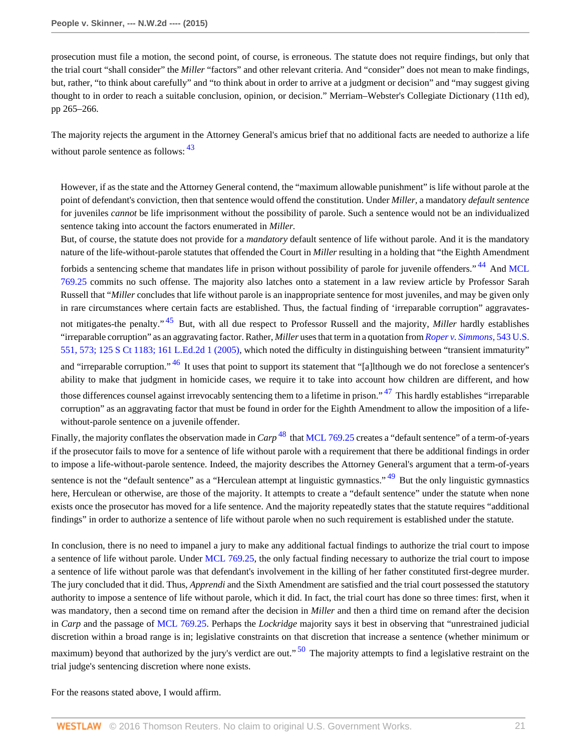prosecution must file a motion, the second point, of course, is erroneous. The statute does not require findings, but only that the trial court "shall consider" the *Miller* "factors" and other relevant criteria. And "consider" does not mean to make findings, but, rather, "to think about carefully" and "to think about in order to arrive at a judgment or decision" and "may suggest giving thought to in order to reach a suitable conclusion, opinion, or decision." Merriam–Webster's Collegiate Dictionary (11th ed), pp 265–266.

The majority rejects the argument in the Attorney General's amicus brief that no additional facts are needed to authorize a life without parole sentence as follows:  $43$ 

<span id="page-20-0"></span>However, if as the state and the Attorney General contend, the "maximum allowable punishment" is life without parole at the point of defendant's conviction, then that sentence would offend the constitution. Under *Miller,* a mandatory *default sentence* for juveniles *cannot* be life imprisonment without the possibility of parole. Such a sentence would not be an individualized sentence taking into account the factors enumerated in *Miller.*

<span id="page-20-2"></span><span id="page-20-1"></span>But, of course, the statute does not provide for a *mandatory* default sentence of life without parole. And it is the mandatory nature of the life-without-parole statutes that offended the Court in *Miller* resulting in a holding that "the Eighth Amendment forbids a sentencing scheme that mandates life in prison without possibility of parole for juvenile offenders."<sup>[44](#page-23-29)</sup> And [MCL](http://www.westlaw.com/Link/Document/FullText?findType=L&pubNum=1000043&cite=MIST769.25&originatingDoc=I52c4367847f811e590d4edf60ce7d742&refType=LQ&originationContext=document&vr=3.0&rs=cblt1.0&transitionType=DocumentItem&contextData=(sc.Search)) [769.25](http://www.westlaw.com/Link/Document/FullText?findType=L&pubNum=1000043&cite=MIST769.25&originatingDoc=I52c4367847f811e590d4edf60ce7d742&refType=LQ&originationContext=document&vr=3.0&rs=cblt1.0&transitionType=DocumentItem&contextData=(sc.Search)) commits no such offense. The majority also latches onto a statement in a law review article by Professor Sarah Russell that "*Miller* concludes that life without parole is an inappropriate sentence for most juveniles, and may be given only in rare circumstances where certain facts are established. Thus, the factual finding of 'irreparable corruption" aggravatesnot mitigates-the penalty." [45](#page-23-30) But, with all due respect to Professor Russell and the majority, *Miller* hardly establishes "irreparable corruption" as an aggravating factor. Rather, *Miller* uses that term in a quotation from *[Roper v. Simmons,](http://www.westlaw.com/Link/Document/FullText?findType=Y&serNum=2006291922&pubNum=0000708&originatingDoc=I52c4367847f811e590d4edf60ce7d742&refType=RP&originationContext=document&vr=3.0&rs=cblt1.0&transitionType=DocumentItem&contextData=(sc.Search))* 543 U.S. [551, 573; 125 S Ct 1183; 161 L.Ed.2d 1 \(2005\)](http://www.westlaw.com/Link/Document/FullText?findType=Y&serNum=2006291922&pubNum=0000708&originatingDoc=I52c4367847f811e590d4edf60ce7d742&refType=RP&originationContext=document&vr=3.0&rs=cblt1.0&transitionType=DocumentItem&contextData=(sc.Search)), which noted the difficulty in distinguishing between "transient immaturity" and "irreparable corruption." <sup>[46](#page-23-31)</sup> It uses that point to support its statement that "[a]lthough we do not foreclose a sentencer's ability to make that judgment in homicide cases, we require it to take into account how children are different, and how those differences counsel against irrevocably sentencing them to a lifetime in prison."<sup>[47](#page-23-32)</sup> This hardly establishes "irreparable" corruption" as an aggravating factor that must be found in order for the Eighth Amendment to allow the imposition of a lifewithout-parole sentence on a juvenile offender.

<span id="page-20-6"></span><span id="page-20-5"></span><span id="page-20-4"></span><span id="page-20-3"></span>Finally, the majority conflates the observation made in *Carp* <sup>[48](#page-23-33)</sup> that [MCL 769.25](http://www.westlaw.com/Link/Document/FullText?findType=L&pubNum=1000043&cite=MIST769.25&originatingDoc=I52c4367847f811e590d4edf60ce7d742&refType=LQ&originationContext=document&vr=3.0&rs=cblt1.0&transitionType=DocumentItem&contextData=(sc.Search)) creates a "default sentence" of a term-of-years if the prosecutor fails to move for a sentence of life without parole with a requirement that there be additional findings in order to impose a life-without-parole sentence. Indeed, the majority describes the Attorney General's argument that a term-of-years sentence is not the "default sentence" as a "Herculean attempt at linguistic gymnastics."  $49$  But the only linguistic gymnastics here, Herculean or otherwise, are those of the majority. It attempts to create a "default sentence" under the statute when none exists once the prosecutor has moved for a life sentence. And the majority repeatedly states that the statute requires "additional findings" in order to authorize a sentence of life without parole when no such requirement is established under the statute.

In conclusion, there is no need to impanel a jury to make any additional factual findings to authorize the trial court to impose a sentence of life without parole. Under [MCL 769.25](http://www.westlaw.com/Link/Document/FullText?findType=L&pubNum=1000043&cite=MIST769.25&originatingDoc=I52c4367847f811e590d4edf60ce7d742&refType=LQ&originationContext=document&vr=3.0&rs=cblt1.0&transitionType=DocumentItem&contextData=(sc.Search)), the only factual finding necessary to authorize the trial court to impose a sentence of life without parole was that defendant's involvement in the killing of her father constituted first-degree murder. The jury concluded that it did. Thus, *Apprendi* and the Sixth Amendment are satisfied and the trial court possessed the statutory authority to impose a sentence of life without parole, which it did. In fact, the trial court has done so three times: first, when it was mandatory, then a second time on remand after the decision in *Miller* and then a third time on remand after the decision in *Carp* and the passage of [MCL 769.25.](http://www.westlaw.com/Link/Document/FullText?findType=L&pubNum=1000043&cite=MIST769.25&originatingDoc=I52c4367847f811e590d4edf60ce7d742&refType=LQ&originationContext=document&vr=3.0&rs=cblt1.0&transitionType=DocumentItem&contextData=(sc.Search)) Perhaps the *Lockridge* majority says it best in observing that "unrestrained judicial discretion within a broad range is in; legislative constraints on that discretion that increase a sentence (whether minimum or maximum) beyond that authorized by the jury's verdict are out."  $50$  The majority attempts to find a legislative restraint on the trial judge's sentencing discretion where none exists.

<span id="page-20-7"></span>For the reasons stated above, I would affirm.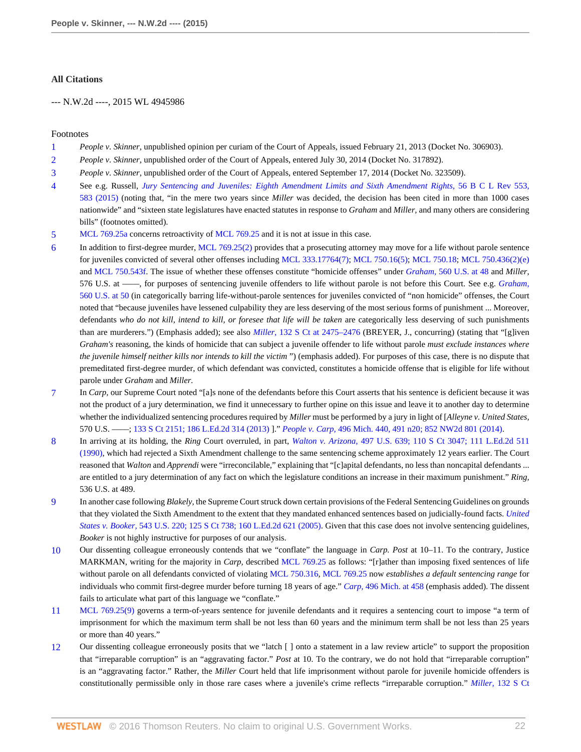### **All Citations**

--- N.W.2d ----, 2015 WL 4945986

### Footnotes

- <span id="page-21-0"></span>[1](#page-1-0) *People v. Skinner,* unpublished opinion per curiam of the Court of Appeals, issued February 21, 2013 (Docket No. 306903).
- <span id="page-21-1"></span>[2](#page-1-1) *People v. Skinner,* unpublished order of the Court of Appeals, entered July 30, 2014 (Docket No. 317892).
- <span id="page-21-2"></span>[3](#page-1-2) *People v. Skinner,* unpublished order of the Court of Appeals, entered September 17, 2014 (Docket No. 323509).
- <span id="page-21-3"></span>[4](#page-4-0) See e.g. Russell, *[Jury Sentencing and Juveniles: Eighth Amendment Limits and Sixth Amendment Rights,](http://www.westlaw.com/Link/Document/FullText?findType=Y&serNum=0429753604&pubNum=0001101&originatingDoc=I52c4367847f811e590d4edf60ce7d742&refType=LR&fi=co_pp_sp_1101_583&originationContext=document&vr=3.0&rs=cblt1.0&transitionType=DocumentItem&contextData=(sc.Search)#co_pp_sp_1101_583)* 56 B C L Rev 553, [583 \(2015\)](http://www.westlaw.com/Link/Document/FullText?findType=Y&serNum=0429753604&pubNum=0001101&originatingDoc=I52c4367847f811e590d4edf60ce7d742&refType=LR&fi=co_pp_sp_1101_583&originationContext=document&vr=3.0&rs=cblt1.0&transitionType=DocumentItem&contextData=(sc.Search)#co_pp_sp_1101_583) (noting that, "in the mere two years since *Miller* was decided, the decision has been cited in more than 1000 cases nationwide" and "sixteen state legislatures have enacted statutes in response to *Graham* and *Miller,* and many others are considering bills" (footnotes omitted).
- <span id="page-21-4"></span>[5](#page-4-1) [MCL 769.25a](http://www.westlaw.com/Link/Document/FullText?findType=L&pubNum=1000043&cite=MIST769.25A&originatingDoc=I52c4367847f811e590d4edf60ce7d742&refType=LQ&originationContext=document&vr=3.0&rs=cblt1.0&transitionType=DocumentItem&contextData=(sc.Search)) concerns retroactivity of [MCL 769.25](http://www.westlaw.com/Link/Document/FullText?findType=L&pubNum=1000043&cite=MIST769.25&originatingDoc=I52c4367847f811e590d4edf60ce7d742&refType=LQ&originationContext=document&vr=3.0&rs=cblt1.0&transitionType=DocumentItem&contextData=(sc.Search)) and it is not at issue in this case.
- <span id="page-21-5"></span>[6](#page-4-2) In addition to first-degree murder, [MCL 769.25\(2\)](http://www.westlaw.com/Link/Document/FullText?findType=L&pubNum=1000043&cite=MIST769.25&originatingDoc=I52c4367847f811e590d4edf60ce7d742&refType=LQ&originationContext=document&vr=3.0&rs=cblt1.0&transitionType=DocumentItem&contextData=(sc.Search)) provides that a prosecuting attorney may move for a life without parole sentence for juveniles convicted of several other offenses including [MCL 333.17764\(7\);](http://www.westlaw.com/Link/Document/FullText?findType=L&pubNum=1000043&cite=MIST333.17764&originatingDoc=I52c4367847f811e590d4edf60ce7d742&refType=LQ&originationContext=document&vr=3.0&rs=cblt1.0&transitionType=DocumentItem&contextData=(sc.Search)) [MCL 750.16\(5\);](http://www.westlaw.com/Link/Document/FullText?findType=L&pubNum=1000043&cite=MIST750.16&originatingDoc=I52c4367847f811e590d4edf60ce7d742&refType=LQ&originationContext=document&vr=3.0&rs=cblt1.0&transitionType=DocumentItem&contextData=(sc.Search)) [MCL 750.18](http://www.westlaw.com/Link/Document/FullText?findType=L&pubNum=1000043&cite=MIST750.18&originatingDoc=I52c4367847f811e590d4edf60ce7d742&refType=LQ&originationContext=document&vr=3.0&rs=cblt1.0&transitionType=DocumentItem&contextData=(sc.Search)); [MCL 750.436\(2\)\(e\)](http://www.westlaw.com/Link/Document/FullText?findType=L&pubNum=1000043&cite=MIST750.436&originatingDoc=I52c4367847f811e590d4edf60ce7d742&refType=LQ&originationContext=document&vr=3.0&rs=cblt1.0&transitionType=DocumentItem&contextData=(sc.Search)) and [MCL 750.543f.](http://www.westlaw.com/Link/Document/FullText?findType=L&pubNum=1000043&cite=MIST750.543F&originatingDoc=I52c4367847f811e590d4edf60ce7d742&refType=LQ&originationContext=document&vr=3.0&rs=cblt1.0&transitionType=DocumentItem&contextData=(sc.Search)) The issue of whether these offenses constitute "homicide offenses" under *Graham,* [560 U.S. at 48](http://www.westlaw.com/Link/Document/FullText?findType=Y&serNum=2022052221&pubNum=0000780&originatingDoc=I52c4367847f811e590d4edf60ce7d742&refType=RP&fi=co_pp_sp_780_48&originationContext=document&vr=3.0&rs=cblt1.0&transitionType=DocumentItem&contextData=(sc.Search)#co_pp_sp_780_48) and *Miller,* 576 U.S. at ––––, for purposes of sentencing juvenile offenders to life without parole is not before this Court. See e.g. *[Graham,](http://www.westlaw.com/Link/Document/FullText?findType=Y&serNum=2022052221&pubNum=0000780&originatingDoc=I52c4367847f811e590d4edf60ce7d742&refType=RP&fi=co_pp_sp_780_50&originationContext=document&vr=3.0&rs=cblt1.0&transitionType=DocumentItem&contextData=(sc.Search)#co_pp_sp_780_50)* [560 U.S. at 50](http://www.westlaw.com/Link/Document/FullText?findType=Y&serNum=2022052221&pubNum=0000780&originatingDoc=I52c4367847f811e590d4edf60ce7d742&refType=RP&fi=co_pp_sp_780_50&originationContext=document&vr=3.0&rs=cblt1.0&transitionType=DocumentItem&contextData=(sc.Search)#co_pp_sp_780_50) (in categorically barring life-without-parole sentences for juveniles convicted of "non homicide" offenses, the Court noted that "because juveniles have lessened culpability they are less deserving of the most serious forms of punishment ... Moreover, defendants *who do not kill, intend to kill, or foresee that life will be taken* are categorically less deserving of such punishments than are murderers.") (Emphasis added); see also *Miller,* [132 S Ct at 2475–2476](http://www.westlaw.com/Link/Document/FullText?findType=Y&serNum=2027964006&pubNum=0000708&originatingDoc=I52c4367847f811e590d4edf60ce7d742&refType=RP&fi=co_pp_sp_708_2475&originationContext=document&vr=3.0&rs=cblt1.0&transitionType=DocumentItem&contextData=(sc.Search)#co_pp_sp_708_2475) (BREYER, J., concurring) (stating that "[g]iven *Graham's* reasoning, the kinds of homicide that can subject a juvenile offender to life without parole *must exclude instances where the juvenile himself neither kills nor intends to kill the victim* ") (emphasis added). For purposes of this case, there is no dispute that premeditated first-degree murder, of which defendant was convicted, constitutes a homicide offense that is eligible for life without parole under *Graham* and *Miller.*
- <span id="page-21-6"></span>[7](#page-5-0) In *Carp,* our Supreme Court noted "[a]s none of the defendants before this Court asserts that his sentence is deficient because it was not the product of a jury determination, we find it unnecessary to further opine on this issue and leave it to another day to determine whether the individualized sentencing procedures required by *Miller* must be performed by a jury in light of [*Alleyne v. United States,* 570 U.S. ––––; [133 S Ct 2151; 186 L.Ed.2d 314 \(2013\)](http://www.westlaw.com/Link/Document/FullText?findType=Y&serNum=2030794220&pubNum=0000708&originatingDoc=I52c4367847f811e590d4edf60ce7d742&refType=RP&originationContext=document&vr=3.0&rs=cblt1.0&transitionType=DocumentItem&contextData=(sc.Search)) ]." *People v. Carp,* [496 Mich. 440, 491 n20; 852 NW2d 801 \(2014\)](http://www.westlaw.com/Link/Document/FullText?findType=Y&serNum=2033796369&pubNum=0000595&originatingDoc=I52c4367847f811e590d4edf60ce7d742&refType=RP&originationContext=document&vr=3.0&rs=cblt1.0&transitionType=DocumentItem&contextData=(sc.Search)).
- <span id="page-21-7"></span>[8](#page-6-0) In arriving at its holding, the *Ring* Court overruled, in part, *Walton v. Arizona,* [497 U.S. 639; 110 S Ct 3047; 111 L.Ed.2d 511](http://www.westlaw.com/Link/Document/FullText?findType=Y&serNum=1990098000&pubNum=0000708&originatingDoc=I52c4367847f811e590d4edf60ce7d742&refType=RP&originationContext=document&vr=3.0&rs=cblt1.0&transitionType=DocumentItem&contextData=(sc.Search)) [\(1990\),](http://www.westlaw.com/Link/Document/FullText?findType=Y&serNum=1990098000&pubNum=0000708&originatingDoc=I52c4367847f811e590d4edf60ce7d742&refType=RP&originationContext=document&vr=3.0&rs=cblt1.0&transitionType=DocumentItem&contextData=(sc.Search)) which had rejected a Sixth Amendment challenge to the same sentencing scheme approximately 12 years earlier. The Court reasoned that *Walton* and *Apprendi* were "irreconcilable," explaining that "[c]apital defendants, no less than noncapital defendants ... are entitled to a jury determination of any fact on which the legislature conditions an increase in their maximum punishment." *Ring,* 536 U.S. at 489.
- <span id="page-21-8"></span>[9](#page-7-0) In another case following *Blakely,* the Supreme Court struck down certain provisions of the Federal Sentencing Guidelines on grounds that they violated the Sixth Amendment to the extent that they mandated enhanced sentences based on judicially-found facts. *[United](http://www.westlaw.com/Link/Document/FullText?findType=Y&serNum=2005966569&pubNum=0000708&originatingDoc=I52c4367847f811e590d4edf60ce7d742&refType=RP&originationContext=document&vr=3.0&rs=cblt1.0&transitionType=DocumentItem&contextData=(sc.Search)) States v. Booker,* [543 U.S. 220; 125 S Ct 738; 160 L.Ed.2d 621 \(2005\)](http://www.westlaw.com/Link/Document/FullText?findType=Y&serNum=2005966569&pubNum=0000708&originatingDoc=I52c4367847f811e590d4edf60ce7d742&refType=RP&originationContext=document&vr=3.0&rs=cblt1.0&transitionType=DocumentItem&contextData=(sc.Search)). Given that this case does not involve sentencing guidelines, *Booker* is not highly instructive for purposes of our analysis.
- <span id="page-21-9"></span>[10](#page-9-0) Our dissenting colleague erroneously contends that we "conflate" the language in *Carp. Post* at 10–11. To the contrary, Justice MARKMAN, writing for the majority in *Carp,* described [MCL 769.25](http://www.westlaw.com/Link/Document/FullText?findType=L&pubNum=1000043&cite=MIST769.25&originatingDoc=I52c4367847f811e590d4edf60ce7d742&refType=LQ&originationContext=document&vr=3.0&rs=cblt1.0&transitionType=DocumentItem&contextData=(sc.Search)) as follows: "[r]ather than imposing fixed sentences of life without parole on all defendants convicted of violating [MCL 750.316,](http://www.westlaw.com/Link/Document/FullText?findType=L&pubNum=1000043&cite=MIST750.316&originatingDoc=I52c4367847f811e590d4edf60ce7d742&refType=LQ&originationContext=document&vr=3.0&rs=cblt1.0&transitionType=DocumentItem&contextData=(sc.Search)) [MCL 769.25](http://www.westlaw.com/Link/Document/FullText?findType=L&pubNum=1000043&cite=MIST769.25&originatingDoc=I52c4367847f811e590d4edf60ce7d742&refType=LQ&originationContext=document&vr=3.0&rs=cblt1.0&transitionType=DocumentItem&contextData=(sc.Search)) now *establishes a default sentencing range* for individuals who commit first-degree murder before turning 18 years of age." *Carp,* [496 Mich. at 458](http://www.westlaw.com/Link/Document/FullText?findType=Y&serNum=2033796369&pubNum=0000542&originatingDoc=I52c4367847f811e590d4edf60ce7d742&refType=RP&fi=co_pp_sp_542_458&originationContext=document&vr=3.0&rs=cblt1.0&transitionType=DocumentItem&contextData=(sc.Search)#co_pp_sp_542_458) (emphasis added). The dissent fails to articulate what part of this language we "conflate."
- <span id="page-21-10"></span>[11](#page-9-1) [MCL 769.25\(9\)](http://www.westlaw.com/Link/Document/FullText?findType=L&pubNum=1000043&cite=MIST769.25&originatingDoc=I52c4367847f811e590d4edf60ce7d742&refType=LQ&originationContext=document&vr=3.0&rs=cblt1.0&transitionType=DocumentItem&contextData=(sc.Search)) governs a term-of-years sentence for juvenile defendants and it requires a sentencing court to impose "a term of imprisonment for which the maximum term shall be not less than 60 years and the minimum term shall be not less than 25 years or more than 40 years."
- <span id="page-21-11"></span>[12](#page-12-0) Our dissenting colleague erroneously posits that we "latch [ ] onto a statement in a law review article" to support the proposition that "irreparable corruption" is an "aggravating factor." *Post* at 10. To the contrary, we do not hold that "irreparable corruption" is an "aggravating factor." Rather, the *Miller* Court held that life imprisonment without parole for juvenile homicide offenders is constitutionally permissible only in those rare cases where a juvenile's crime reflects "irreparable corruption." *Miller,* [132 S Ct](http://www.westlaw.com/Link/Document/FullText?findType=Y&serNum=2027964006&pubNum=0000708&originatingDoc=I52c4367847f811e590d4edf60ce7d742&refType=RP&fi=co_pp_sp_708_2469&originationContext=document&vr=3.0&rs=cblt1.0&transitionType=DocumentItem&contextData=(sc.Search)#co_pp_sp_708_2469)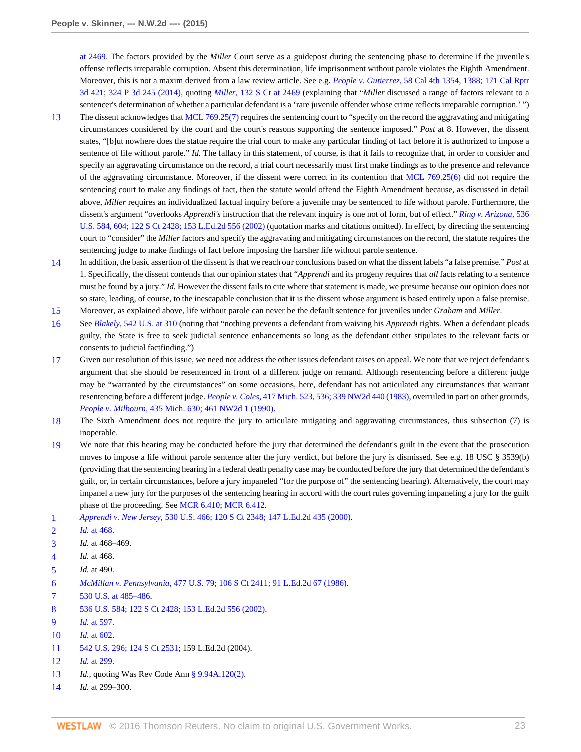[at 2469](http://www.westlaw.com/Link/Document/FullText?findType=Y&serNum=2027964006&pubNum=0000708&originatingDoc=I52c4367847f811e590d4edf60ce7d742&refType=RP&fi=co_pp_sp_708_2469&originationContext=document&vr=3.0&rs=cblt1.0&transitionType=DocumentItem&contextData=(sc.Search)#co_pp_sp_708_2469). The factors provided by the *Miller* Court serve as a guidepost during the sentencing phase to determine if the juvenile's offense reflects irreparable corruption. Absent this determination, life imprisonment without parole violates the Eighth Amendment. Moreover, this is not a maxim derived from a law review article. See e.g. *People v. Gutierrez,* [58 Cal 4th 1354, 1388; 171 Cal Rptr](http://www.westlaw.com/Link/Document/FullText?findType=Y&serNum=2033318593&pubNum=0004645&originatingDoc=I52c4367847f811e590d4edf60ce7d742&refType=RP&originationContext=document&vr=3.0&rs=cblt1.0&transitionType=DocumentItem&contextData=(sc.Search)) [3d 421; 324 P 3d 245 \(2014\),](http://www.westlaw.com/Link/Document/FullText?findType=Y&serNum=2033318593&pubNum=0004645&originatingDoc=I52c4367847f811e590d4edf60ce7d742&refType=RP&originationContext=document&vr=3.0&rs=cblt1.0&transitionType=DocumentItem&contextData=(sc.Search)) quoting *Miller,* [132 S Ct at 2469](http://www.westlaw.com/Link/Document/FullText?findType=Y&serNum=2027964006&pubNum=0000708&originatingDoc=I52c4367847f811e590d4edf60ce7d742&refType=RP&fi=co_pp_sp_708_2469&originationContext=document&vr=3.0&rs=cblt1.0&transitionType=DocumentItem&contextData=(sc.Search)#co_pp_sp_708_2469) (explaining that "*Miller* discussed a range of factors relevant to a sentencer's determination of whether a particular defendant is a 'rare juvenile offender whose crime reflects irreparable corruption.' ")

- <span id="page-22-0"></span>[13](#page-12-1) The dissent acknowledges that [MCL 769.25\(7\)](http://www.westlaw.com/Link/Document/FullText?findType=L&pubNum=1000043&cite=MIST769.25&originatingDoc=I52c4367847f811e590d4edf60ce7d742&refType=LQ&originationContext=document&vr=3.0&rs=cblt1.0&transitionType=DocumentItem&contextData=(sc.Search)) requires the sentencing court to "specify on the record the aggravating and mitigating circumstances considered by the court and the court's reasons supporting the sentence imposed." *Post* at 8. However, the dissent states, "[b]ut nowhere does the statue require the trial court to make any particular finding of fact before it is authorized to impose a sentence of life without parole." *Id.* The fallacy in this statement, of course, is that it fails to recognize that, in order to consider and specify an aggravating circumstance on the record, a trial court necessarily must first make findings as to the presence and relevance of the aggravating circumstance. Moreover, if the dissent were correct in its contention that [MCL 769.25\(6\)](http://www.westlaw.com/Link/Document/FullText?findType=L&pubNum=1000043&cite=MIST769.25&originatingDoc=I52c4367847f811e590d4edf60ce7d742&refType=LQ&originationContext=document&vr=3.0&rs=cblt1.0&transitionType=DocumentItem&contextData=(sc.Search)) did not require the sentencing court to make any findings of fact, then the statute would offend the Eighth Amendment because, as discussed in detail above, *Miller* requires an individualized factual inquiry before a juvenile may be sentenced to life without parole. Furthermore, the dissent's argument "overlooks *Apprendi's* instruction that the relevant inquiry is one not of form, but of effect." *[Ring v. Arizona,](http://www.westlaw.com/Link/Document/FullText?findType=Y&serNum=2002390142&pubNum=0000708&originatingDoc=I52c4367847f811e590d4edf60ce7d742&refType=RP&originationContext=document&vr=3.0&rs=cblt1.0&transitionType=DocumentItem&contextData=(sc.Search))* 536 [U.S. 584, 604; 122 S Ct 2428; 153 L.Ed.2d 556 \(2002\)](http://www.westlaw.com/Link/Document/FullText?findType=Y&serNum=2002390142&pubNum=0000708&originatingDoc=I52c4367847f811e590d4edf60ce7d742&refType=RP&originationContext=document&vr=3.0&rs=cblt1.0&transitionType=DocumentItem&contextData=(sc.Search)) (quotation marks and citations omitted). In effect, by directing the sentencing court to "consider" the *Miller* factors and specify the aggravating and mitigating circumstances on the record, the statute requires the sentencing judge to make findings of fact before imposing the harsher life without parole sentence.
- <span id="page-22-1"></span>[14](#page-12-2) In addition, the basic assertion of the dissent is that we reach our conclusions based on what the dissent labels "a false premise." *Post* at 1. Specifically, the dissent contends that our opinion states that "*Apprendi* and its progeny requires that *all* facts relating to a sentence must be found by a jury." *Id.* However the dissent fails to cite where that statement is made, we presume because our opinion does not so state, leading, of course, to the inescapable conclusion that it is the dissent whose argument is based entirely upon a false premise.
- <span id="page-22-2"></span>[15](#page-13-0) Moreover, as explained above, life without parole can never be the default sentence for juveniles under *Graham* and *Miller.*
- <span id="page-22-3"></span>[16](#page-14-0) See *Blakely,* [542 U.S. at 310](http://www.westlaw.com/Link/Document/FullText?findType=Y&serNum=2004622625&pubNum=0000780&originatingDoc=I52c4367847f811e590d4edf60ce7d742&refType=RP&fi=co_pp_sp_780_310&originationContext=document&vr=3.0&rs=cblt1.0&transitionType=DocumentItem&contextData=(sc.Search)#co_pp_sp_780_310) (noting that "nothing prevents a defendant from waiving his *Apprendi* rights. When a defendant pleads guilty, the State is free to seek judicial sentence enhancements so long as the defendant either stipulates to the relevant facts or consents to judicial factfinding.")
- <span id="page-22-4"></span>[17](#page-14-1) Given our resolution of this issue, we need not address the other issues defendant raises on appeal. We note that we reject defendant's argument that she should be resentenced in front of a different judge on remand. Although resentencing before a different judge may be "warranted by the circumstances" on some occasions, here, defendant has not articulated any circumstances that warrant resentencing before a different judge. *People v. Coles,* [417 Mich. 523, 536; 339 NW2d 440 \(1983\)](http://www.westlaw.com/Link/Document/FullText?findType=Y&serNum=1983149815&pubNum=0000595&originatingDoc=I52c4367847f811e590d4edf60ce7d742&refType=RP&originationContext=document&vr=3.0&rs=cblt1.0&transitionType=DocumentItem&contextData=(sc.Search)), overruled in part on other grounds, *People v. Milbourn,* [435 Mich. 630; 461 NW2d 1 \(1990\)](http://www.westlaw.com/Link/Document/FullText?findType=Y&serNum=1990139120&pubNum=0000595&originatingDoc=I52c4367847f811e590d4edf60ce7d742&refType=RP&originationContext=document&vr=3.0&rs=cblt1.0&transitionType=DocumentItem&contextData=(sc.Search)).
- <span id="page-22-5"></span>[18](#page-14-2) The Sixth Amendment does not require the jury to articulate mitigating and aggravating circumstances, thus subsection (7) is inoperable.
- <span id="page-22-6"></span>[19](#page-14-3) We note that this hearing may be conducted before the jury that determined the defendant's guilt in the event that the prosecution moves to impose a life without parole sentence after the jury verdict, but before the jury is dismissed. See e.g. 18 USC § 3539(b) (providing that the sentencing hearing in a federal death penalty case may be conducted before the jury that determined the defendant's guilt, or, in certain circumstances, before a jury impaneled "for the purpose of" the sentencing hearing). Alternatively, the court may impanel a new jury for the purposes of the sentencing hearing in accord with the court rules governing impaneling a jury for the guilt phase of the proceeding. See [MCR 6.410;](http://www.westlaw.com/Link/Document/FullText?findType=L&pubNum=1005478&cite=MIRRCRPMCR6.410&originatingDoc=I52c4367847f811e590d4edf60ce7d742&refType=LQ&originationContext=document&vr=3.0&rs=cblt1.0&transitionType=DocumentItem&contextData=(sc.Search)) [MCR 6.412](http://www.westlaw.com/Link/Document/FullText?findType=L&pubNum=1005478&cite=MIRRCRPMCR6.412&originatingDoc=I52c4367847f811e590d4edf60ce7d742&refType=LQ&originationContext=document&vr=3.0&rs=cblt1.0&transitionType=DocumentItem&contextData=(sc.Search)).

- <span id="page-22-9"></span>[3](#page-15-2) *Id.* at 468–469.
- <span id="page-22-10"></span>[4](#page-15-3) *Id.* at 468.
- <span id="page-22-11"></span>[5](#page-15-4) *Id.* at 490.
- <span id="page-22-12"></span>[6](#page-15-5) *McMillan v. Pennsylvania,* [477 U.S. 79; 106 S Ct 2411; 91 L.Ed.2d 67 \(1986\)](http://www.westlaw.com/Link/Document/FullText?findType=Y&serNum=1986131476&pubNum=0000708&originatingDoc=I52c4367847f811e590d4edf60ce7d742&refType=RP&originationContext=document&vr=3.0&rs=cblt1.0&transitionType=DocumentItem&contextData=(sc.Search)).
- <span id="page-22-13"></span>[7](#page-15-6) [530 U.S. at 485–486](http://www.westlaw.com/Link/Document/FullText?findType=Y&serNum=2000387238&pubNum=0000780&originatingDoc=I52c4367847f811e590d4edf60ce7d742&refType=RP&fi=co_pp_sp_780_485&originationContext=document&vr=3.0&rs=cblt1.0&transitionType=DocumentItem&contextData=(sc.Search)#co_pp_sp_780_485).
- <span id="page-22-14"></span>[8](#page-16-0) [536 U.S. 584; 122 S Ct 2428; 153 L.Ed.2d 556 \(2002\).](http://www.westlaw.com/Link/Document/FullText?findType=Y&serNum=2002390142&pubNum=0000708&originatingDoc=I52c4367847f811e590d4edf60ce7d742&refType=RP&originationContext=document&vr=3.0&rs=cblt1.0&transitionType=DocumentItem&contextData=(sc.Search))
- <span id="page-22-15"></span>[9](#page-16-1) *Id.* [at 597](http://www.westlaw.com/Link/Document/FullText?findType=Y&serNum=2002390142&pubNum=0000780&originatingDoc=I52c4367847f811e590d4edf60ce7d742&refType=RP&fi=co_pp_sp_780_597&originationContext=document&vr=3.0&rs=cblt1.0&transitionType=DocumentItem&contextData=(sc.Search)#co_pp_sp_780_597).
- <span id="page-22-16"></span>[10](#page-16-2) *Id.* [at 602](http://www.westlaw.com/Link/Document/FullText?findType=Y&serNum=2002390142&pubNum=0000780&originatingDoc=I52c4367847f811e590d4edf60ce7d742&refType=RP&fi=co_pp_sp_780_602&originationContext=document&vr=3.0&rs=cblt1.0&transitionType=DocumentItem&contextData=(sc.Search)#co_pp_sp_780_602).
- <span id="page-22-17"></span>[11](#page-16-3) [542 U.S. 296; 124 S Ct 2531](http://www.westlaw.com/Link/Document/FullText?findType=Y&serNum=2004622625&pubNum=0000708&originatingDoc=I52c4367847f811e590d4edf60ce7d742&refType=RP&originationContext=document&vr=3.0&rs=cblt1.0&transitionType=DocumentItem&contextData=(sc.Search)); 159 L.Ed.2d (2004).
- <span id="page-22-18"></span>[12](#page-16-4) *Id.* [at 299](http://www.westlaw.com/Link/Document/FullText?findType=Y&serNum=2004622625&pubNum=0000780&originatingDoc=I52c4367847f811e590d4edf60ce7d742&refType=RP&fi=co_pp_sp_780_299&originationContext=document&vr=3.0&rs=cblt1.0&transitionType=DocumentItem&contextData=(sc.Search)#co_pp_sp_780_299).
- <span id="page-22-19"></span>[13](#page-16-5) *Id.,* quoting Was Rev Code Ann [§ 9.94A.120\(2\)](http://www.westlaw.com/Link/Document/FullText?findType=L&pubNum=1000259&cite=WAST9.94A.120&originatingDoc=I52c4367847f811e590d4edf60ce7d742&refType=LQ&originationContext=document&vr=3.0&rs=cblt1.0&transitionType=DocumentItem&contextData=(sc.Search)).
- <span id="page-22-20"></span>[14](#page-16-6) *Id.* at 299–300.

<span id="page-22-7"></span>[<sup>1</sup>](#page-15-0) *Apprendi v. New Jersey,* [530 U.S. 466; 120 S Ct 2348; 147 L.Ed.2d 435 \(2000\)](http://www.westlaw.com/Link/Document/FullText?findType=Y&serNum=2000387238&pubNum=0000708&originatingDoc=I52c4367847f811e590d4edf60ce7d742&refType=RP&originationContext=document&vr=3.0&rs=cblt1.0&transitionType=DocumentItem&contextData=(sc.Search)).

<span id="page-22-8"></span>[<sup>2</sup>](#page-15-1) *Id.* [at 468](http://www.westlaw.com/Link/Document/FullText?findType=Y&serNum=2000387238&pubNum=0000780&originatingDoc=I52c4367847f811e590d4edf60ce7d742&refType=RP&fi=co_pp_sp_780_468&originationContext=document&vr=3.0&rs=cblt1.0&transitionType=DocumentItem&contextData=(sc.Search)#co_pp_sp_780_468).